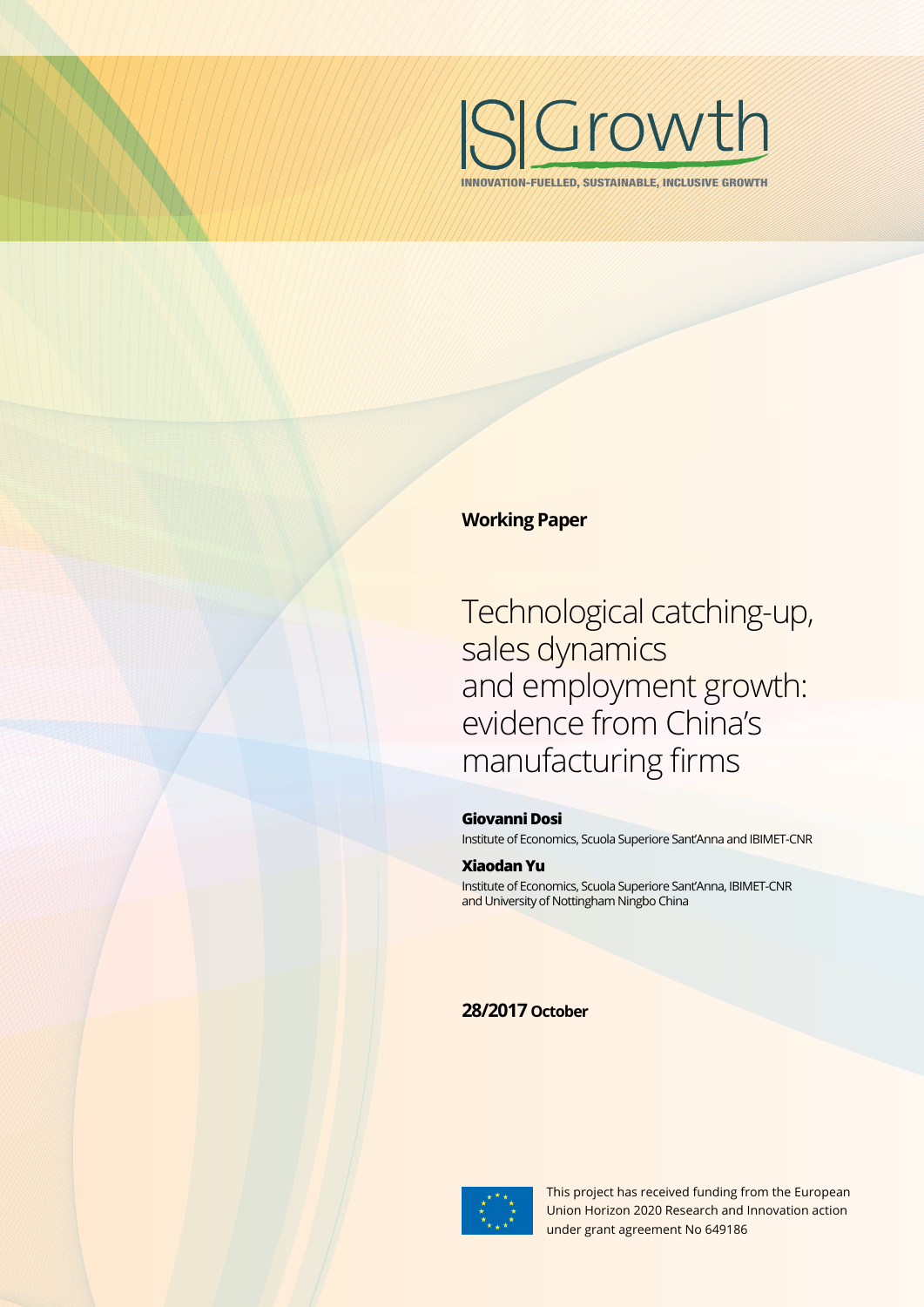

INNOVATION-FUELLED, SUSTAINABLE, INCLUSIVE GROWTH

# **Working Paper**

Technological catching-up, sales dynamics and employment growth: evidence from China's manufacturing firms

#### **Giovanni Dosi**

Institute of Economics, Scuola Superiore Sant'Anna and IBIMET-CNR

#### **Xiaodan Yu**

Institute of Economics, Scuola Superiore Sant'Anna, IBIMET-CNR and University of Nottingham Ningbo China

# **28/2017 October**



This project has received funding from the European Union Horizon 2020 Research and Innovation action under grant agreement No 649186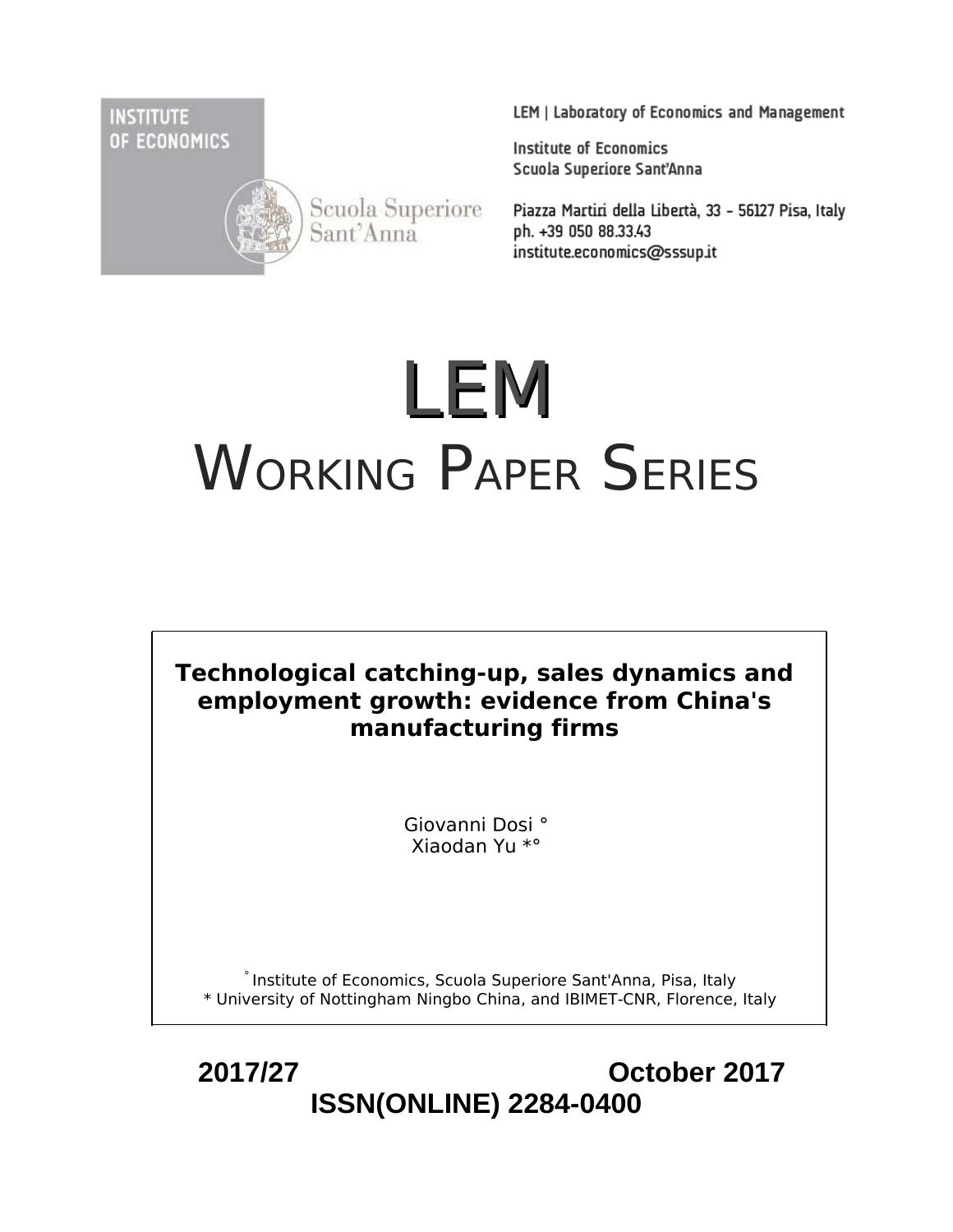**INSTITUTE** OF ECONOMICS



Scuola Superiore Sant'Anna

LEM | Laboratory of Economics and Management

**Institute of Economics** Scuola Superiore Sant'Anna

Piazza Martiri della Libertà, 33 - 56127 Pisa, Italy ph. +39 050 88.33.43 institute.economics@sssup.it

# LEM WORKING PAPER SERIES

**Technological catching-up, sales dynamics and employment growth: evidence from China's manufacturing firms**

> Giovanni Dosi ° Xiaodan Yu \*°

° Institute of Economics, Scuola Superiore Sant'Anna, Pisa, Italy \* University of Nottingham Ningbo China, and IBIMET-CNR, Florence, Italy

 **2017/27 October 2017 ISSN(ONLINE) 2284-0400**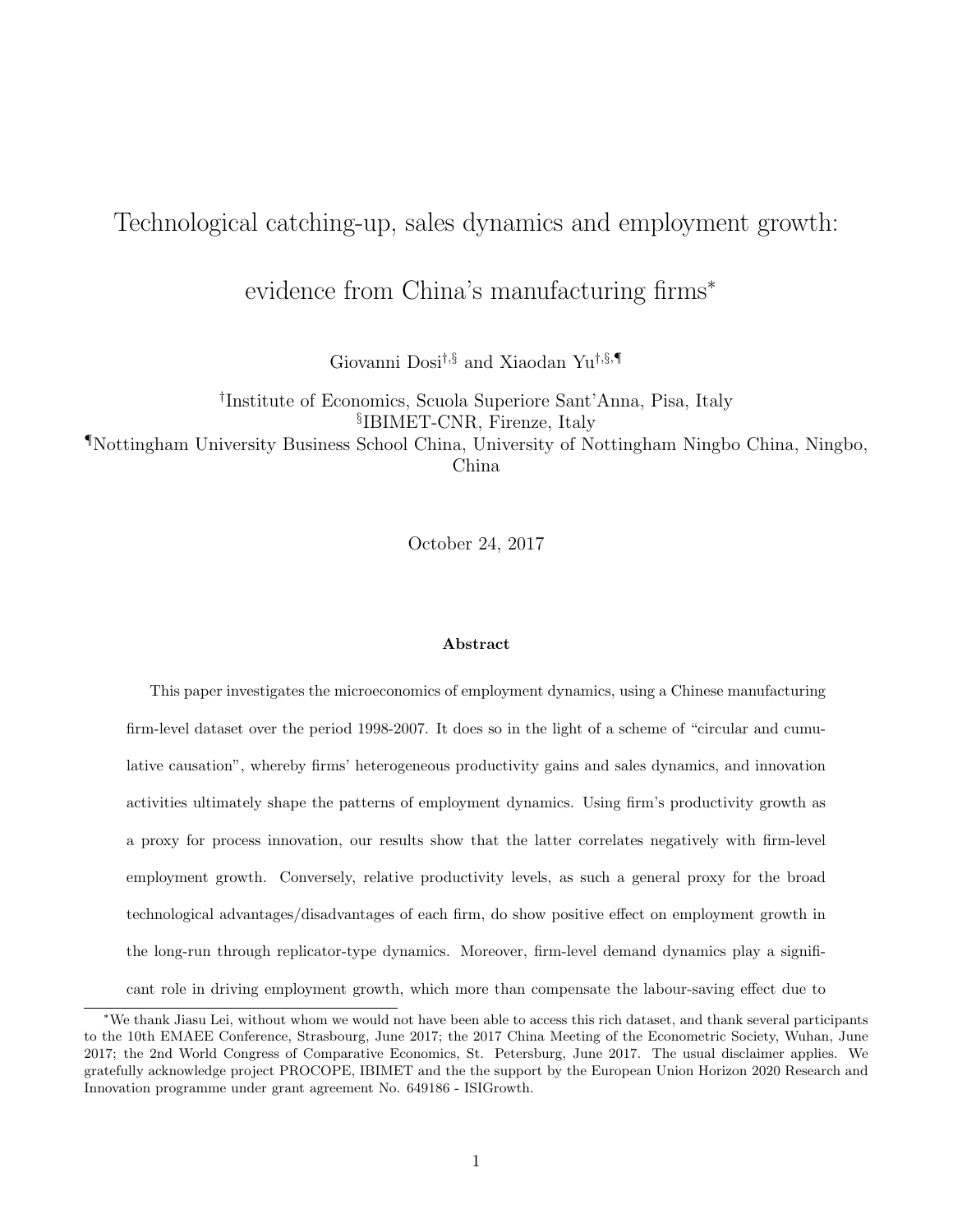# Technological catching-up, sales dynamics and employment growth:

evidence from China's manufacturing firms<sup>∗</sup>

Giovanni Dosi†,§ and Xiaodan Yu†,§,¶

† Institute of Economics, Scuola Superiore Sant'Anna, Pisa, Italy § IBIMET-CNR, Firenze, Italy ¶Nottingham University Business School China, University of Nottingham Ningbo China, Ningbo, China

October 24, 2017

#### Abstract

This paper investigates the microeconomics of employment dynamics, using a Chinese manufacturing firm-level dataset over the period 1998-2007. It does so in the light of a scheme of "circular and cumulative causation", whereby firms' heterogeneous productivity gains and sales dynamics, and innovation activities ultimately shape the patterns of employment dynamics. Using firm's productivity growth as a proxy for process innovation, our results show that the latter correlates negatively with firm-level employment growth. Conversely, relative productivity levels, as such a general proxy for the broad technological advantages/disadvantages of each firm, do show positive effect on employment growth in the long-run through replicator-type dynamics. Moreover, firm-level demand dynamics play a significant role in driving employment growth, which more than compensate the labour-saving effect due to

<sup>∗</sup>We thank Jiasu Lei, without whom we would not have been able to access this rich dataset, and thank several participants to the 10th EMAEE Conference, Strasbourg, June 2017; the 2017 China Meeting of the Econometric Society, Wuhan, June 2017; the 2nd World Congress of Comparative Economics, St. Petersburg, June 2017. The usual disclaimer applies. We gratefully acknowledge project PROCOPE, IBIMET and the the support by the European Union Horizon 2020 Research and Innovation programme under grant agreement No. 649186 - ISIGrowth.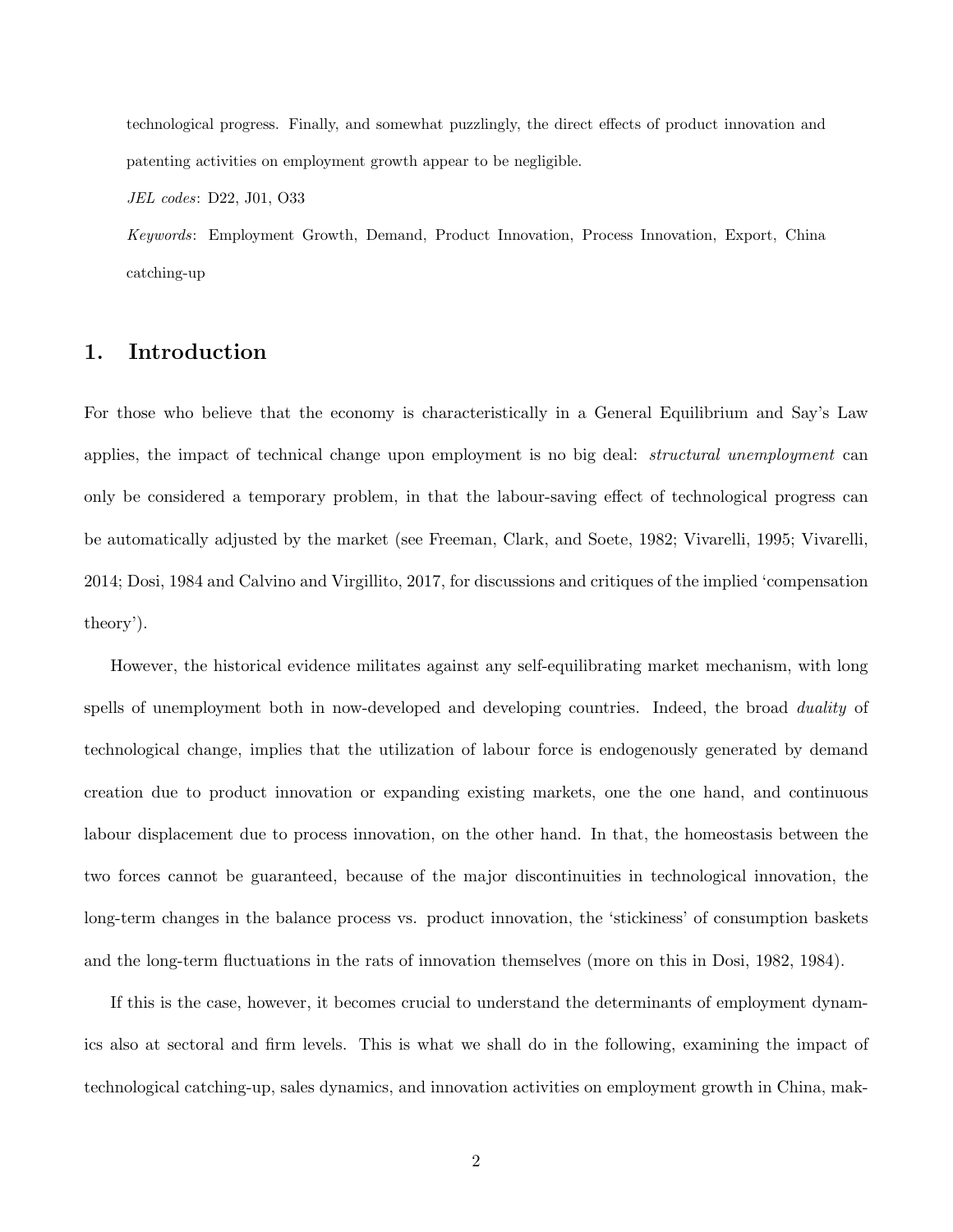technological progress. Finally, and somewhat puzzlingly, the direct effects of product innovation and patenting activities on employment growth appear to be negligible.

*JEL codes*: D22, J01, O33

*Keywords*: Employment Growth, Demand, Product Innovation, Process Innovation, Export, China catching-up

# 1. Introduction

For those who believe that the economy is characteristically in a General Equilibrium and Say's Law applies, the impact of technical change upon employment is no big deal: *structural unemployment* can only be considered a temporary problem, in that the labour-saving effect of technological progress can be automatically adjusted by the market (see Freeman, Clark, and Soete, 1982; Vivarelli, 1995; Vivarelli, 2014; Dosi, 1984 and Calvino and Virgillito, 2017, for discussions and critiques of the implied 'compensation theory').

However, the historical evidence militates against any self-equilibrating market mechanism, with long spells of unemployment both in now-developed and developing countries. Indeed, the broad *duality* of technological change, implies that the utilization of labour force is endogenously generated by demand creation due to product innovation or expanding existing markets, one the one hand, and continuous labour displacement due to process innovation, on the other hand. In that, the homeostasis between the two forces cannot be guaranteed, because of the major discontinuities in technological innovation, the long-term changes in the balance process vs. product innovation, the 'stickiness' of consumption baskets and the long-term fluctuations in the rats of innovation themselves (more on this in Dosi, 1982, 1984).

If this is the case, however, it becomes crucial to understand the determinants of employment dynamics also at sectoral and firm levels. This is what we shall do in the following, examining the impact of technological catching-up, sales dynamics, and innovation activities on employment growth in China, mak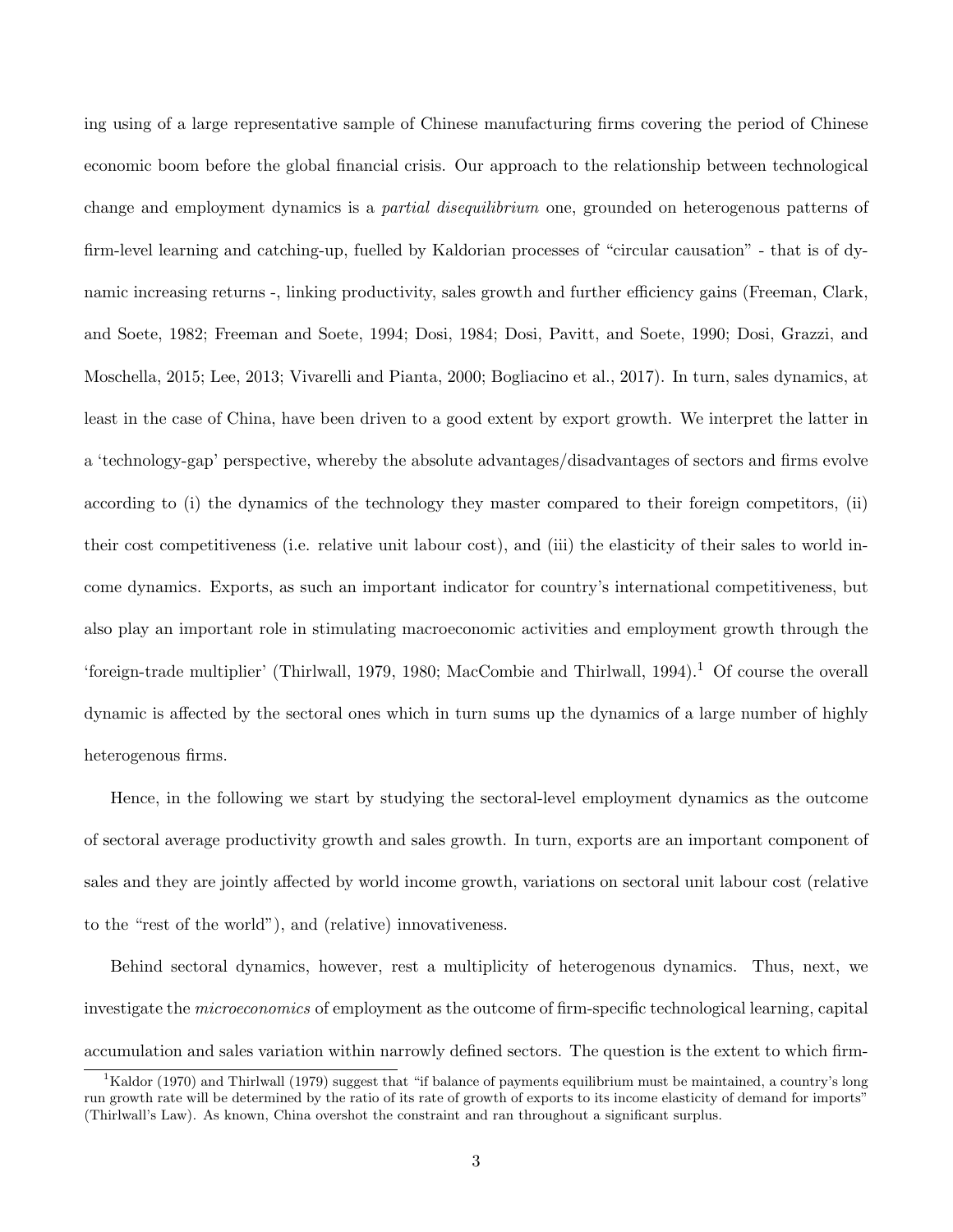ing using of a large representative sample of Chinese manufacturing firms covering the period of Chinese economic boom before the global financial crisis. Our approach to the relationship between technological change and employment dynamics is a *partial disequilibrium* one, grounded on heterogenous patterns of firm-level learning and catching-up, fuelled by Kaldorian processes of "circular causation" - that is of dynamic increasing returns -, linking productivity, sales growth and further efficiency gains (Freeman, Clark, and Soete, 1982; Freeman and Soete, 1994; Dosi, 1984; Dosi, Pavitt, and Soete, 1990; Dosi, Grazzi, and Moschella, 2015; Lee, 2013; Vivarelli and Pianta, 2000; Bogliacino et al., 2017). In turn, sales dynamics, at least in the case of China, have been driven to a good extent by export growth. We interpret the latter in a 'technology-gap' perspective, whereby the absolute advantages/disadvantages of sectors and firms evolve according to (i) the dynamics of the technology they master compared to their foreign competitors, (ii) their cost competitiveness (i.e. relative unit labour cost), and (iii) the elasticity of their sales to world income dynamics. Exports, as such an important indicator for country's international competitiveness, but also play an important role in stimulating macroeconomic activities and employment growth through the 'foreign-trade multiplier' (Thirlwall, 1979, 1980; MacCombie and Thirlwall, 1994).<sup>1</sup> Of course the overall dynamic is affected by the sectoral ones which in turn sums up the dynamics of a large number of highly heterogenous firms.

Hence, in the following we start by studying the sectoral-level employment dynamics as the outcome of sectoral average productivity growth and sales growth. In turn, exports are an important component of sales and they are jointly affected by world income growth, variations on sectoral unit labour cost (relative to the "rest of the world"), and (relative) innovativeness.

Behind sectoral dynamics, however, rest a multiplicity of heterogenous dynamics. Thus, next, we investigate the *microeconomics* of employment as the outcome of firm-specific technological learning, capital accumulation and sales variation within narrowly defined sectors. The question is the extent to which firm-

 ${}^{1}$ Kaldor (1970) and Thirlwall (1979) suggest that "if balance of payments equilibrium must be maintained, a country's long run growth rate will be determined by the ratio of its rate of growth of exports to its income elasticity of demand for imports" (Thirlwall's Law). As known, China overshot the constraint and ran throughout a significant surplus.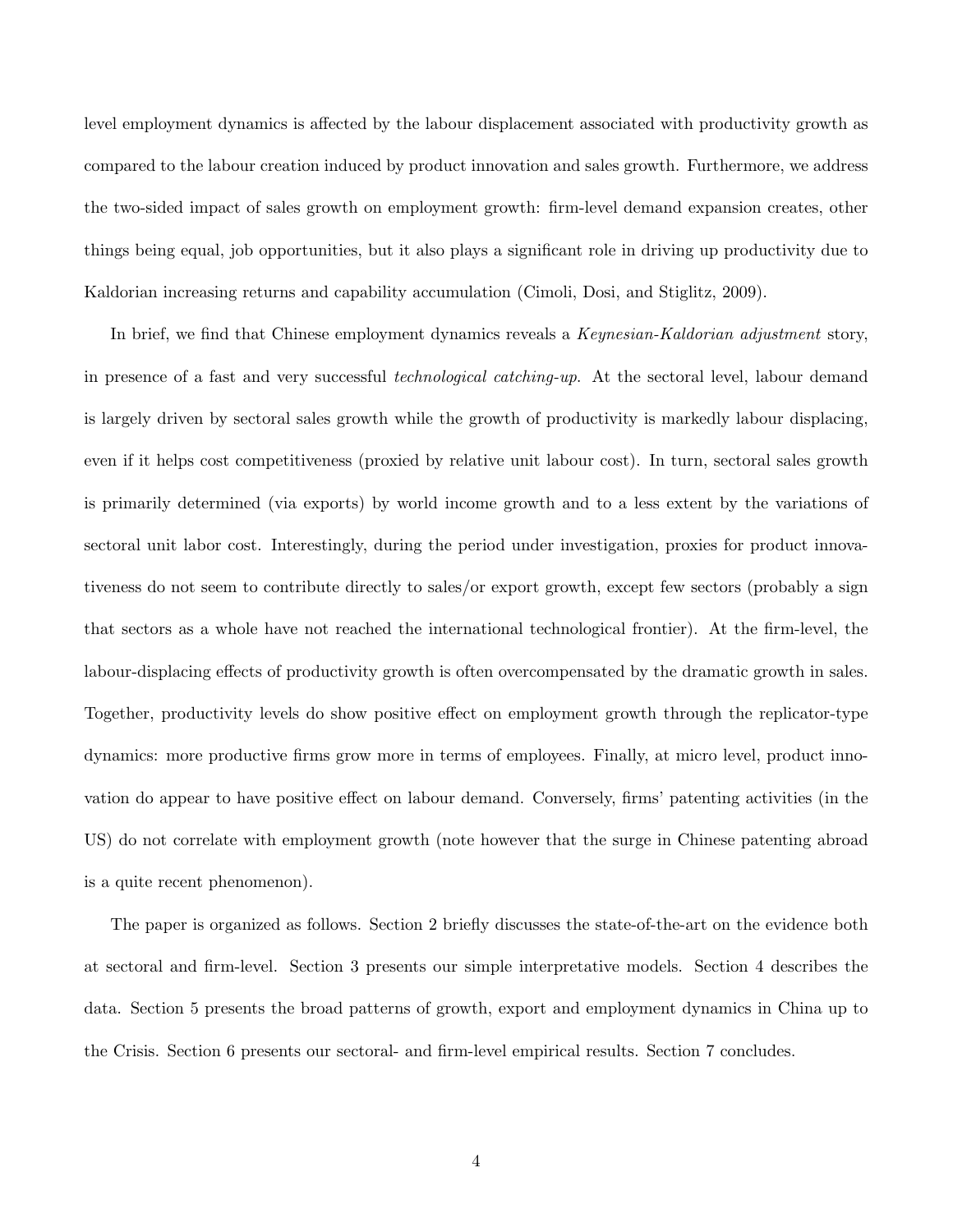level employment dynamics is affected by the labour displacement associated with productivity growth as compared to the labour creation induced by product innovation and sales growth. Furthermore, we address the two-sided impact of sales growth on employment growth: firm-level demand expansion creates, other things being equal, job opportunities, but it also plays a significant role in driving up productivity due to Kaldorian increasing returns and capability accumulation (Cimoli, Dosi, and Stiglitz, 2009).

In brief, we find that Chinese employment dynamics reveals a *Keynesian-Kaldorian adjustment* story, in presence of a fast and very successful *technological catching-up*. At the sectoral level, labour demand is largely driven by sectoral sales growth while the growth of productivity is markedly labour displacing, even if it helps cost competitiveness (proxied by relative unit labour cost). In turn, sectoral sales growth is primarily determined (via exports) by world income growth and to a less extent by the variations of sectoral unit labor cost. Interestingly, during the period under investigation, proxies for product innovativeness do not seem to contribute directly to sales/or export growth, except few sectors (probably a sign that sectors as a whole have not reached the international technological frontier). At the firm-level, the labour-displacing effects of productivity growth is often overcompensated by the dramatic growth in sales. Together, productivity levels do show positive effect on employment growth through the replicator-type dynamics: more productive firms grow more in terms of employees. Finally, at micro level, product innovation do appear to have positive effect on labour demand. Conversely, firms' patenting activities (in the US) do not correlate with employment growth (note however that the surge in Chinese patenting abroad is a quite recent phenomenon).

The paper is organized as follows. Section 2 briefly discusses the state-of-the-art on the evidence both at sectoral and firm-level. Section 3 presents our simple interpretative models. Section 4 describes the data. Section 5 presents the broad patterns of growth, export and employment dynamics in China up to the Crisis. Section 6 presents our sectoral- and firm-level empirical results. Section 7 concludes.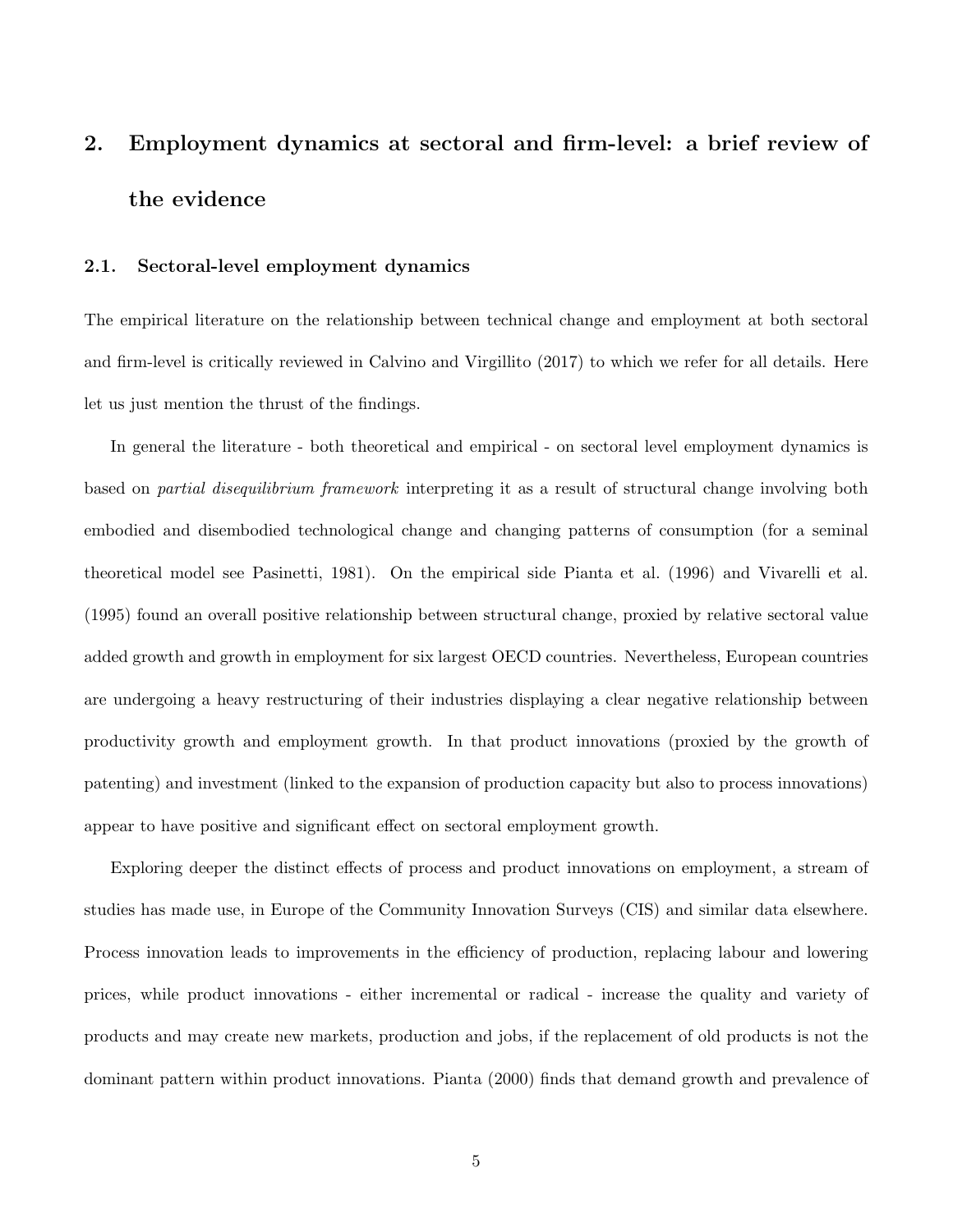# 2. Employment dynamics at sectoral and firm-level: a brief review of the evidence

### 2.1. Sectoral-level employment dynamics

The empirical literature on the relationship between technical change and employment at both sectoral and firm-level is critically reviewed in Calvino and Virgillito (2017) to which we refer for all details. Here let us just mention the thrust of the findings.

In general the literature - both theoretical and empirical - on sectoral level employment dynamics is based on *partial disequilibrium framework* interpreting it as a result of structural change involving both embodied and disembodied technological change and changing patterns of consumption (for a seminal theoretical model see Pasinetti, 1981). On the empirical side Pianta et al. (1996) and Vivarelli et al. (1995) found an overall positive relationship between structural change, proxied by relative sectoral value added growth and growth in employment for six largest OECD countries. Nevertheless, European countries are undergoing a heavy restructuring of their industries displaying a clear negative relationship between productivity growth and employment growth. In that product innovations (proxied by the growth of patenting) and investment (linked to the expansion of production capacity but also to process innovations) appear to have positive and significant effect on sectoral employment growth.

Exploring deeper the distinct effects of process and product innovations on employment, a stream of studies has made use, in Europe of the Community Innovation Surveys (CIS) and similar data elsewhere. Process innovation leads to improvements in the efficiency of production, replacing labour and lowering prices, while product innovations - either incremental or radical - increase the quality and variety of products and may create new markets, production and jobs, if the replacement of old products is not the dominant pattern within product innovations. Pianta (2000) finds that demand growth and prevalence of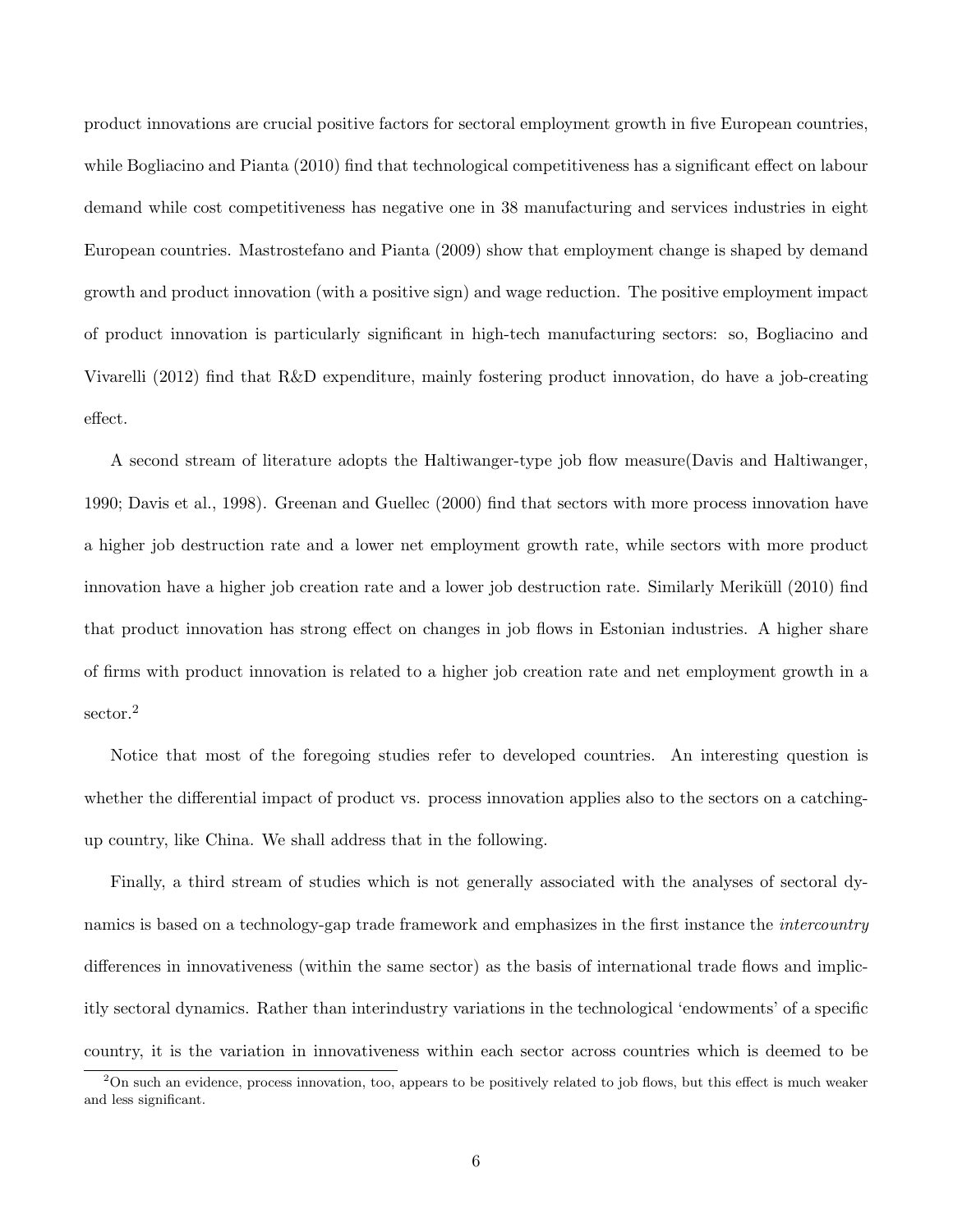product innovations are crucial positive factors for sectoral employment growth in five European countries, while Bogliacino and Pianta (2010) find that technological competitiveness has a significant effect on labour demand while cost competitiveness has negative one in 38 manufacturing and services industries in eight European countries. Mastrostefano and Pianta (2009) show that employment change is shaped by demand growth and product innovation (with a positive sign) and wage reduction. The positive employment impact of product innovation is particularly significant in high-tech manufacturing sectors: so, Bogliacino and Vivarelli (2012) find that R&D expenditure, mainly fostering product innovation, do have a job-creating effect.

A second stream of literature adopts the Haltiwanger-type job flow measure(Davis and Haltiwanger, 1990; Davis et al., 1998). Greenan and Guellec (2000) find that sectors with more process innovation have a higher job destruction rate and a lower net employment growth rate, while sectors with more product innovation have a higher job creation rate and a lower job destruction rate. Similarly Meriküll (2010) find that product innovation has strong effect on changes in job flows in Estonian industries. A higher share of firms with product innovation is related to a higher job creation rate and net employment growth in a sector.<sup>2</sup>

Notice that most of the foregoing studies refer to developed countries. An interesting question is whether the differential impact of product vs. process innovation applies also to the sectors on a catchingup country, like China. We shall address that in the following.

Finally, a third stream of studies which is not generally associated with the analyses of sectoral dynamics is based on a technology-gap trade framework and emphasizes in the first instance the *intercountry* differences in innovativeness (within the same sector) as the basis of international trade flows and implicitly sectoral dynamics. Rather than interindustry variations in the technological 'endowments' of a specific country, it is the variation in innovativeness within each sector across countries which is deemed to be

<sup>&</sup>lt;sup>2</sup>On such an evidence, process innovation, too, appears to be positively related to job flows, but this effect is much weaker and less significant.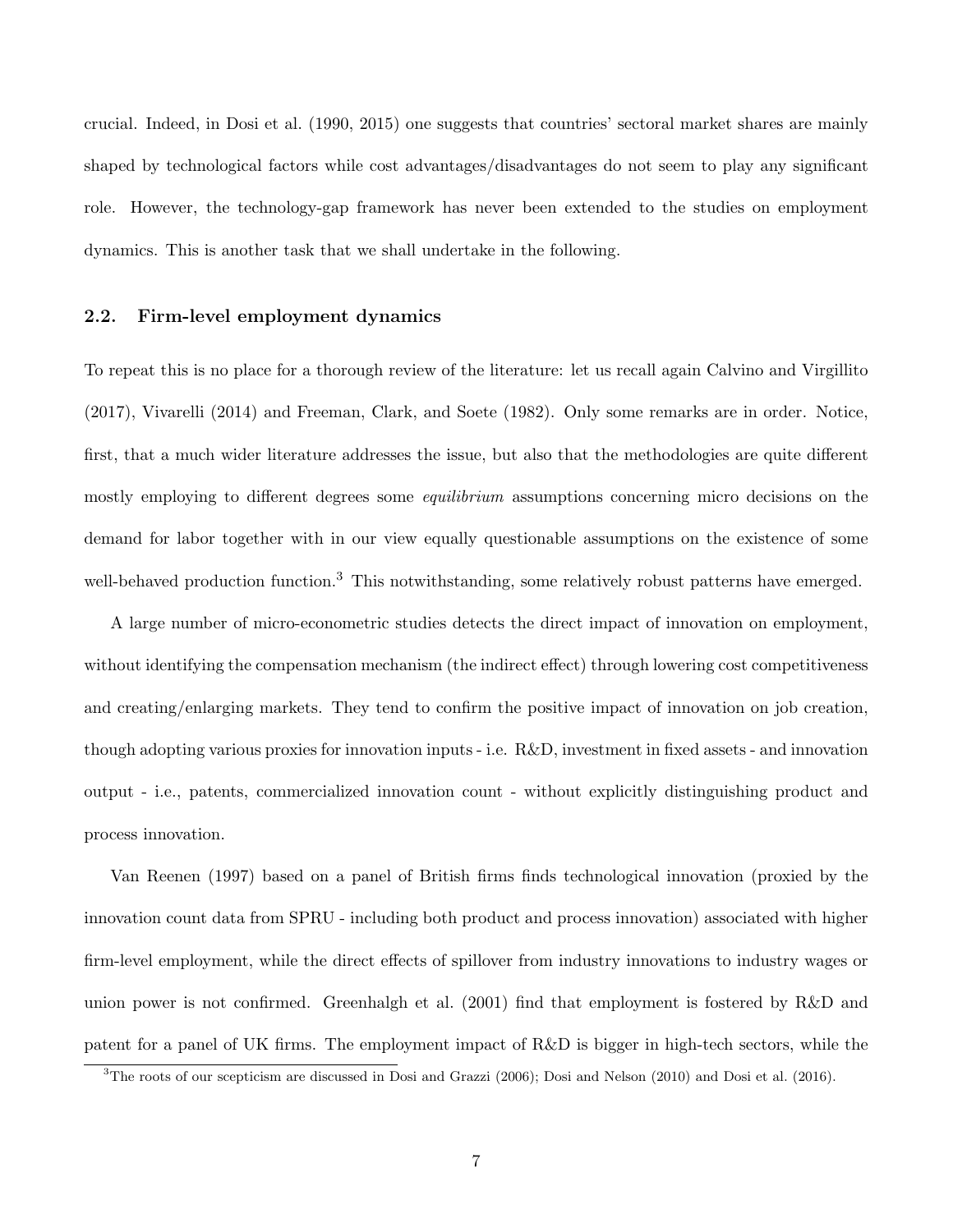crucial. Indeed, in Dosi et al. (1990, 2015) one suggests that countries' sectoral market shares are mainly shaped by technological factors while cost advantages/disadvantages do not seem to play any significant role. However, the technology-gap framework has never been extended to the studies on employment dynamics. This is another task that we shall undertake in the following.

#### 2.2. Firm-level employment dynamics

To repeat this is no place for a thorough review of the literature: let us recall again Calvino and Virgillito (2017), Vivarelli (2014) and Freeman, Clark, and Soete (1982). Only some remarks are in order. Notice, first, that a much wider literature addresses the issue, but also that the methodologies are quite different mostly employing to different degrees some *equilibrium* assumptions concerning micro decisions on the demand for labor together with in our view equally questionable assumptions on the existence of some well-behaved production function.<sup>3</sup> This notwithstanding, some relatively robust patterns have emerged.

A large number of micro-econometric studies detects the direct impact of innovation on employment, without identifying the compensation mechanism (the indirect effect) through lowering cost competitiveness and creating/enlarging markets. They tend to confirm the positive impact of innovation on job creation, though adopting various proxies for innovation inputs - i.e. R&D, investment in fixed assets - and innovation output - i.e., patents, commercialized innovation count - without explicitly distinguishing product and process innovation.

Van Reenen (1997) based on a panel of British firms finds technological innovation (proxied by the innovation count data from SPRU - including both product and process innovation) associated with higher firm-level employment, while the direct effects of spillover from industry innovations to industry wages or union power is not confirmed. Greenhalgh et al. (2001) find that employment is fostered by R&D and patent for a panel of UK firms. The employment impact of R&D is bigger in high-tech sectors, while the

<sup>3</sup>The roots of our scepticism are discussed in Dosi and Grazzi (2006); Dosi and Nelson (2010) and Dosi et al. (2016).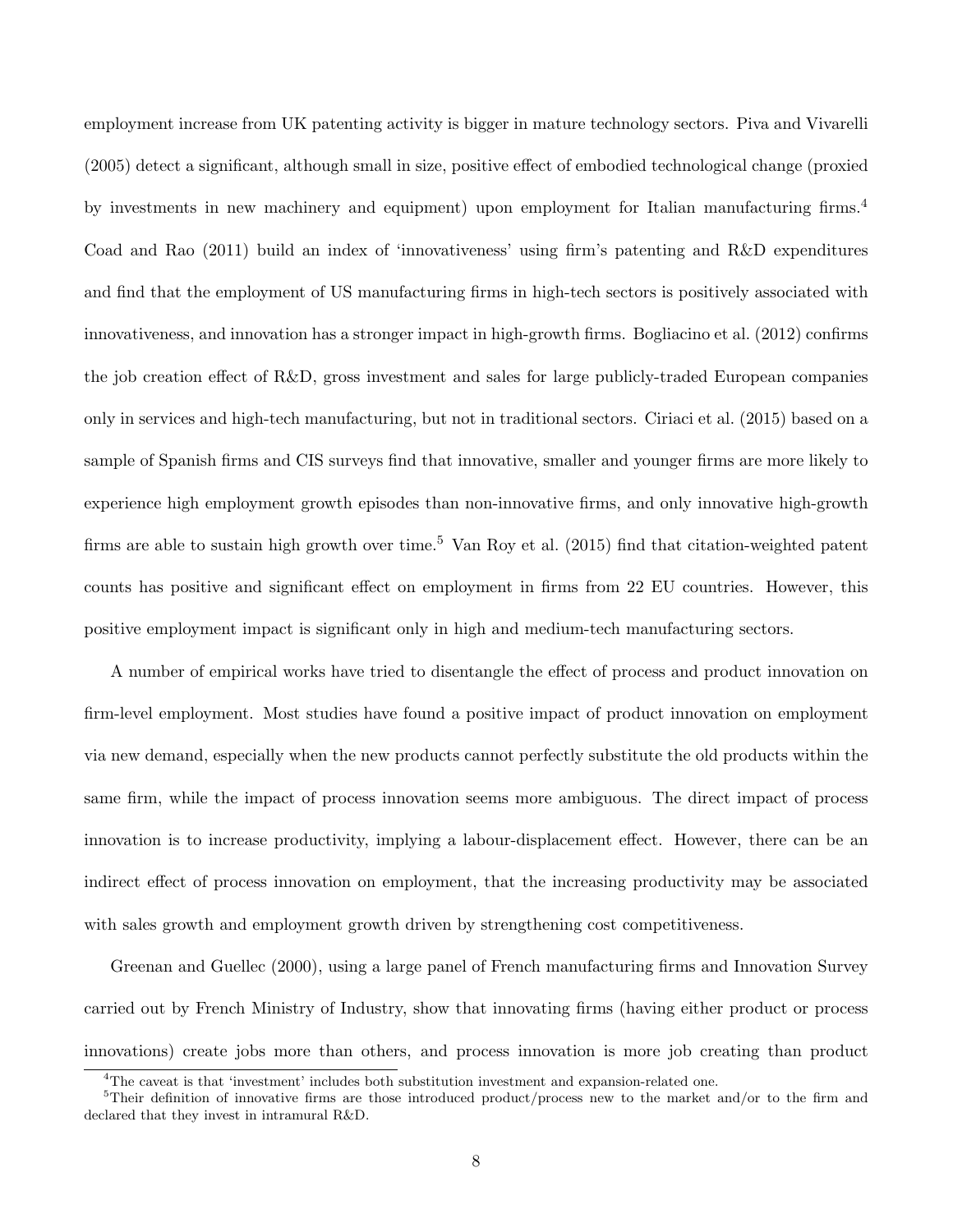employment increase from UK patenting activity is bigger in mature technology sectors. Piva and Vivarelli (2005) detect a significant, although small in size, positive effect of embodied technological change (proxied by investments in new machinery and equipment) upon employment for Italian manufacturing firms.<sup>4</sup> Coad and Rao (2011) build an index of 'innovativeness' using firm's patenting and R&D expenditures and find that the employment of US manufacturing firms in high-tech sectors is positively associated with innovativeness, and innovation has a stronger impact in high-growth firms. Bogliacino et al. (2012) confirms the job creation effect of R&D, gross investment and sales for large publicly-traded European companies only in services and high-tech manufacturing, but not in traditional sectors. Ciriaci et al. (2015) based on a sample of Spanish firms and CIS surveys find that innovative, smaller and younger firms are more likely to experience high employment growth episodes than non-innovative firms, and only innovative high-growth firms are able to sustain high growth over time.<sup>5</sup> Van Roy et al.  $(2015)$  find that citation-weighted patent counts has positive and significant effect on employment in firms from 22 EU countries. However, this positive employment impact is significant only in high and medium-tech manufacturing sectors.

A number of empirical works have tried to disentangle the effect of process and product innovation on firm-level employment. Most studies have found a positive impact of product innovation on employment via new demand, especially when the new products cannot perfectly substitute the old products within the same firm, while the impact of process innovation seems more ambiguous. The direct impact of process innovation is to increase productivity, implying a labour-displacement effect. However, there can be an indirect effect of process innovation on employment, that the increasing productivity may be associated with sales growth and employment growth driven by strengthening cost competitiveness.

Greenan and Guellec (2000), using a large panel of French manufacturing firms and Innovation Survey carried out by French Ministry of Industry, show that innovating firms (having either product or process innovations) create jobs more than others, and process innovation is more job creating than product

<sup>&</sup>lt;sup>4</sup>The caveat is that 'investment' includes both substitution investment and expansion-related one.

<sup>5</sup>Their definition of innovative firms are those introduced product/process new to the market and/or to the firm and declared that they invest in intramural R&D.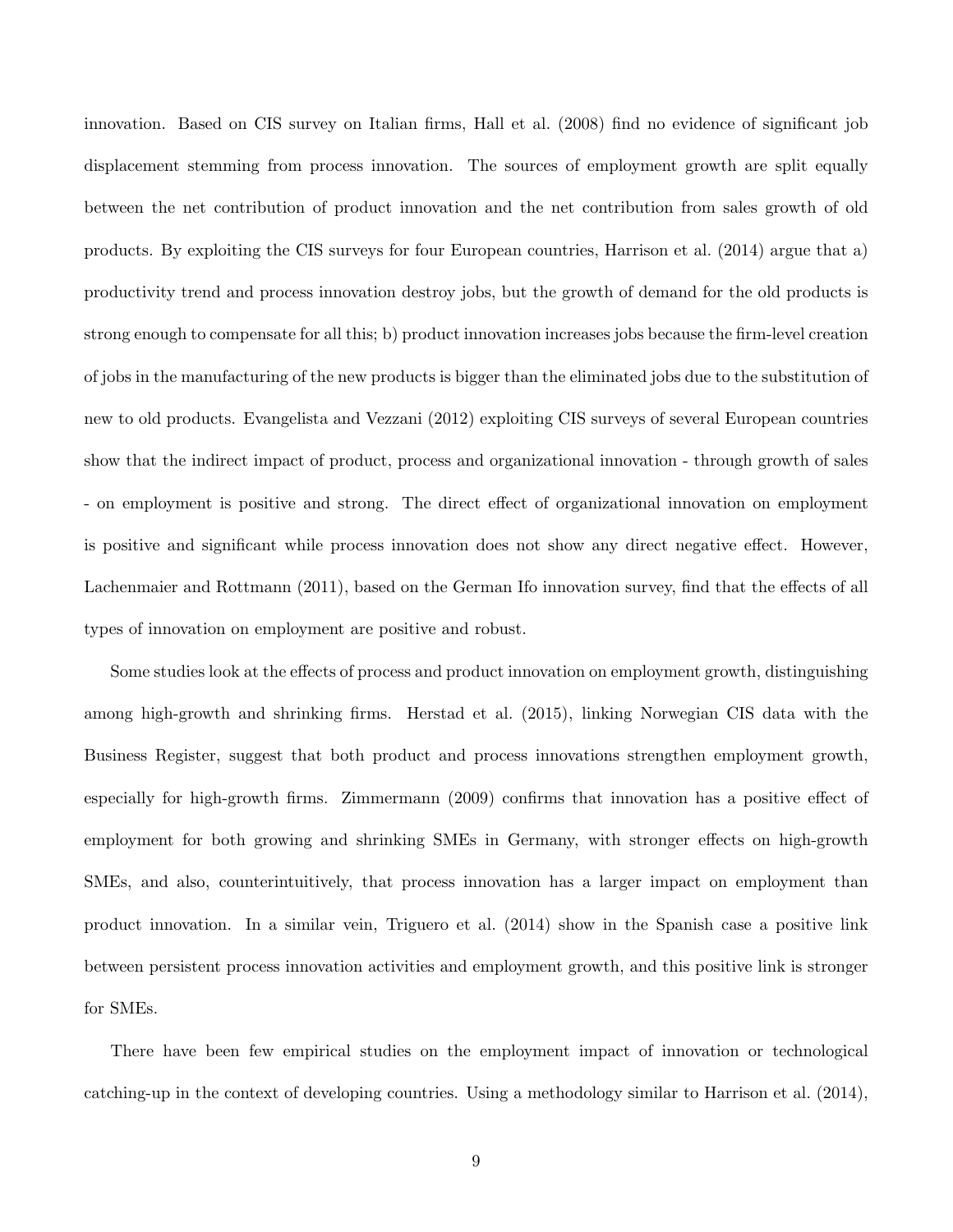innovation. Based on CIS survey on Italian firms, Hall et al. (2008) find no evidence of significant job displacement stemming from process innovation. The sources of employment growth are split equally between the net contribution of product innovation and the net contribution from sales growth of old products. By exploiting the CIS surveys for four European countries, Harrison et al. (2014) argue that a) productivity trend and process innovation destroy jobs, but the growth of demand for the old products is strong enough to compensate for all this; b) product innovation increases jobs because the firm-level creation of jobs in the manufacturing of the new products is bigger than the eliminated jobs due to the substitution of new to old products. Evangelista and Vezzani (2012) exploiting CIS surveys of several European countries show that the indirect impact of product, process and organizational innovation - through growth of sales - on employment is positive and strong. The direct effect of organizational innovation on employment is positive and significant while process innovation does not show any direct negative effect. However, Lachenmaier and Rottmann (2011), based on the German Ifo innovation survey, find that the effects of all types of innovation on employment are positive and robust.

Some studies look at the effects of process and product innovation on employment growth, distinguishing among high-growth and shrinking firms. Herstad et al. (2015), linking Norwegian CIS data with the Business Register, suggest that both product and process innovations strengthen employment growth, especially for high-growth firms. Zimmermann (2009) confirms that innovation has a positive effect of employment for both growing and shrinking SMEs in Germany, with stronger effects on high-growth SMEs, and also, counterintuitively, that process innovation has a larger impact on employment than product innovation. In a similar vein, Triguero et al. (2014) show in the Spanish case a positive link between persistent process innovation activities and employment growth, and this positive link is stronger for SMEs.

There have been few empirical studies on the employment impact of innovation or technological catching-up in the context of developing countries. Using a methodology similar to Harrison et al. (2014),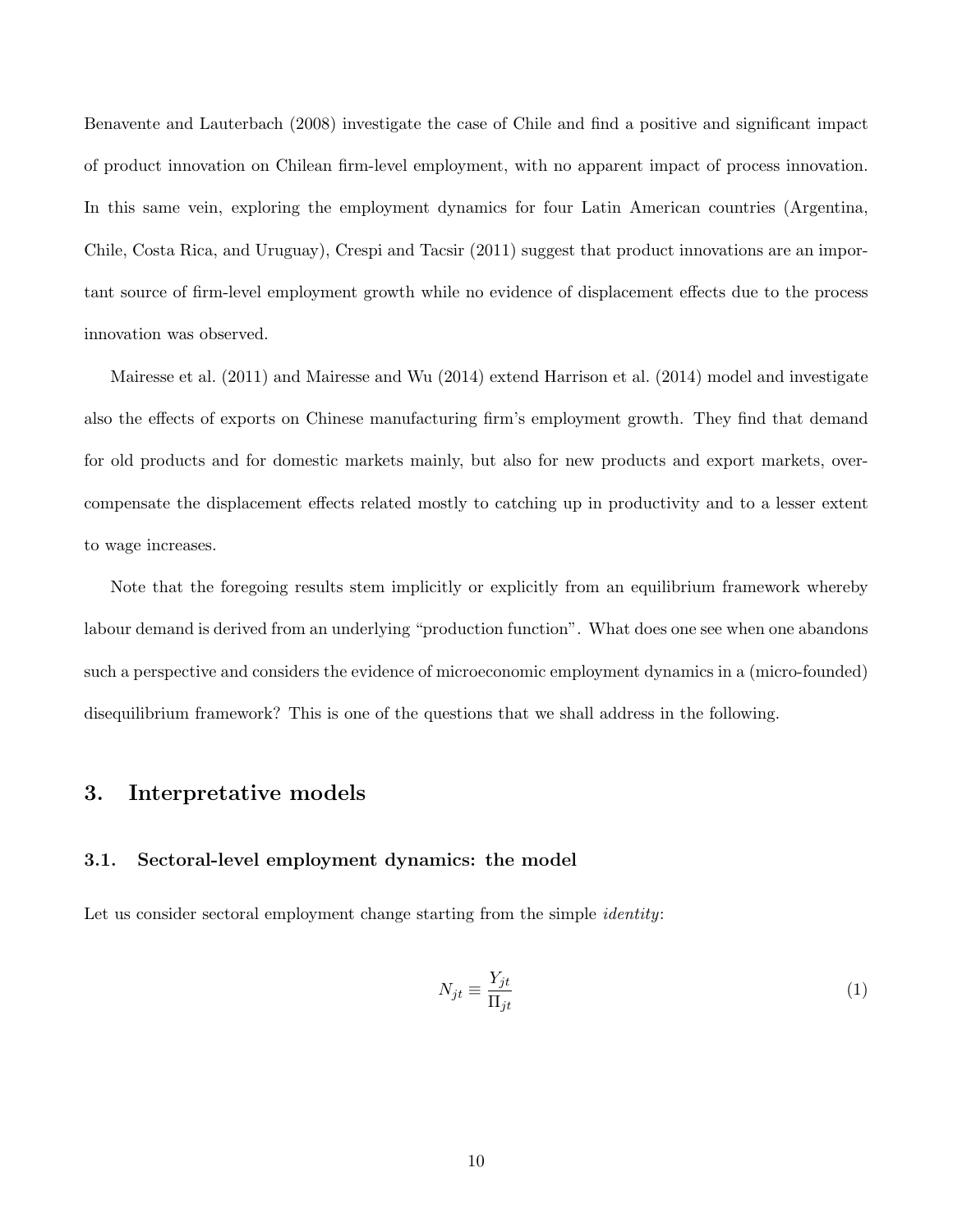Benavente and Lauterbach (2008) investigate the case of Chile and find a positive and significant impact of product innovation on Chilean firm-level employment, with no apparent impact of process innovation. In this same vein, exploring the employment dynamics for four Latin American countries (Argentina, Chile, Costa Rica, and Uruguay), Crespi and Tacsir (2011) suggest that product innovations are an important source of firm-level employment growth while no evidence of displacement effects due to the process innovation was observed.

Mairesse et al. (2011) and Mairesse and Wu (2014) extend Harrison et al. (2014) model and investigate also the effects of exports on Chinese manufacturing firm's employment growth. They find that demand for old products and for domestic markets mainly, but also for new products and export markets, overcompensate the displacement effects related mostly to catching up in productivity and to a lesser extent to wage increases.

Note that the foregoing results stem implicitly or explicitly from an equilibrium framework whereby labour demand is derived from an underlying "production function". What does one see when one abandons such a perspective and considers the evidence of microeconomic employment dynamics in a (micro-founded) disequilibrium framework? This is one of the questions that we shall address in the following.

# 3. Interpretative models

#### 3.1. Sectoral-level employment dynamics: the model

Let us consider sectoral employment change starting from the simple *identity*:

$$
N_{jt} \equiv \frac{Y_{jt}}{\Pi_{jt}}\tag{1}
$$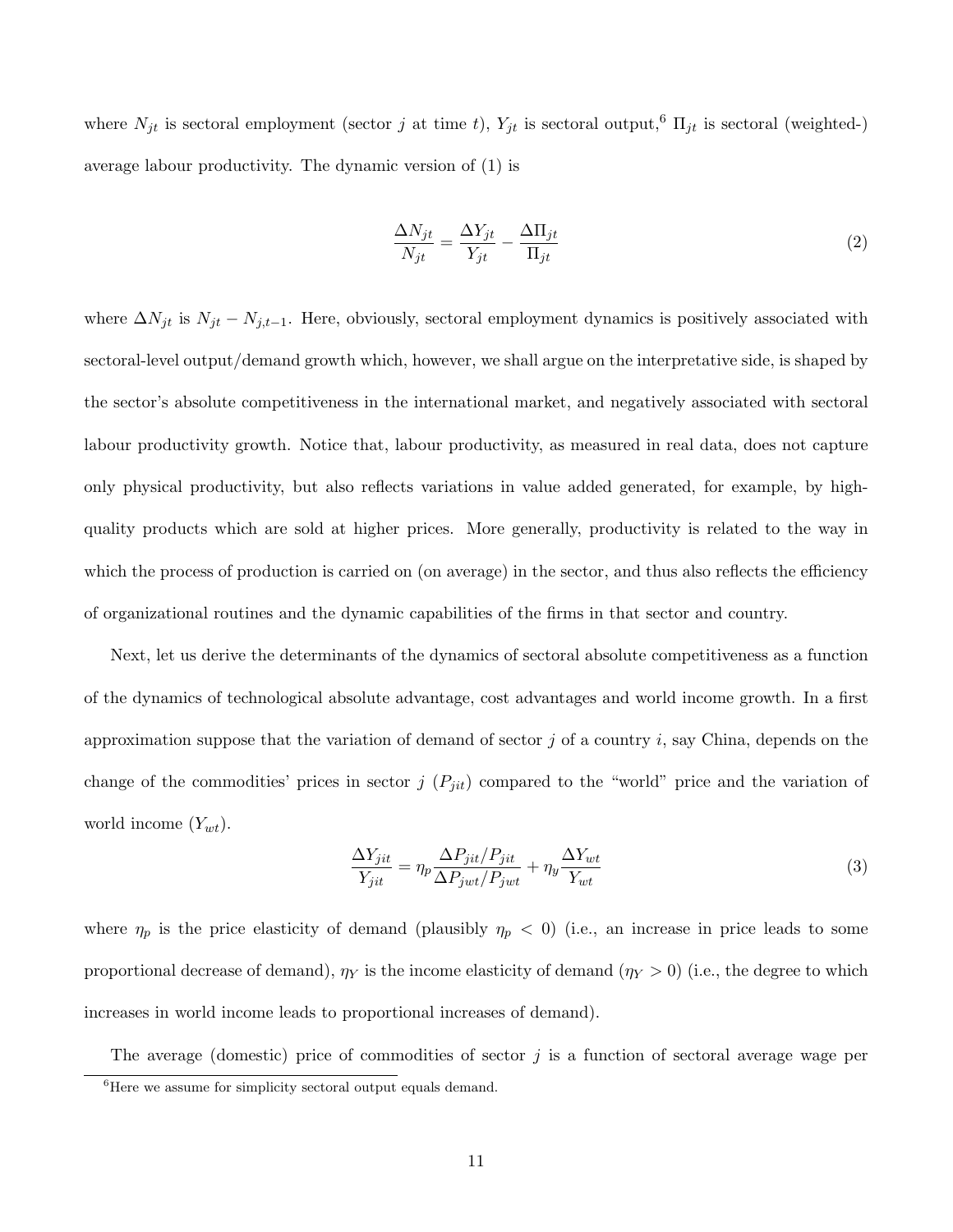where  $N_{jt}$  is sectoral employment (sector j at time t),  $Y_{jt}$  is sectoral output,<sup>6</sup>  $\Pi_{jt}$  is sectoral (weighted-) average labour productivity. The dynamic version of (1) is

$$
\frac{\Delta N_{jt}}{N_{jt}} = \frac{\Delta Y_{jt}}{Y_{jt}} - \frac{\Delta \Pi_{jt}}{\Pi_{jt}}
$$
\n(2)

where  $\Delta N_{jt}$  is  $N_{jt} - N_{j,t-1}$ . Here, obviously, sectoral employment dynamics is positively associated with sectoral-level output/demand growth which, however, we shall argue on the interpretative side, is shaped by the sector's absolute competitiveness in the international market, and negatively associated with sectoral labour productivity growth. Notice that, labour productivity, as measured in real data, does not capture only physical productivity, but also reflects variations in value added generated, for example, by highquality products which are sold at higher prices. More generally, productivity is related to the way in which the process of production is carried on (on average) in the sector, and thus also reflects the efficiency of organizational routines and the dynamic capabilities of the firms in that sector and country.

Next, let us derive the determinants of the dynamics of sectoral absolute competitiveness as a function of the dynamics of technological absolute advantage, cost advantages and world income growth. In a first approximation suppose that the variation of demand of sector  $j$  of a country  $i$ , say China, depends on the change of the commodities' prices in sector  $j(P_{jit})$  compared to the "world" price and the variation of world income  $(Y_{wt})$ .

$$
\frac{\Delta Y_{jit}}{Y_{jit}} = \eta_p \frac{\Delta P_{jit} / P_{jit}}{\Delta P_{jwt} / P_{jwt}} + \eta_y \frac{\Delta Y_{wt}}{Y_{wt}}
$$
\n(3)

where  $\eta_p$  is the price elasticity of demand (plausibly  $\eta_p < 0$ ) (i.e., an increase in price leads to some proportional decrease of demand),  $\eta_Y$  is the income elasticity of demand  $(\eta_Y > 0)$  (i.e., the degree to which increases in world income leads to proportional increases of demand).

The average (domestic) price of commodities of sector  $j$  is a function of sectoral average wage per

<sup>&</sup>lt;sup>6</sup>Here we assume for simplicity sectoral output equals demand.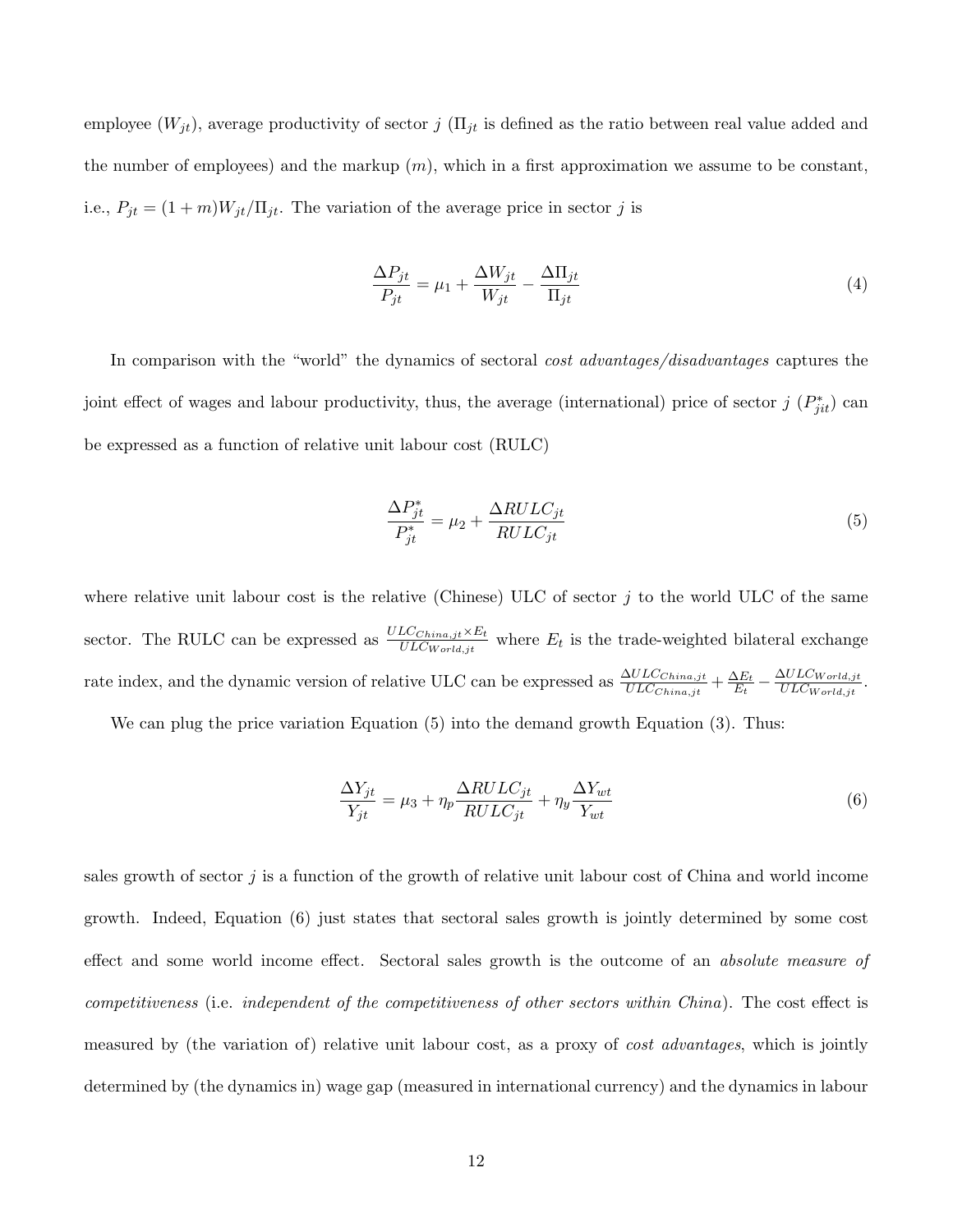employee  $(W_{jt})$ , average productivity of sector  $j$  ( $\Pi_{jt}$  is defined as the ratio between real value added and the number of employees) and the markup  $(m)$ , which in a first approximation we assume to be constant, i.e.,  $P_{jt} = (1 + m)W_{jt}/\Pi_{jt}$ . The variation of the average price in sector j is

$$
\frac{\Delta P_{jt}}{P_{jt}} = \mu_1 + \frac{\Delta W_{jt}}{W_{jt}} - \frac{\Delta \Pi_{jt}}{\Pi_{jt}}
$$
\n(4)

In comparison with the "world" the dynamics of sectoral *cost advantages/disadvantages* captures the joint effect of wages and labour productivity, thus, the average (international) price of sector  $j(P_{jit}^*)$  can be expressed as a function of relative unit labour cost (RULC)

$$
\frac{\Delta P_{jt}^*}{P_{jt}^*} = \mu_2 + \frac{\Delta RULC_{jt}}{RULC_{jt}}\tag{5}
$$

where relative unit labour cost is the relative (Chinese) ULC of sector  $j$  to the world ULC of the same sector. The RULC can be expressed as  $\frac{ULC_{China,jt} \times E_t}{ULC_{World,jt}}$  where  $E_t$  is the trade-weighted bilateral exchange rate index, and the dynamic version of relative ULC can be expressed as  $\frac{\Delta ULC_{China,jt}}{ULC_{China,jt}} + \frac{\Delta E_t}{E_t}$  $\frac{\Delta E_t}{E_t} - \frac{\Delta ULC_{World,jt}}{ULC_{World,jt}}$  $\frac{SULUWorld,jt}{ULCWorld,jt}.$ 

We can plug the price variation Equation (5) into the demand growth Equation (3). Thus:

$$
\frac{\Delta Y_{jt}}{Y_{jt}} = \mu_3 + \eta_p \frac{\Delta RULC_{jt}}{RULC_{jt}} + \eta_y \frac{\Delta Y_{wt}}{Y_{wt}}
$$
\n
$$
\tag{6}
$$

sales growth of sector j is a function of the growth of relative unit labour cost of China and world income growth. Indeed, Equation (6) just states that sectoral sales growth is jointly determined by some cost effect and some world income effect. Sectoral sales growth is the outcome of an *absolute measure of competitiveness* (i.e. *independent of the competitiveness of other sectors within China*). The cost effect is measured by (the variation of) relative unit labour cost, as a proxy of *cost advantages*, which is jointly determined by (the dynamics in) wage gap (measured in international currency) and the dynamics in labour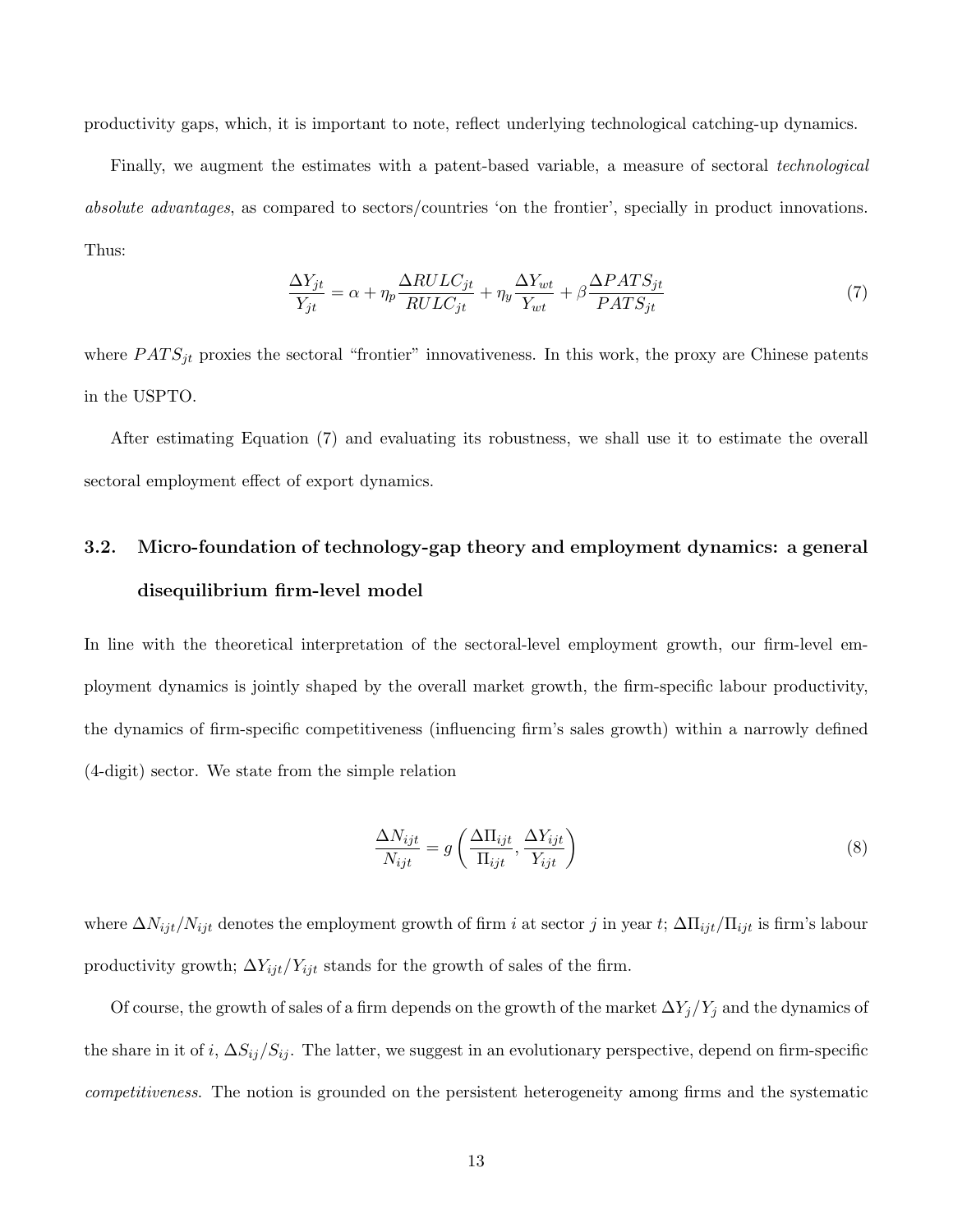productivity gaps, which, it is important to note, reflect underlying technological catching-up dynamics.

Finally, we augment the estimates with a patent-based variable, a measure of sectoral *technological absolute advantages*, as compared to sectors/countries 'on the frontier', specially in product innovations. Thus:

$$
\frac{\Delta Y_{jt}}{Y_{jt}} = \alpha + \eta_p \frac{\Delta RULC_{jt}}{RULC_{jt}} + \eta_y \frac{\Delta Y_{wt}}{Y_{wt}} + \beta \frac{\Delta PATS_{jt}}{PATS_{jt}} \tag{7}
$$

where  $PATS_{jt}$  proxies the sectoral "frontier" innovativeness. In this work, the proxy are Chinese patents in the USPTO.

After estimating Equation (7) and evaluating its robustness, we shall use it to estimate the overall sectoral employment effect of export dynamics.

# 3.2. Micro-foundation of technology-gap theory and employment dynamics: a general disequilibrium firm-level model

In line with the theoretical interpretation of the sectoral-level employment growth, our firm-level employment dynamics is jointly shaped by the overall market growth, the firm-specific labour productivity, the dynamics of firm-specific competitiveness (influencing firm's sales growth) within a narrowly defined (4-digit) sector. We state from the simple relation

$$
\frac{\Delta N_{ijt}}{N_{ijt}} = g\left(\frac{\Delta \Pi_{ijt}}{\Pi_{ijt}}, \frac{\Delta Y_{ijt}}{Y_{ijt}}\right)
$$
\n(8)

where  $\Delta N_{ijt}/N_{ijt}$  denotes the employment growth of firm i at sector j in year t;  $\Delta \Pi_{ijt}/\Pi_{ijt}$  is firm's labour productivity growth;  $\Delta Y_{ijt}/Y_{ijt}$  stands for the growth of sales of the firm.

Of course, the growth of sales of a firm depends on the growth of the market  $\Delta Y_j/Y_j$  and the dynamics of the share in it of i,  $\Delta S_{ij}/S_{ij}$ . The latter, we suggest in an evolutionary perspective, depend on firm-specific *competitiveness*. The notion is grounded on the persistent heterogeneity among firms and the systematic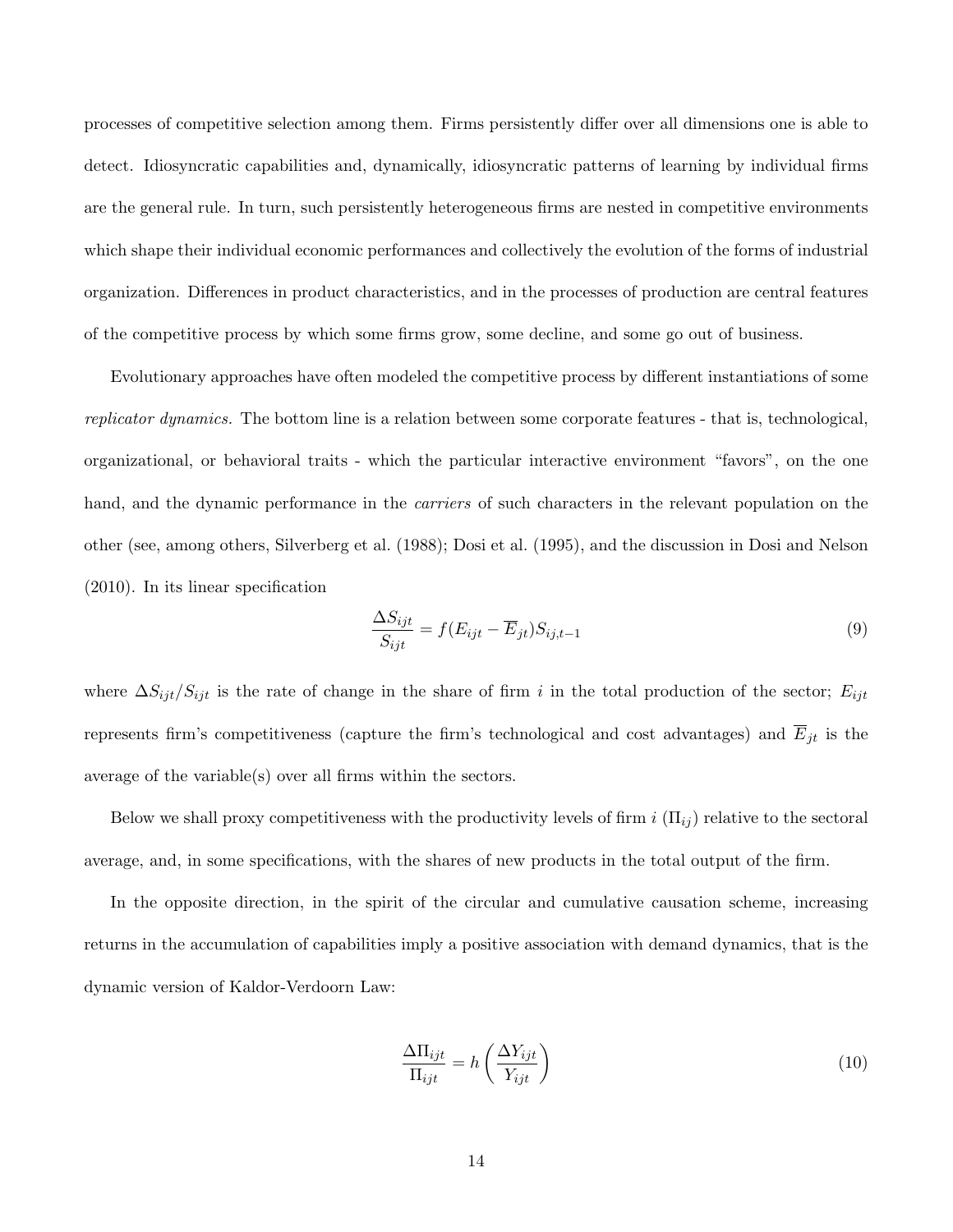processes of competitive selection among them. Firms persistently differ over all dimensions one is able to detect. Idiosyncratic capabilities and, dynamically, idiosyncratic patterns of learning by individual firms are the general rule. In turn, such persistently heterogeneous firms are nested in competitive environments which shape their individual economic performances and collectively the evolution of the forms of industrial organization. Differences in product characteristics, and in the processes of production are central features of the competitive process by which some firms grow, some decline, and some go out of business.

Evolutionary approaches have often modeled the competitive process by different instantiations of some *replicator dynamics.* The bottom line is a relation between some corporate features - that is, technological, organizational, or behavioral traits - which the particular interactive environment "favors", on the one hand, and the dynamic performance in the *carriers* of such characters in the relevant population on the other (see, among others, Silverberg et al. (1988); Dosi et al. (1995), and the discussion in Dosi and Nelson (2010). In its linear specification

$$
\frac{\Delta S_{ijt}}{S_{ijt}} = f(E_{ijt} - \overline{E}_{jt})S_{ij,t-1}
$$
\n(9)

where  $\Delta S_{ijt}/S_{ijt}$  is the rate of change in the share of firm i in the total production of the sector;  $E_{ijt}$ represents firm's competitiveness (capture the firm's technological and cost advantages) and  $\overline{E}_{jt}$  is the average of the variable(s) over all firms within the sectors.

Below we shall proxy competitiveness with the productivity levels of firm  $i(\Pi_{ij})$  relative to the sectoral average, and, in some specifications, with the shares of new products in the total output of the firm.

In the opposite direction, in the spirit of the circular and cumulative causation scheme, increasing returns in the accumulation of capabilities imply a positive association with demand dynamics, that is the dynamic version of Kaldor-Verdoorn Law:

$$
\frac{\Delta \Pi_{ijt}}{\Pi_{ijt}} = h \left( \frac{\Delta Y_{ijt}}{Y_{ijt}} \right)
$$
\n(10)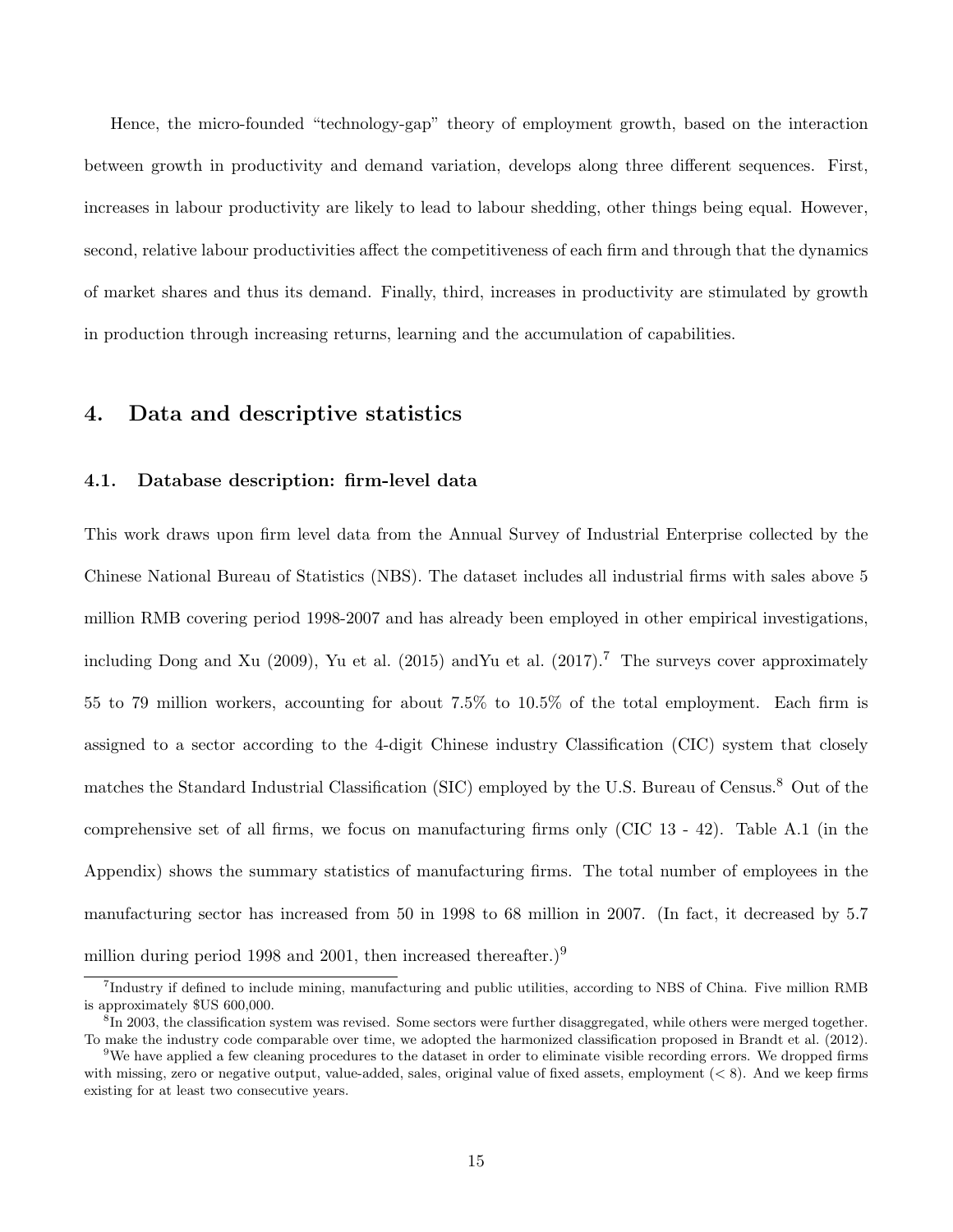Hence, the micro-founded "technology-gap" theory of employment growth, based on the interaction between growth in productivity and demand variation, develops along three different sequences. First, increases in labour productivity are likely to lead to labour shedding, other things being equal. However, second, relative labour productivities affect the competitiveness of each firm and through that the dynamics of market shares and thus its demand. Finally, third, increases in productivity are stimulated by growth in production through increasing returns, learning and the accumulation of capabilities.

# 4. Data and descriptive statistics

#### 4.1. Database description: firm-level data

This work draws upon firm level data from the Annual Survey of Industrial Enterprise collected by the Chinese National Bureau of Statistics (NBS). The dataset includes all industrial firms with sales above 5 million RMB covering period 1998-2007 and has already been employed in other empirical investigations, including Dong and Xu (2009), Yu et al. (2015) and Yu et al. (2017).<sup>7</sup> The surveys cover approximately 55 to 79 million workers, accounting for about 7.5% to 10.5% of the total employment. Each firm is assigned to a sector according to the 4-digit Chinese industry Classification (CIC) system that closely matches the Standard Industrial Classification (SIC) employed by the U.S. Bureau of Census.<sup>8</sup> Out of the comprehensive set of all firms, we focus on manufacturing firms only (CIC 13 - 42). Table A.1 (in the Appendix) shows the summary statistics of manufacturing firms. The total number of employees in the manufacturing sector has increased from 50 in 1998 to 68 million in 2007. (In fact, it decreased by 5.7 million during period 1998 and 2001, then increased thereafter.)<sup>9</sup>

<sup>7</sup> Industry if defined to include mining, manufacturing and public utilities, according to NBS of China. Five million RMB is approximately \$US 600,000.

<sup>&</sup>lt;sup>8</sup>In 2003, the classification system was revised. Some sectors were further disaggregated, while others were merged together. To make the industry code comparable over time, we adopted the harmonized classification proposed in Brandt et al. (2012).

<sup>&</sup>lt;sup>9</sup>We have applied a few cleaning procedures to the dataset in order to eliminate visible recording errors. We dropped firms with missing, zero or negative output, value-added, sales, original value of fixed assets, employment  $(< 8$ ). And we keep firms existing for at least two consecutive years.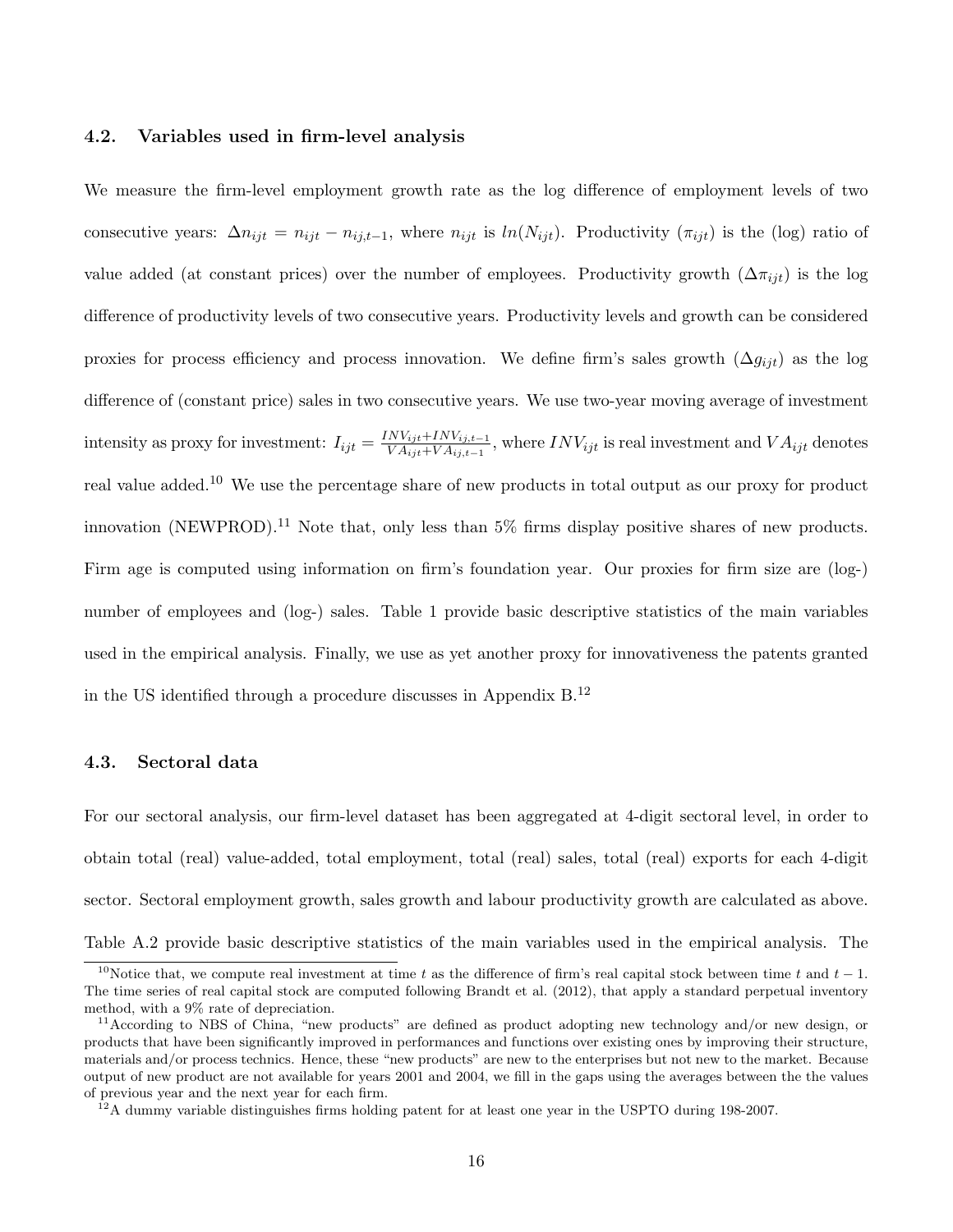#### 4.2. Variables used in firm-level analysis

We measure the firm-level employment growth rate as the log difference of employment levels of two consecutive years:  $\Delta n_{ijt} = n_{ijt} - n_{ij,t-1}$ , where  $n_{ijt}$  is  $ln(N_{ijt})$ . Productivity  $(\pi_{ijt})$  is the (log) ratio of value added (at constant prices) over the number of employees. Productivity growth  $(\Delta \pi_{i\dot{\imath}})$  is the log difference of productivity levels of two consecutive years. Productivity levels and growth can be considered proxies for process efficiency and process innovation. We define firm's sales growth  $(\Delta g_{ijt})$  as the log difference of (constant price) sales in two consecutive years. We use two-year moving average of investment intensity as proxy for investment:  $I_{ijt} = \frac{INV_{ijt} + INV_{ij,t-1}}{VA_{ijt} + VA_{ij,t-1}}$  $\frac{WV_{ij}t+IVV_{ij,t-1}}{VA_{ijt}+VA_{ij,t-1}}$ , where  $INV_{ijt}$  is real investment and  $VA_{ijt}$  denotes real value added.<sup>10</sup> We use the percentage share of new products in total output as our proxy for product innovation (NEWPROD).<sup>11</sup> Note that, only less than 5% firms display positive shares of new products. Firm age is computed using information on firm's foundation year. Our proxies for firm size are (log-) number of employees and (log-) sales. Table 1 provide basic descriptive statistics of the main variables used in the empirical analysis. Finally, we use as yet another proxy for innovativeness the patents granted in the US identified through a procedure discusses in Appendix B.<sup>12</sup>

#### 4.3. Sectoral data

For our sectoral analysis, our firm-level dataset has been aggregated at 4-digit sectoral level, in order to obtain total (real) value-added, total employment, total (real) sales, total (real) exports for each 4-digit sector. Sectoral employment growth, sales growth and labour productivity growth are calculated as above. Table A.2 provide basic descriptive statistics of the main variables used in the empirical analysis. The

<sup>&</sup>lt;sup>10</sup>Notice that, we compute real investment at time t as the difference of firm's real capital stock between time t and  $t - 1$ . The time series of real capital stock are computed following Brandt et al. (2012), that apply a standard perpetual inventory method, with a 9% rate of depreciation.

<sup>&</sup>lt;sup>11</sup>According to NBS of China, "new products" are defined as product adopting new technology and/or new design, or products that have been significantly improved in performances and functions over existing ones by improving their structure, materials and/or process technics. Hence, these "new products" are new to the enterprises but not new to the market. Because output of new product are not available for years 2001 and 2004, we fill in the gaps using the averages between the the values of previous year and the next year for each firm.

<sup>&</sup>lt;sup>12</sup>A dummy variable distinguishes firms holding patent for at least one year in the USPTO during 198-2007.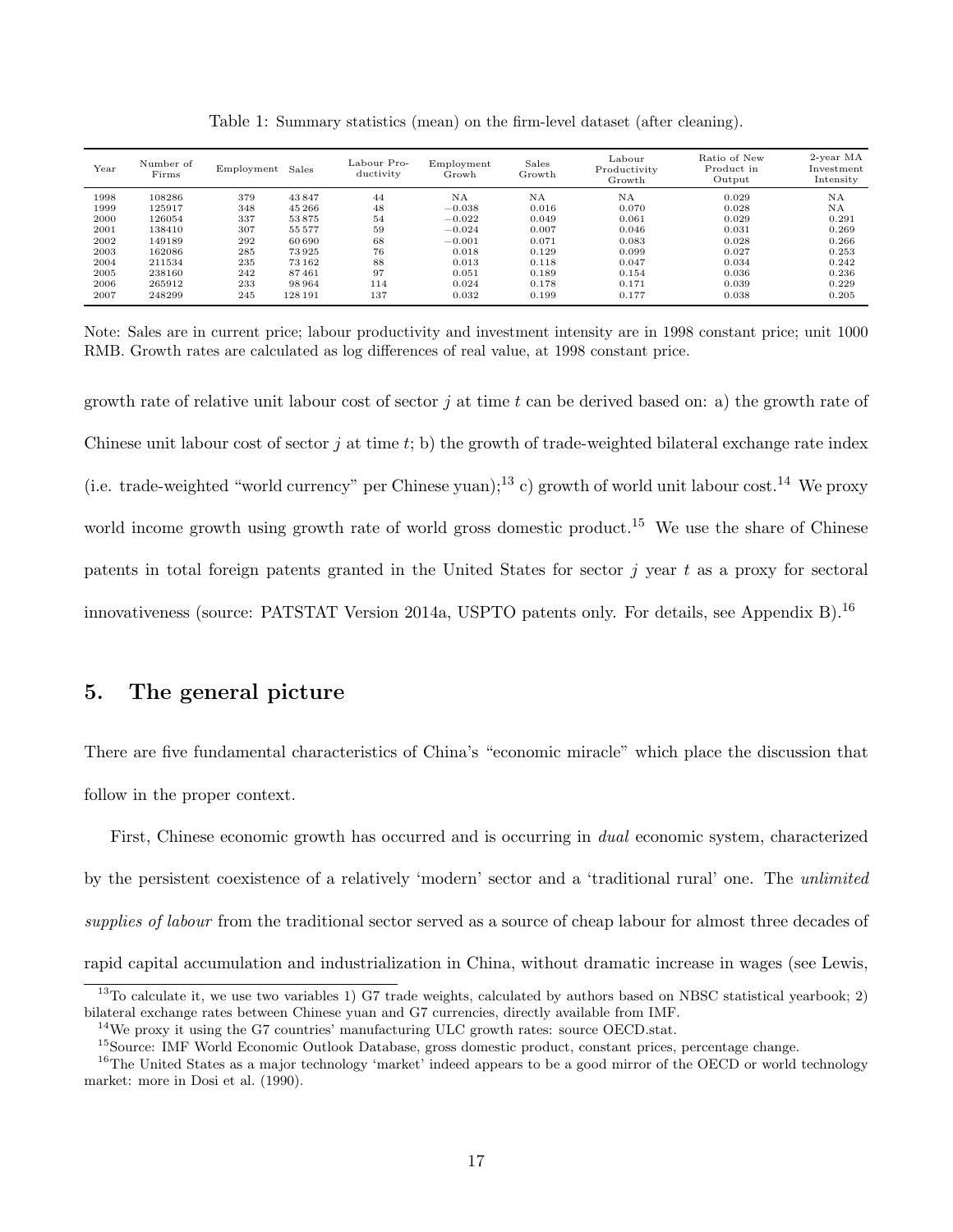| Year | Number of<br>Firms | Employment | Sales   | Labour Pro-<br>ductivity | Employment<br>Growh | Sales<br>Growth | $_{\rm Labour}$<br>Productivity<br>Growth | Ratio of New<br>Product in<br>Output | $2$ -year MA<br>Investment<br>Intensity |
|------|--------------------|------------|---------|--------------------------|---------------------|-----------------|-------------------------------------------|--------------------------------------|-----------------------------------------|
| 1998 | 108286             | 379        | 43847   | 44                       | <b>NA</b>           | NA              | <b>NA</b>                                 | 0.029                                | NA                                      |
| 1999 | 125917             | 348        | 45 266  | 48                       | $-0.038$            | 0.016           | 0.070                                     | 0.028                                | NA                                      |
| 2000 | 126054             | 337        | 53875   | 54                       | $-0.022$            | 0.049           | 0.061                                     | 0.029                                | 0.291                                   |
| 2001 | 138410             | 307        | 55577   | 59                       | $-0.024$            | 0.007           | 0.046                                     | 0.031                                | 0.269                                   |
| 2002 | 149189             | 292        | 60 690  | 68                       | $-0.001$            | 0.071           | 0.083                                     | 0.028                                | 0.266                                   |
| 2003 | 162086             | 285        | 73925   | 76                       | 0.018               | 0.129           | 0.099                                     | 0.027                                | 0.253                                   |
| 2004 | 211534             | 235        | 73162   | 88                       | 0.013               | 0.118           | 0.047                                     | 0.034                                | 0.242                                   |
| 2005 | 238160             | 242        | 87461   | 97                       | 0.051               | 0.189           | 0.154                                     | 0.036                                | 0.236                                   |
| 2006 | 265912             | 233        | 98964   | 114                      | 0.024               | 0.178           | 0.171                                     | 0.039                                | 0.229                                   |
| 2007 | 248299             | 245        | 128 191 | 137                      | 0.032               | 0.199           | 0.177                                     | 0.038                                | 0.205                                   |

Table 1: Summary statistics (mean) on the firm-level dataset (after cleaning).

growth rate of relative unit labour cost of sector j at time t can be derived based on: a) the growth rate of Chinese unit labour cost of sector j at time t; b) the growth of trade-weighted bilateral exchange rate index (i.e. trade-weighted "world currency" per Chinese yuan);<sup>13</sup> c) growth of world unit labour cost.<sup>14</sup> We proxy world income growth using growth rate of world gross domestic product.<sup>15</sup> We use the share of Chinese patents in total foreign patents granted in the United States for sector  $i$  year  $t$  as a proxy for sectoral innovativeness (source: PATSTAT Version 2014a, USPTO patents only. For details, see Appendix B).<sup>16</sup>

# 5. The general picture

There are five fundamental characteristics of China's "economic miracle" which place the discussion that follow in the proper context.

First, Chinese economic growth has occurred and is occurring in *dual* economic system, characterized by the persistent coexistence of a relatively 'modern' sector and a 'traditional rural' one. The *unlimited supplies of labour* from the traditional sector served as a source of cheap labour for almost three decades of rapid capital accumulation and industrialization in China, without dramatic increase in wages (see Lewis,

Note: Sales are in current price; labour productivity and investment intensity are in 1998 constant price; unit 1000 RMB. Growth rates are calculated as log differences of real value, at 1998 constant price.

 $13$ To calculate it, we use two variables 1) G7 trade weights, calculated by authors based on NBSC statistical yearbook; 2) bilateral exchange rates between Chinese yuan and G7 currencies, directly available from IMF.

 $14$ We proxy it using the G7 countries' manufacturing ULC growth rates: source OECD stat.

<sup>&</sup>lt;sup>15</sup>Source: IMF World Economic Outlook Database, gross domestic product, constant prices, percentage change.

<sup>&</sup>lt;sup>16</sup>The United States as a major technology 'market' indeed appears to be a good mirror of the OECD or world technology market: more in Dosi et al. (1990).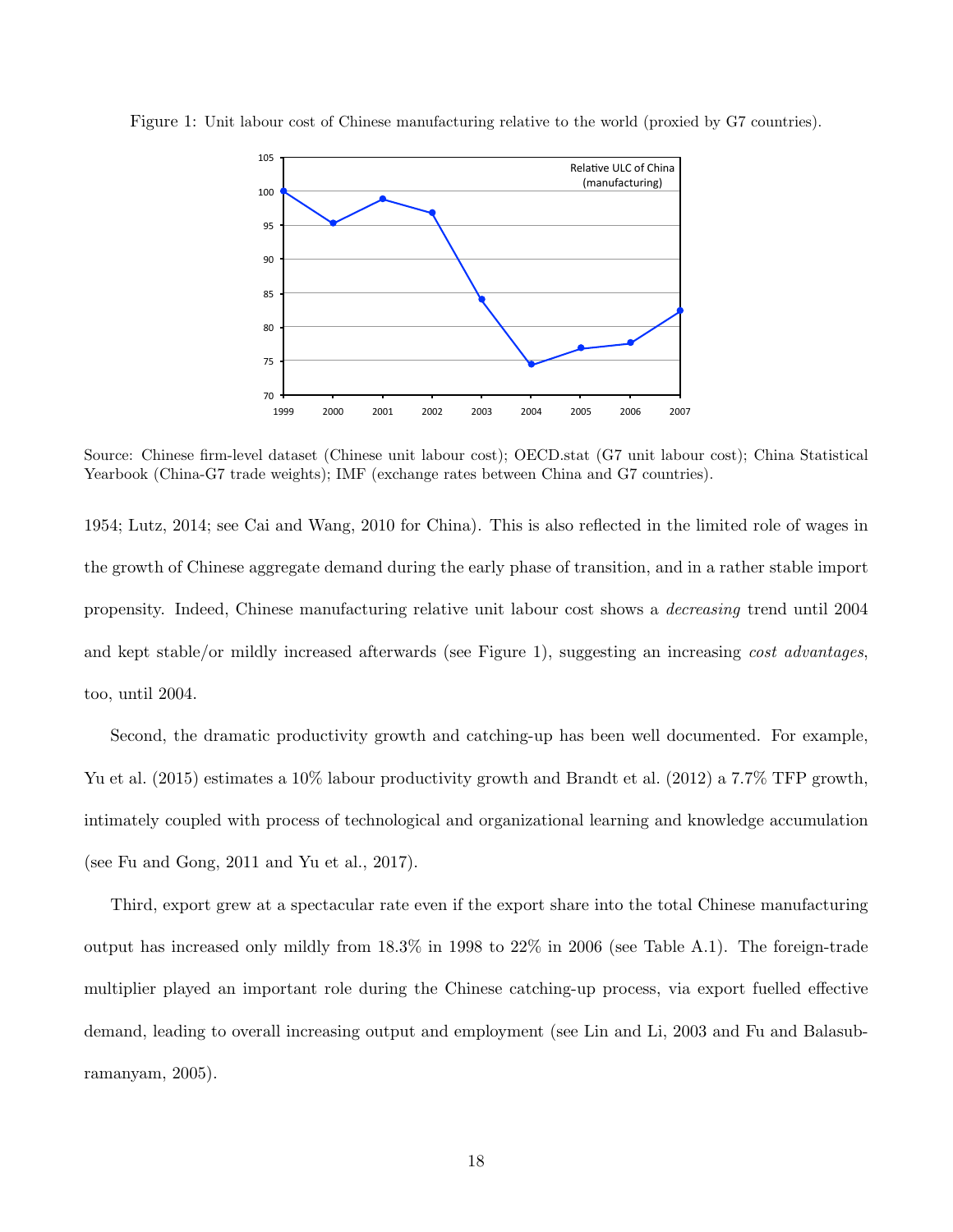

Figure 1: Unit labour cost of Chinese manufacturing relative to the world (proxied by G7 countries).

Source: Chinese firm-level dataset (Chinese unit labour cost); OECD.stat (G7 unit labour cost); China Statistical Yearbook (China-G7 trade weights); IMF (exchange rates between China and G7 countries).

1954; Lutz, 2014; see Cai and Wang, 2010 for China). This is also reflected in the limited role of wages in the growth of Chinese aggregate demand during the early phase of transition, and in a rather stable import propensity. Indeed, Chinese manufacturing relative unit labour cost shows a *decreasing* trend until 2004 and kept stable/or mildly increased afterwards (see Figure 1), suggesting an increasing *cost advantages*, too, until 2004.

Second, the dramatic productivity growth and catching-up has been well documented. For example, Yu et al. (2015) estimates a 10% labour productivity growth and Brandt et al. (2012) a 7.7% TFP growth, intimately coupled with process of technological and organizational learning and knowledge accumulation (see Fu and Gong, 2011 and Yu et al., 2017).

Third, export grew at a spectacular rate even if the export share into the total Chinese manufacturing output has increased only mildly from 18.3% in 1998 to 22% in 2006 (see Table A.1). The foreign-trade multiplier played an important role during the Chinese catching-up process, via export fuelled effective demand, leading to overall increasing output and employment (see Lin and Li, 2003 and Fu and Balasubramanyam, 2005).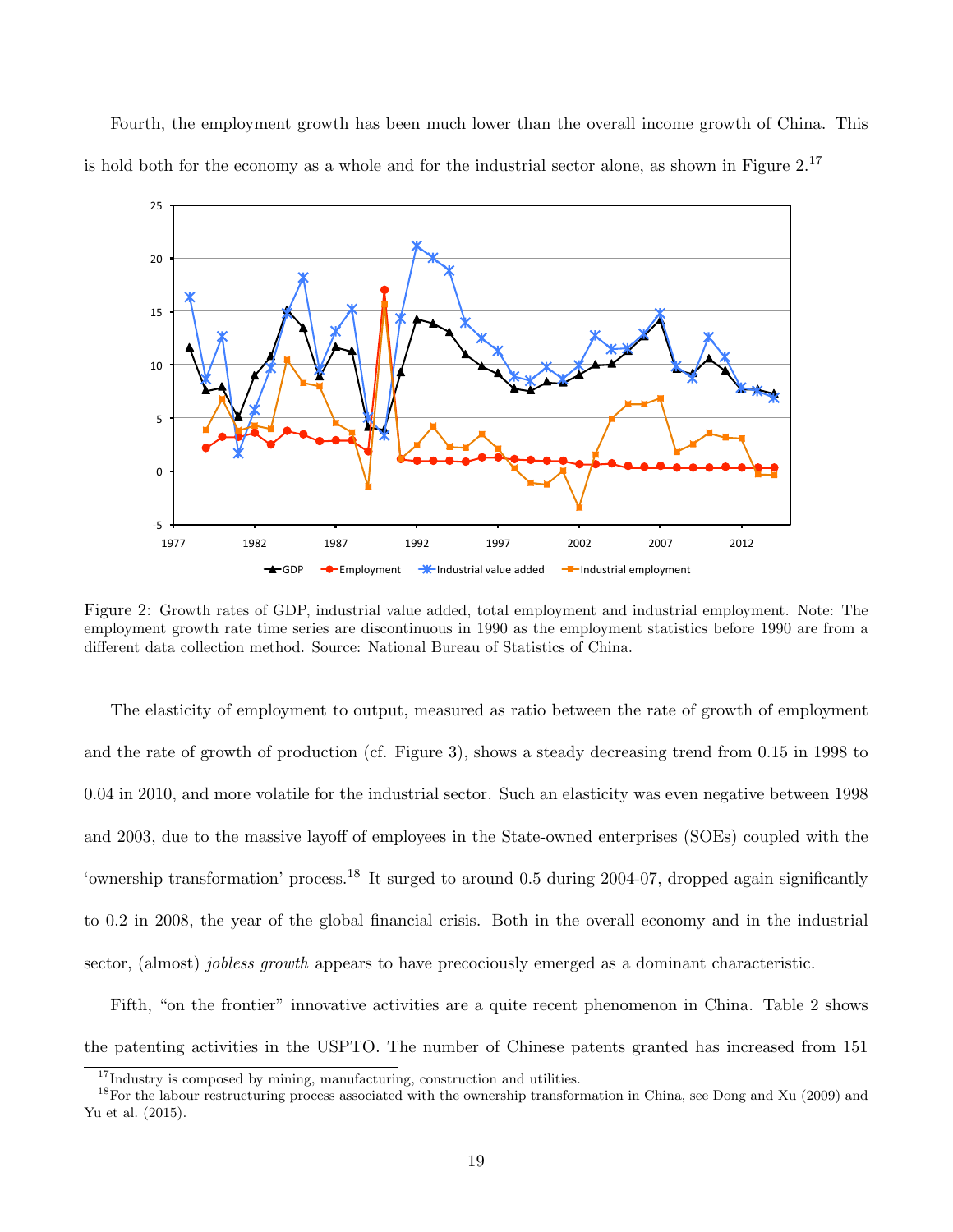Fourth, the employment growth has been much lower than the overall income growth of China. This is hold both for the economy as a whole and for the industrial sector alone, as shown in Figure  $2^{17}$ 



Figure 2: Growth rates of GDP, industrial value added, total employment and industrial employment. Note: The employment growth rate time series are discontinuous in 1990 as the employment statistics before 1990 are from a different data collection method. Source: National Bureau of Statistics of China.

The elasticity of employment to output, measured as ratio between the rate of growth of employment and the rate of growth of production (cf. Figure 3), shows a steady decreasing trend from 0.15 in 1998 to 0.04 in 2010, and more volatile for the industrial sector. Such an elasticity was even negative between 1998 and 2003, due to the massive layoff of employees in the State-owned enterprises (SOEs) coupled with the 'ownership transformation' process.<sup>18</sup> It surged to around 0.5 during 2004-07, dropped again significantly to 0.2 in 2008, the year of the global financial crisis. Both in the overall economy and in the industrial sector, (almost) *jobless growth* appears to have precociously emerged as a dominant characteristic.

Fifth, "on the frontier" innovative activities are a quite recent phenomenon in China. Table 2 shows the patenting activities in the USPTO. The number of Chinese patents granted has increased from 151

 $^{17}$  Industry is composed by mining, manufacturing, construction and utilities.

<sup>&</sup>lt;sup>18</sup>For the labour restructuring process associated with the ownership transformation in China, see Dong and Xu (2009) and Yu et al. (2015).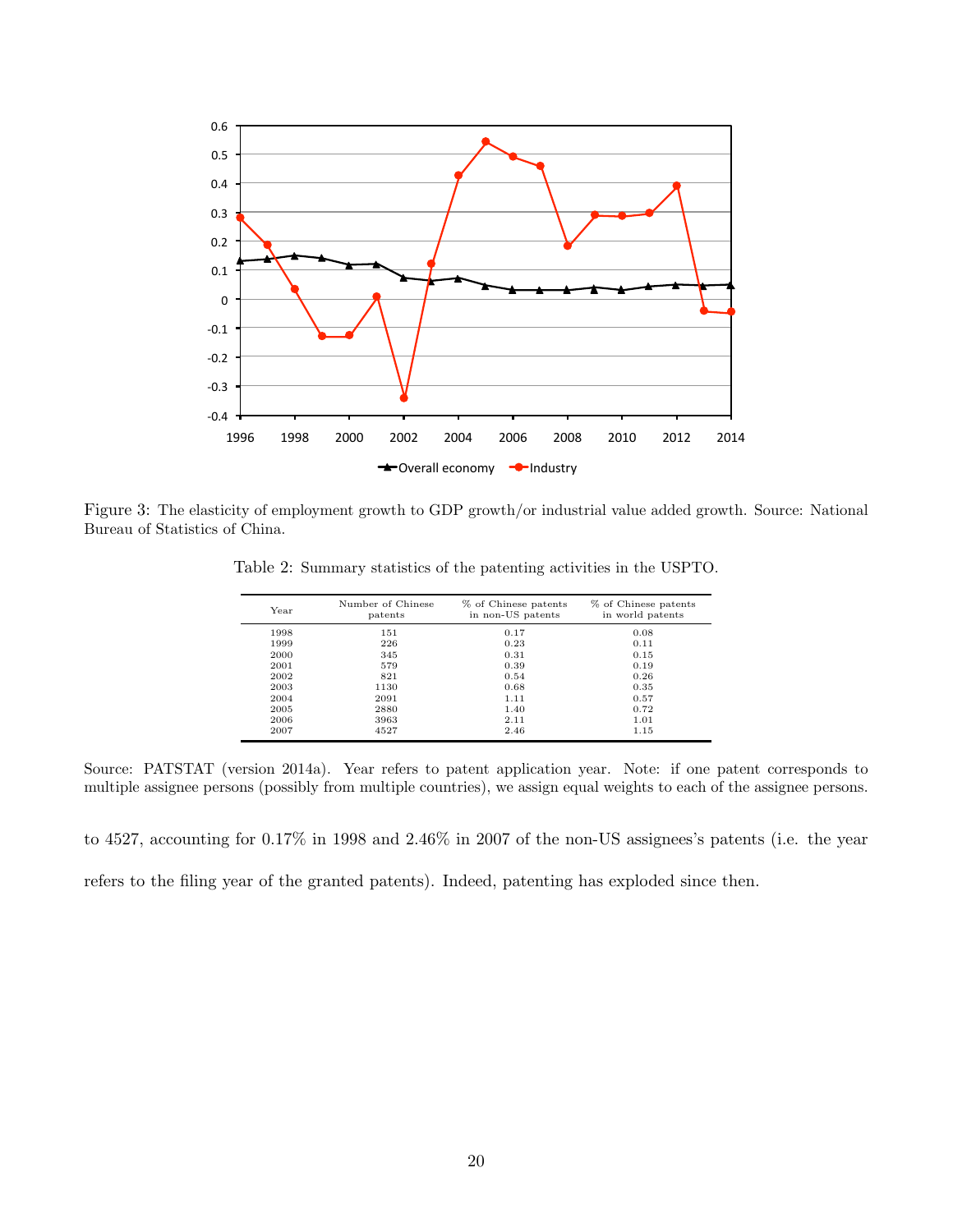

Figure 3: The elasticity of employment growth to GDP growth/or industrial value added growth. Source: National Bureau of Statistics of China.

| Year | Number of Chinese<br>patents | % of Chinese patents<br>in non-US patents | % of Chinese patents<br>in world patents |
|------|------------------------------|-------------------------------------------|------------------------------------------|
| 1998 | 151                          | 0.17                                      | 0.08                                     |
| 1999 | 226                          | 0.23                                      | 0.11                                     |
| 2000 | 345                          | 0.31                                      | 0.15                                     |
| 2001 | 579                          | 0.39                                      | 0.19                                     |
| 2002 | 821                          | 0.54                                      | 0.26                                     |
| 2003 | 1130                         | 0.68                                      | 0.35                                     |
| 2004 | 2091                         | 1.11                                      | 0.57                                     |
| 2005 | 2880                         | 1.40                                      | 0.72                                     |
| 2006 | 3963                         | 2.11                                      | 1.01                                     |
| 2007 | 4527                         | 2.46                                      | 1.15                                     |

Table 2: Summary statistics of the patenting activities in the USPTO.

Source: PATSTAT (version 2014a). Year refers to patent application year. Note: if one patent corresponds to multiple assignee persons (possibly from multiple countries), we assign equal weights to each of the assignee persons.

to 4527, accounting for 0.17% in 1998 and 2.46% in 2007 of the non-US assignees's patents (i.e. the year refers to the filing year of the granted patents). Indeed, patenting has exploded since then.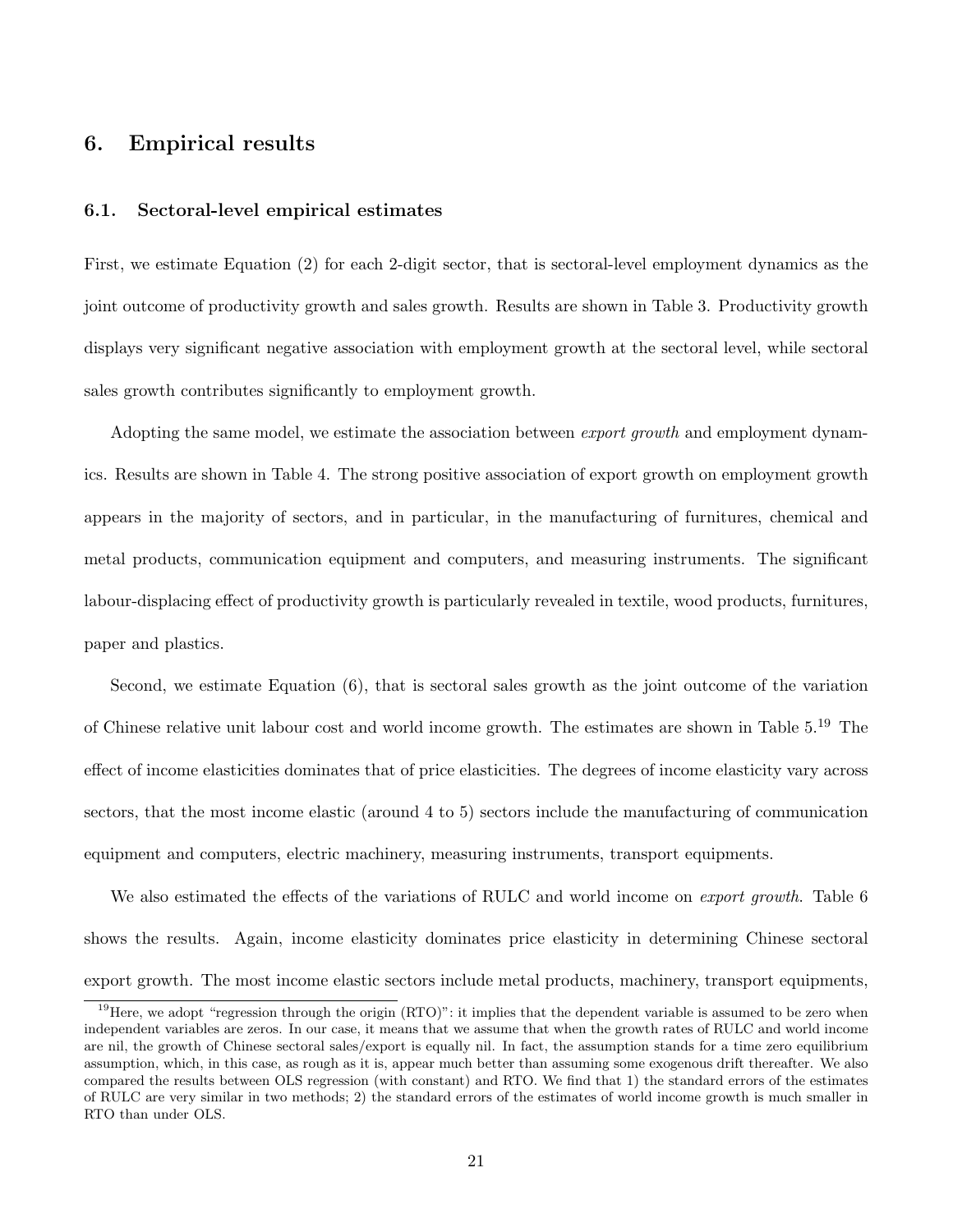# 6. Empirical results

#### 6.1. Sectoral-level empirical estimates

First, we estimate Equation (2) for each 2-digit sector, that is sectoral-level employment dynamics as the joint outcome of productivity growth and sales growth. Results are shown in Table 3. Productivity growth displays very significant negative association with employment growth at the sectoral level, while sectoral sales growth contributes significantly to employment growth.

Adopting the same model, we estimate the association between *export growth* and employment dynamics. Results are shown in Table 4. The strong positive association of export growth on employment growth appears in the majority of sectors, and in particular, in the manufacturing of furnitures, chemical and metal products, communication equipment and computers, and measuring instruments. The significant labour-displacing effect of productivity growth is particularly revealed in textile, wood products, furnitures, paper and plastics.

Second, we estimate Equation (6), that is sectoral sales growth as the joint outcome of the variation of Chinese relative unit labour cost and world income growth. The estimates are shown in Table 5.<sup>19</sup> The effect of income elasticities dominates that of price elasticities. The degrees of income elasticity vary across sectors, that the most income elastic (around 4 to 5) sectors include the manufacturing of communication equipment and computers, electric machinery, measuring instruments, transport equipments.

We also estimated the effects of the variations of RULC and world income on *export growth*. Table 6 shows the results. Again, income elasticity dominates price elasticity in determining Chinese sectoral export growth. The most income elastic sectors include metal products, machinery, transport equipments,

 $19$  Here, we adopt "regression through the origin  $(RTO)$ ": it implies that the dependent variable is assumed to be zero when independent variables are zeros. In our case, it means that we assume that when the growth rates of RULC and world income are nil, the growth of Chinese sectoral sales/export is equally nil. In fact, the assumption stands for a time zero equilibrium assumption, which, in this case, as rough as it is, appear much better than assuming some exogenous drift thereafter. We also compared the results between OLS regression (with constant) and RTO. We find that 1) the standard errors of the estimates of RULC are very similar in two methods; 2) the standard errors of the estimates of world income growth is much smaller in RTO than under OLS.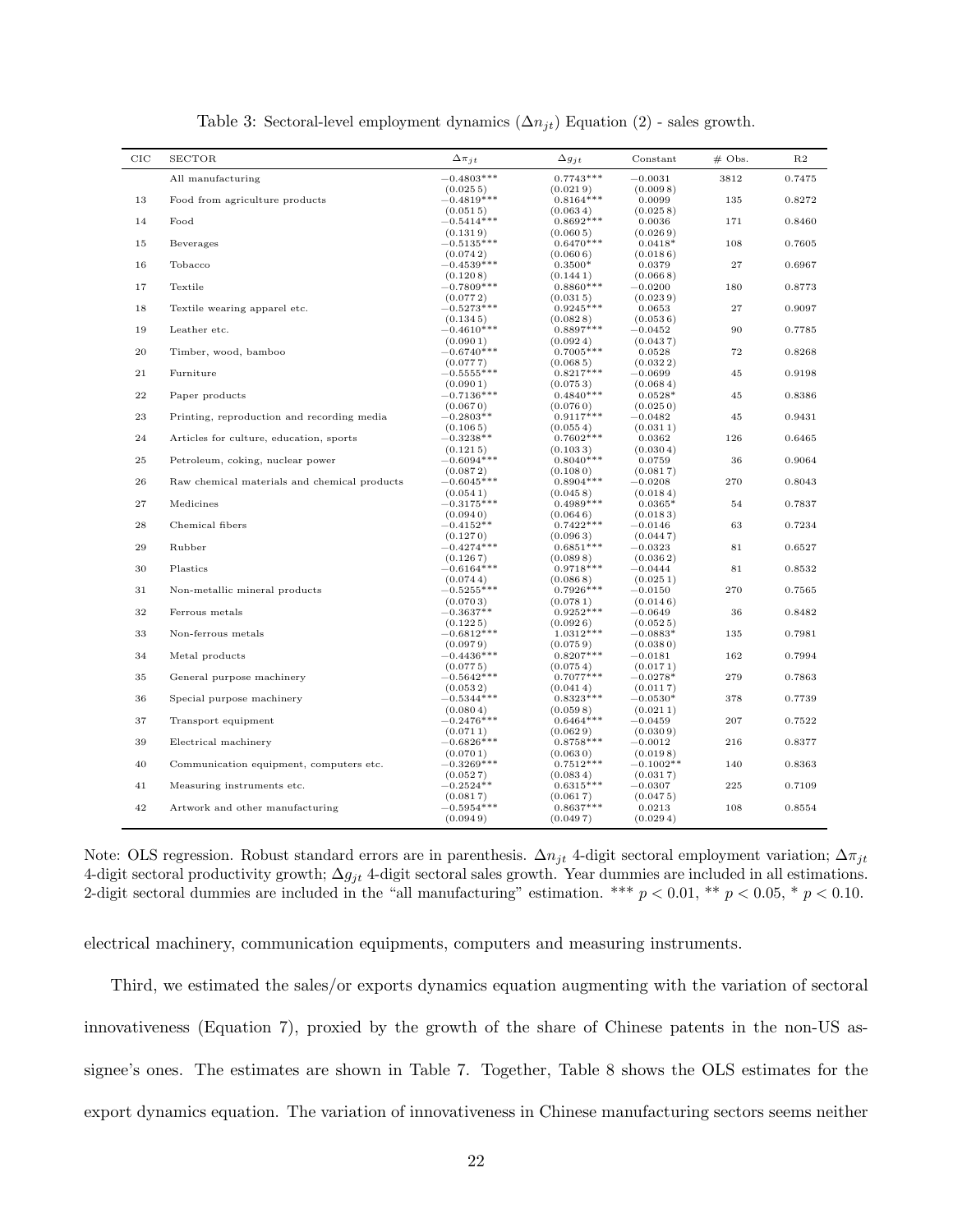| $_{\rm CIC}$ | <b>SECTOR</b>                                | $\Delta \pi_{jt}$        | $\Delta g_{jt}$         | Constant               | $#$ Obs. | R2     |
|--------------|----------------------------------------------|--------------------------|-------------------------|------------------------|----------|--------|
|              | All manufacturing                            | $-0.4803***$             | $0.7743***$             | $-0.0031$              | 3812     | 0.7475 |
|              |                                              | (0.0255)                 | (0.0219)                | (0.0098)               |          |        |
| 13           | Food from agriculture products               | $-0.4819***$             | $0.8164***$             | 0.0099                 | 135      | 0.8272 |
| 14           | Food                                         | (0.0515)<br>$-0.5414***$ | (0.0634)<br>$0.8692***$ | (0.0258)<br>0.0036     | 171      | 0.8460 |
|              |                                              | (0.1319)                 | (0.0605)                | (0.0269)               |          |        |
| 15           | Beverages                                    | $-0.5135***$             | $0.6470***$             | $0.0418*$              | 108      | 0.7605 |
|              |                                              | (0.0742)                 | (0.0606)                | (0.0186)               |          |        |
| 16           | Tobacco                                      | $-0.4539***$             | $0.3500*$               | 0.0379                 | 27       | 0.6967 |
|              |                                              | (0.1208)                 | (0.1441)                | (0.0668)               |          |        |
| 17           | Textile                                      | $-0.7809***$             | $0.8860***$             | $-0.0200$              | 180      | 0.8773 |
| 18           |                                              | (0.0772)                 | (0.0315)                | (0.0239)               | 27       | 0.9097 |
|              | Textile wearing apparel etc.                 | $-0.5273***$<br>(0.1345) | $0.9245***$<br>(0.0828) | 0.0653<br>(0.0536)     |          |        |
| 19           | Leather etc.                                 | $-0.4610***$             | $0.8897***$             | $-0.0452$              | 90       | 0.7785 |
|              |                                              | (0.0901)                 | (0.0924)                | (0.0437)               |          |        |
| $\rm 20$     | Timber, wood, bamboo                         | $-0.6740***$             | $0.7005***$             | 0.0528                 | 72       | 0.8268 |
|              |                                              | (0.0777)                 | (0.0685)                | (0.0322)               |          |        |
| 21           | Furniture                                    | $-0.5555***$             | $0.8217***$             | $-0.0699$              | 45       | 0.9198 |
|              |                                              | (0.0901)                 | (0.0753)                | (0.0684)               |          |        |
| $\bf{^{22}}$ | Paper products                               | $-0.7136***$             | $0.4840***$             | $0.0528*$              | 45       | 0.8386 |
|              |                                              | (0.0670)                 | (0.0760)<br>$0.9117***$ | (0.0250)               |          |        |
| 23           | Printing, reproduction and recording media   | $-0.2803**$<br>(0.1065)  | (0.0554)                | $-0.0482$<br>(0.0311)  | $\rm 45$ | 0.9431 |
| 24           | Articles for culture, education, sports      | $-0.3238**$              | $0.7602***$             | 0.0362                 | 126      | 0.6465 |
|              |                                              | (0.1215)                 | (0.1033)                | (0.0304)               |          |        |
| 25           | Petroleum, coking, nuclear power             | $-0.6094***$             | $0.8040***$             | 0.0759                 | 36       | 0.9064 |
|              |                                              | (0.0872)                 | (0.1080)                | (0.0817)               |          |        |
| 26           | Raw chemical materials and chemical products | $-0.6045***$             | $0.8904***$             | $-0.0208$              | 270      | 0.8043 |
|              |                                              | (0.0541)                 | (0.0458)                | (0.0184)               |          |        |
| $\bf{27}$    | Medicines                                    | $-0.3175***$             | $0.4989***$             | $0.0365*$              | $54\,$   | 0.7837 |
| 28           | Chemical fibers                              | (0.0940)<br>$-0.4152**$  | (0.0646)<br>$0.7422***$ | (0.0183)<br>$-0.0146$  | 63       | 0.7234 |
|              |                                              | (0.1270)                 | (0.0963)                | (0.0447)               |          |        |
| 29           | Rubber                                       | $-0.4274***$             | $0.6851***$             | $-0.0323$              | 81       | 0.6527 |
|              |                                              | (0.1267)                 | (0.0898)                | (0.0362)               |          |        |
| 30           | Plastics                                     | $-0.6164***$             | $0.9718***$             | $-0.0444$              | 81       | 0.8532 |
|              |                                              | (0.0744)                 | (0.0868)                | (0.0251)               |          |        |
| 31           | Non-metallic mineral products                | $-0.5255***$             | $0.7926***$             | $-0.0150$              | 270      | 0.7565 |
|              |                                              | (0.0703)                 | (0.0781)                | (0.0146)               |          |        |
| 32           | Ferrous metals                               | $-0.3637**$              | $0.9252***$             | $-0.0649$              | 36       | 0.8482 |
| 33           | Non-ferrous metals                           | (0.1225)<br>$-0.6812***$ | (0.0926)<br>$1.0312***$ | (0.0525)<br>$-0.0883*$ | 135      | 0.7981 |
|              |                                              | (0.0979)                 | (0.0759)                | (0.0380)               |          |        |
| 34           | Metal products                               | $-0.4436***$             | $0.8207***$             | $-0.0181$              | 162      | 0.7994 |
|              |                                              | (0.0775)                 | (0.0754)                | (0.0171)               |          |        |
| 35           | General purpose machinery                    | $-0.5642***$             | $0.7077***$             | $-0.0278*$             | 279      | 0.7863 |
|              |                                              | (0.0532)                 | (0.0414)                | (0.0117)               |          |        |
| 36           | Special purpose machinery                    | $-0.5344***$             | $0.8323***$             | $-0.0530*$             | 378      | 0.7739 |
|              |                                              | (0.0804)                 | (0.0598)                | (0.0211)               |          |        |
| 37           | Transport equipment                          | $-0.2476***$<br>(0.0711) | $0.6464***$<br>(0.0629) | $-0.0459$<br>(0.0309)  | 207      | 0.7522 |
| 39           | Electrical machinery                         | $-0.6826***$             | $0.8758***$             | $-0.0012$              | 216      | 0.8377 |
|              |                                              | (0.0701)                 | (0.0630)                | (0.0198)               |          |        |
| 40           | Communication equipment, computers etc.      | $-0.3269***$             | $0.7512***$             | $-0.1002**$            | 140      | 0.8363 |
|              |                                              | (0.0527)                 | (0.0834)                | (0.0317)               |          |        |
| 41           | Measuring instruments etc.                   | $-0.2524**$              | $0.6315***$             | $-0.0307$              | 225      | 0.7109 |
|              |                                              | (0.0817)                 | (0.0617)                | (0.0475)               |          |        |
| 42           | Artwork and other manufacturing              | $-0.5954***$             | $0.8637***$             | 0.0213                 | 108      | 0.8554 |
|              |                                              | (0.0949)                 | (0.0497)                | (0.0294)               |          |        |

Table 3: Sectoral-level employment dynamics  $(\Delta n_{jt})$  Equation (2) - sales growth.

Note: OLS regression. Robust standard errors are in parenthesis.  $\Delta n_{jt}$  4-digit sectoral employment variation;  $\Delta \pi_{jt}$ 4-digit sectoral productivity growth;  $\Delta g_{jt}$  4-digit sectoral sales growth. Year dummies are included in all estimations. 2-digit sectoral dummies are included in the "all manufacturing" estimation. \*\*\*  $p < 0.01$ , \*\*  $p < 0.05$ , \*  $p < 0.10$ .

electrical machinery, communication equipments, computers and measuring instruments.

Third, we estimated the sales/or exports dynamics equation augmenting with the variation of sectoral innovativeness (Equation 7), proxied by the growth of the share of Chinese patents in the non-US assignee's ones. The estimates are shown in Table 7. Together, Table 8 shows the OLS estimates for the export dynamics equation. The variation of innovativeness in Chinese manufacturing sectors seems neither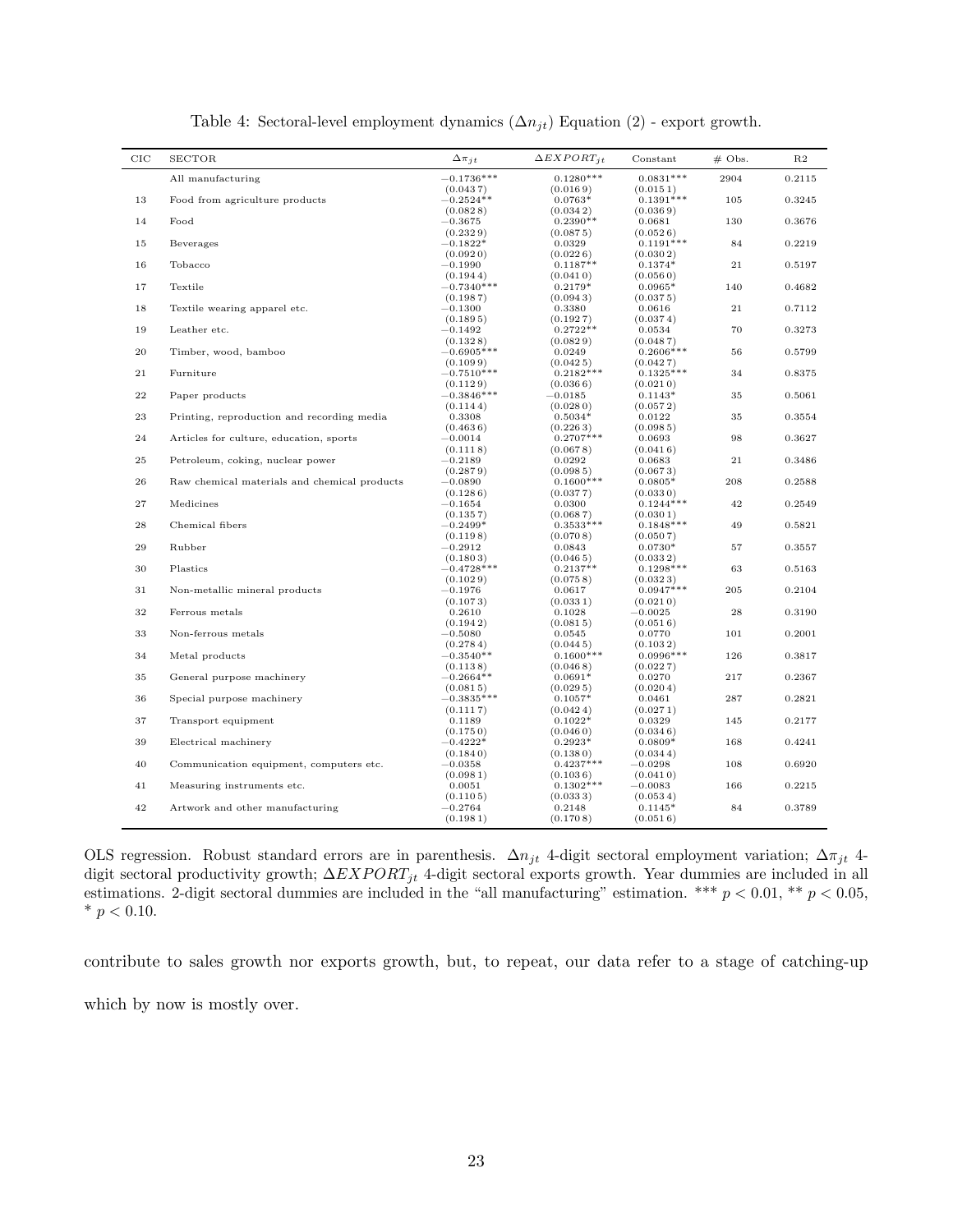| $_{\rm CIC}$ | <b>SECTOR</b>                                | $\Delta \pi_{it}$                   | $\Delta EXPORT_{it}$              | Constant                            | $#$ Obs. | R2     |
|--------------|----------------------------------------------|-------------------------------------|-----------------------------------|-------------------------------------|----------|--------|
|              | All manufacturing                            | $-0.1736***$                        | $0.1280***$                       | $0.0831***$                         | 2904     | 0.2115 |
| 13           | Food from agriculture products               | (0.0437)<br>$-0.2524**$<br>(0.0828) | (0.0169)<br>$0.0763*$<br>(0.0342) | (0.0151)<br>$0.1391***$<br>(0.0369) | 105      | 0.3245 |
| 14           | Food                                         | $-0.3675$<br>(0.2329)               | $0.2390**$<br>(0.0875)            | 0.0681<br>(0.0526)                  | 130      | 0.3676 |
| 15           | Beverages                                    | $-0.1822*$<br>(0.0920)              | 0.0329<br>(0.0226)                | $0.1191***$<br>(0.0302)             | 84       | 0.2219 |
| 16           | Tobacco                                      | $-0.1990$<br>(0.1944)               | $0.1187**$<br>(0.0410)            | $0.1374*$<br>(0.0560)               | 21       | 0.5197 |
| 17           | Textile                                      | $-0.7340***$<br>(0.1987)            | $0.2179*$<br>(0.0943)             | $0.0965*$<br>(0.0375)               | 140      | 0.4682 |
| 18           | Textile wearing apparel etc.                 | $-0.1300$<br>(0.1895)               | 0.3380<br>(0.1927)                | 0.0616<br>(0.0374)                  | 21       | 0.7112 |
| 19           | Leather etc.                                 | $-0.1492$<br>(0.1328)               | $0.2722**$<br>(0.0829)            | 0.0534<br>(0.0487)                  | 70       | 0.3273 |
| 20           | Timber, wood, bamboo                         | $-0.6905***$<br>(0.1099)            | 0.0249<br>(0.0425)                | $0.2606***$<br>(0.0427)             | 56       | 0.5799 |
| 21           | Furniture                                    | $-0.7510***$<br>(0.1129)            | $0.2182***$<br>(0.0366)           | $0.1325***$<br>(0.0210)             | 34       | 0.8375 |
| 22           | Paper products                               | $-0.3846***$<br>(0.1144)            | $-0.0185$<br>(0.0280)             | $0.1143*$<br>(0.0572)               | 35       | 0.5061 |
| 23           | Printing, reproduction and recording media   | 0.3308<br>(0.4636)                  | $0.5034*$<br>(0.2263)             | 0.0122<br>(0.0985)                  | $35\,$   | 0.3554 |
| 24           | Articles for culture, education, sports      | $-0.0014$<br>(0.1118)               | $0.2707***$<br>(0.0678)           | 0.0693<br>(0.0416)                  | 98       | 0.3627 |
| 25           | Petroleum, coking, nuclear power             | $-0.2189$<br>(0.2879)               | 0.0292<br>(0.0985)                | 0.0683<br>(0.0673)                  | 21       | 0.3486 |
| 26           | Raw chemical materials and chemical products | $-0.0890$<br>(0.1286)               | $0.1600***$<br>(0.0377)           | $0.0805*$<br>(0.0330)               | 208      | 0.2588 |
| $\bf{27}$    | Medicines                                    | $-0.1654$<br>(0.1357)               | 0.0300<br>(0.0687)                | $0.1244***$<br>(0.0301)             | 42       | 0.2549 |
| 28           | Chemical fibers                              | $-0.2499*$<br>(0.1198)              | $0.3533***$<br>(0.0708)           | $0.1848***$<br>(0.0507)             | 49       | 0.5821 |
| 29           | Rubber                                       | $-0.2912$<br>(0.1803)               | 0.0843<br>(0.0465)                | $0.0730*$<br>(0.0332)               | 57       | 0.3557 |
| 30           | Plastics                                     | $-0.4728***$<br>(0.1029)            | $0.2137**$<br>(0.0758)            | $0.1298***$<br>(0.0323)             | 63       | 0.5163 |
| 31           | Non-metallic mineral products                | $-0.1976$<br>(0.1073)               | 0.0617<br>(0.0331)                | $0.0947***$<br>(0.0210)             | 205      | 0.2104 |
| 32           | Ferrous metals                               | 0.2610<br>(0.1942)                  | 0.1028<br>(0.0815)                | $-0.0025$<br>(0.0516)               | 28       | 0.3190 |
| 33           | Non-ferrous metals                           | $-0.5080$<br>(0.2784)               | 0.0545<br>(0.0445)                | 0.0770<br>(0.1032)                  | 101      | 0.2001 |
| 34           | Metal products                               | $-0.3540**$<br>(0.1138)             | $0.1600***$<br>(0.0468)           | $0.0996***$<br>(0.0227)             | 126      | 0.3817 |
| 35           | General purpose machinery                    | $-0.2664**$<br>(0.0815)             | $0.0691*$<br>(0.0295)             | 0.0270<br>(0.0204)                  | 217      | 0.2367 |
| 36           | Special purpose machinery                    | $-0.3835***$<br>(0.1117)            | $0.1057*$<br>(0.0424)             | 0.0461<br>(0.0271)                  | 287      | 0.2821 |
| 37           | Transport equipment                          | 0.1189<br>(0.1750)                  | $0.1022*$<br>(0.0460)             | 0.0329<br>(0.0346)                  | 145      | 0.2177 |
| 39           | Electrical machinery                         | $-0.4222*$<br>(0.1840)              | $0.2923*$<br>(0.1380)             | $0.0809*$<br>(0.0344)               | 168      | 0.4241 |
| 40           | Communication equipment, computers etc.      | $-0.0358$<br>(0.0981)               | $0.4237***$<br>(0.1036)           | $-0.0298$<br>(0.0410)               | 108      | 0.6920 |
| 41           | Measuring instruments etc.                   | 0.0051<br>(0.1105)                  | $0.1302***$<br>(0.0333)           | $-0.0083$<br>(0.0534)               | 166      | 0.2215 |
| 42           | Artwork and other manufacturing              | $-0.2764$<br>(0.1981)               | 0.2148<br>(0.1708)                | $0.1145*$<br>(0.0516)               | 84       | 0.3789 |

Table 4: Sectoral-level employment dynamics  $(\Delta n_{jt})$  Equation (2) - export growth.

OLS regression. Robust standard errors are in parenthesis.  $\Delta n_{jt}$  4-digit sectoral employment variation;  $\Delta \pi_{jt}$  4digit sectoral productivity growth;  $\Delta EXPORT_{jt}$  4-digit sectoral exports growth. Year dummies are included in all estimations. 2-digit sectoral dummies are included in the "all manufacturing" estimation. \*\*\*  $p < 0.01$ , \*\*  $p < 0.05$ , \*  $p < 0.10$ .

contribute to sales growth nor exports growth, but, to repeat, our data refer to a stage of catching-up which by now is mostly over.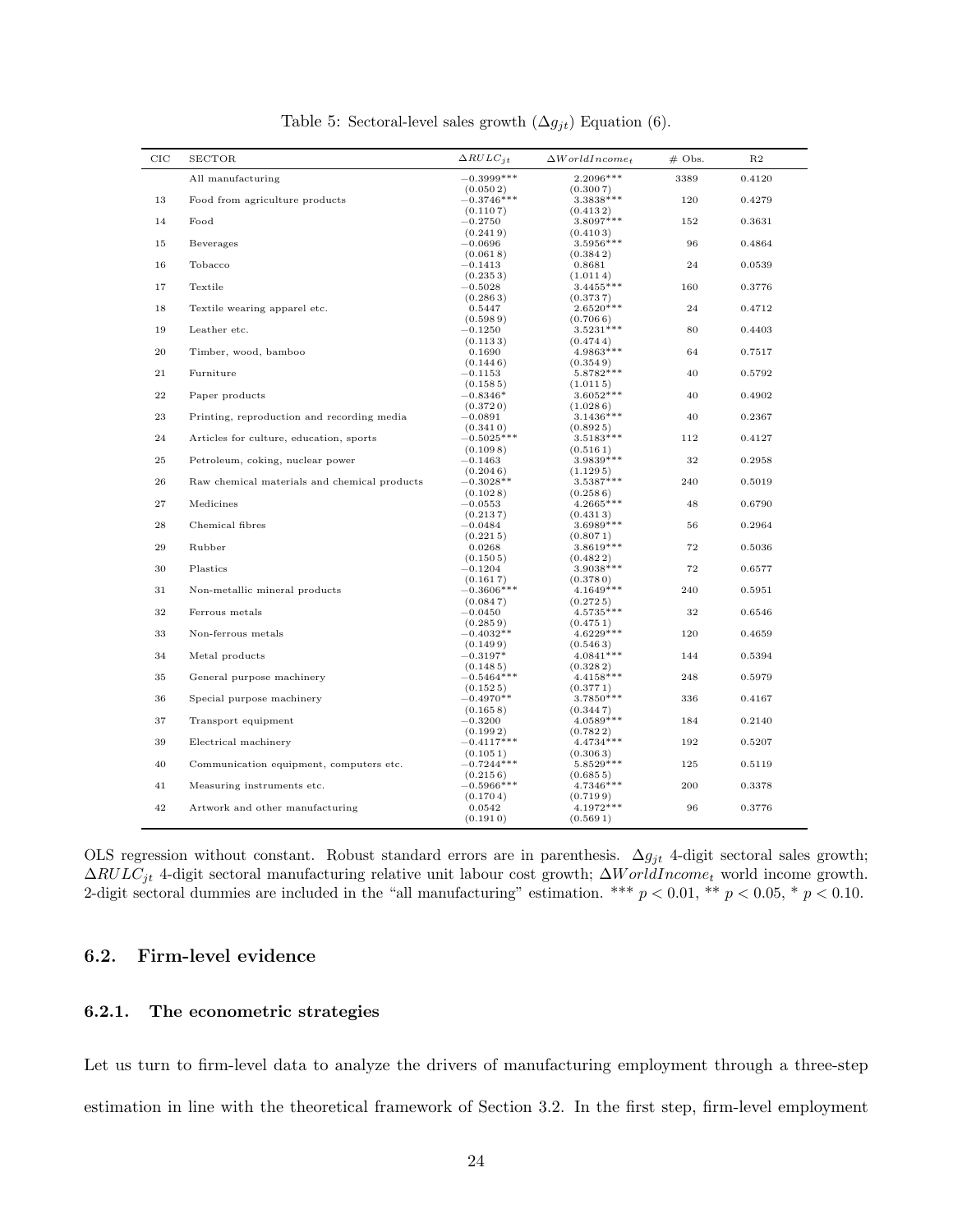| CIC         | <b>SECTOR</b>                                | $\Delta RULC_{it}$                   | $\Delta World Income_t$             | $#$ Obs. | R <sub>2</sub> |
|-------------|----------------------------------------------|--------------------------------------|-------------------------------------|----------|----------------|
|             | All manufacturing                            | $-0.3999***$                         | $2.2096***$                         | 3389     | 0.4120         |
| 13          | Food from agriculture products               | (0.0502)<br>$-0.3746***$<br>(0.1107) | (0.3007)<br>$3.3838***$<br>(0.4132) | 120      | 0.4279         |
| 14          | Food                                         | $-0.2750$<br>(0.2419)                | 3.8097***<br>(0.4103)               | 152      | 0.3631         |
| 15          | Beverages                                    | $-0.0696$<br>(0.0618)                | 3.5956***<br>(0.3842)               | 96       | 0.4864         |
| 16          | Tobacco                                      | $-0.1413$<br>(0.2353)                | 0.8681<br>(1.0114)                  | 24       | 0.0539         |
| 17          | Textile                                      | $-0.5028$<br>(0.2863)                | $3.4455***$<br>(0.3737)             | 160      | 0.3776         |
| 18          | Textile wearing apparel etc.                 | 0.5447<br>(0.5989)                   | $2.6520***$<br>(0.7066)             | 24       | 0.4712         |
| 19          | Leather etc.                                 | $-0.1250$<br>(0.1133)                | $3.5231***$<br>(0.4744)             | 80       | 0.4403         |
| 20          | Timber, wood, bamboo                         | 0.1690<br>(0.1446)                   | $4.9863***$<br>(0.3549)             | 64       | 0.7517         |
| 21          | Furniture                                    | $-0.1153$<br>(0.1585)                | 5.8782 ***<br>(1.0115)              | 40       | 0.5792         |
| $\bf{22}$   | Paper products                               | $-0.8346*$<br>(0.3720)               | 3.6052***<br>(1.0286)               | 40       | 0.4902         |
| 23          | Printing, reproduction and recording media   | $-0.0891$<br>(0.3410)                | $3.1436***$<br>(0.8925)             | 40       | 0.2367         |
| 24          | Articles for culture, education, sports      | $-0.5025***$<br>(0.1098)             | 3.5183***<br>(0.5161)               | 112      | 0.4127         |
| $\bf 25$    | Petroleum, coking, nuclear power             | $-0.1463$<br>(0.2046)                | 3.9839 ***<br>(1.1295)              | 32       | 0.2958         |
| 26          | Raw chemical materials and chemical products | $-0.3028**$<br>(0.1028)              | 3.5387***<br>(0.2586)               | 240      | 0.5019         |
| $\sqrt{27}$ | Medicines                                    | $-0.0553$<br>(0.2137)                | 4.2665***<br>(0.4313)               | 48       | 0.6790         |
| $\bf{28}$   | Chemical fibres                              | $-0.0484$<br>(0.2215)                | $3.6989***$<br>(0.8071)             | 56       | 0.2964         |
| 29          | Rubber                                       | 0.0268<br>(0.1505)                   | 3.8619***<br>(0.4822)               | 72       | 0.5036         |
| 30          | Plastics                                     | $-0.1204$<br>(0.1617)                | 3.9038 ***<br>(0.3780)              | 72       | 0.6577         |
| 31          | Non-metallic mineral products                | $-0.3606***$<br>(0.0847)             | $4.1649***$<br>(0.2725)             | 240      | 0.5951         |
| 32          | Ferrous metals                               | $-0.0450$<br>(0.2859)                | $4.5735***$<br>(0.4751)             | 32       | 0.6546         |
| 33          | Non-ferrous metals                           | $-0.4032**$<br>(0.1499)              | $4.6229**$<br>(0.5463)              | 120      | 0.4659         |
| 34          | Metal products                               | $-0.3197*$<br>(0.1485)               | $4.0841***$<br>(0.3282)             | 144      | 0.5394         |
| 35          | General purpose machinery                    | $-0.5464***$<br>(0.1525)             | $4.4158***$<br>(0.3771)             | 248      | 0.5979         |
| 36          | Special purpose machinery                    | $-0.4970**$<br>(0.1658)              | 3.7850***<br>(0.3447)               | 336      | 0.4167         |
| 37          | Transport equipment                          | $-0.3200$<br>(0.1992)                | $4.0589***$<br>(0.7822)             | 184      | 0.2140         |
| 39          | Electrical machinery                         | $-0.4117***$<br>(0.1051)             | $4.4734***$<br>(0.3063)             | 192      | 0.5207         |
| 40          | Communication equipment, computers etc.      | $-0.7244***$<br>(0.2156)             | $5.8529***$<br>(0.6855)             | 125      | 0.5119         |
| 41          | Measuring instruments etc.                   | $-0.5966***$<br>(0.1704)             | 4.7346***<br>(0.7199)               | 200      | 0.3378         |
| 42          | Artwork and other manufacturing              | 0.0542<br>(0.1910)                   | 4.1972***<br>(0.5691)               | 96       | 0.3776         |

Table 5: Sectoral-level sales growth  $(\Delta g_{jt})$  Equation (6).

OLS regression without constant. Robust standard errors are in parenthesis.  $\Delta g_{jt}$  4-digit sectoral sales growth;  $\Delta RULC_{jt}$  4-digit sectoral manufacturing relative unit labour cost growth;  $\Delta World Income_t$  world income growth. 2-digit sectoral dummies are included in the "all manufacturing" estimation. \*\*\*  $p < 0.01$ , \*\*  $p < 0.05$ , \*  $p < 0.10$ .

#### 6.2. Firm-level evidence

#### 6.2.1. The econometric strategies

Let us turn to firm-level data to analyze the drivers of manufacturing employment through a three-step estimation in line with the theoretical framework of Section 3.2. In the first step, firm-level employment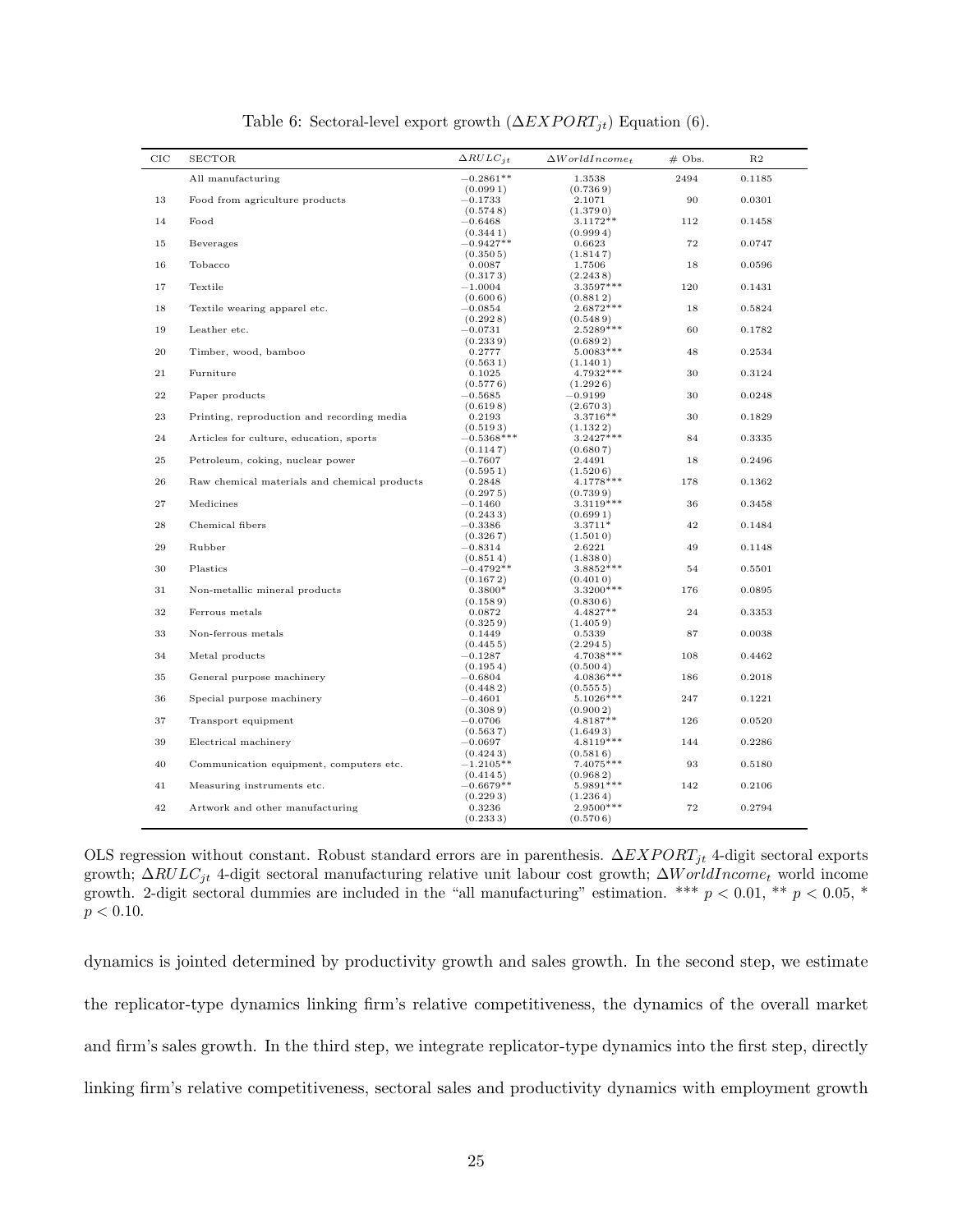| $_{\rm CIC}$ | <b>SECTOR</b>                                | $\Delta RULC_{jt}$                | $\Delta World Income_t$           | $#$ Obs. | R <sub>2</sub> |
|--------------|----------------------------------------------|-----------------------------------|-----------------------------------|----------|----------------|
|              | All manufacturing                            | $-0.2861**$                       | 1.3538                            | 2494     | 0.1185         |
| 13           | Food from agriculture products               | (0.0991)<br>$-0.1733$<br>(0.5748) | (0.7369)<br>2.1071<br>(1.3790)    | 90       | 0.0301         |
| 14           | Food                                         | $-0.6468$<br>(0.3441)             | $3.1172**$<br>(0.9994)            | 112      | 0.1458         |
| 15           | Beverages                                    | $-0.9427**$<br>(0.3505)           | 0.6623<br>(1.8147)                | 72       | 0.0747         |
| 16           | Tobacco                                      | 0.0087<br>(0.3173)                | 1.7506<br>(2.2438)                | 18       | 0.0596         |
| 17           | Textile                                      | $-1.0004$                         | 3.3597***                         | 120      | 0.1431         |
| 18           | Textile wearing apparel etc.                 | (0.6006)<br>$-0.0854$             | (0.8812)<br>$2.6872***$           | 18       | 0.5824         |
| 19           | Leather etc.                                 | (0.2928)<br>$^{-0.0731}$          | (0.5489)<br>2.5289***             | 60       | 0.1782         |
| 20           | Timber, wood, bamboo                         | (0.2339)<br>0.2777<br>(0.5631)    | (0.6892)<br>5.0083***             | 48       | 0.2534         |
| 21           | Furniture                                    | 0.1025<br>(0.5776)                | (1.1401)<br>4.7932***<br>(1.2926) | 30       | 0.3124         |
| 22           | Paper products                               | $\!-0.5685$<br>(0.6198)           | $-0.9199$<br>(2.6703)             | 30       | 0.0248         |
| 23           | Printing, reproduction and recording media   | 0.2193<br>(0.5193)                | 3.3716**<br>(1.1322)              | 30       | 0.1829         |
| 24           | Articles for culture, education, sports      | $-0.5368***$<br>(0.1147)          | $3.2427***$<br>(0.6807)           | 84       | 0.3335         |
| $\bf 25$     | Petroleum, coking, nuclear power             | $-0.7607$<br>(0.5951)             | 2.4491<br>(1.5206)                | 18       | 0.2496         |
| 26           | Raw chemical materials and chemical products | 0.2848<br>(0.2975)                | $4.1778***$<br>(0.7399)           | 178      | 0.1362         |
| $\sqrt{27}$  | Medicines                                    | $-0.1460$<br>(0.2433)             | 3.3119***<br>(0.6991)             | 36       | 0.3458         |
| $\bf{28}$    | Chemical fibers                              | $-0.3386$<br>(0.3267)             | 3.3711*<br>(1.5010)               | 42       | 0.1484         |
| 29           | Rubber                                       | $-0.8314$<br>(0.8514)             | 2.6221<br>(1.8380)                | 49       | 0.1148         |
| 30           | Plastics                                     | $-0.4792**$<br>(0.1672)           | 3.8852***<br>(0.4010)             | 54       | 0.5501         |
| 31           | Non-metallic mineral products                | $0.3800*$<br>(0.1589)             | 3.3200***<br>(0.8306)             | 176      | 0.0895         |
| 32           | Ferrous metals                               | 0.0872<br>(0.3259)                | 4.4827**<br>(1.4059)              | 24       | 0.3353         |
| $33\,$       | Non-ferrous metals                           | 0.1449<br>(0.4455)                | 0.5339<br>(2.2945)                | 87       | 0.0038         |
| 34           | Metal products                               | $^{-0.1287}$<br>(0.1954)          | 4.7038***<br>(0.5004)             | 108      | 0.4462         |
| 35           | General purpose machinery                    | $-0.6804$<br>(0.4482)             | 4.0836***<br>(0.5555)             | 186      | 0.2018         |
| 36           | Special purpose machinery                    | $-0.4601$<br>(0.3089)             | 5.1026***<br>(0.9002)             | 247      | 0.1221         |
| 37           | Transport equipment                          | $-0.0706$<br>(0.5637)             | 4.8187**<br>(1.6493)              | 126      | 0.0520         |
| 39           | Electrical machinery                         | $-0.0697$<br>(0.4243)             | 4.8119***<br>(0.5816)             | 144      | 0.2286         |
| 40           | Communication equipment, computers etc.      | $-1.2105**$<br>(0.4145)           | 7.4075***<br>(0.9682)             | 93       | 0.5180         |
| 41           | Measuring instruments etc.                   | $-0.6679**$<br>(0.2293)           | 5.9891 ***<br>(1.2364)            | 142      | 0.2106         |
| 42           | Artwork and other manufacturing              | 0.3236<br>(0.2333)                | 2.9500***<br>(0.5706)             | 72       | 0.2794         |

Table 6: Sectoral-level export growth  $(\Delta EXPORT_{jt})$  Equation (6).

OLS regression without constant. Robust standard errors are in parenthesis.  $\Delta EXPORT_{it}$  4-digit sectoral exports growth;  $\Delta RULC_{jt}$  4-digit sectoral manufacturing relative unit labour cost growth;  $\Delta World Income_t$  world income growth. 2-digit sectoral dummies are included in the "all manufacturing" estimation. \*\*\*  $p < 0.01$ , \*\*  $p < 0.05$ , \*  $p < 0.10$ .

dynamics is jointed determined by productivity growth and sales growth. In the second step, we estimate the replicator-type dynamics linking firm's relative competitiveness, the dynamics of the overall market and firm's sales growth. In the third step, we integrate replicator-type dynamics into the first step, directly linking firm's relative competitiveness, sectoral sales and productivity dynamics with employment growth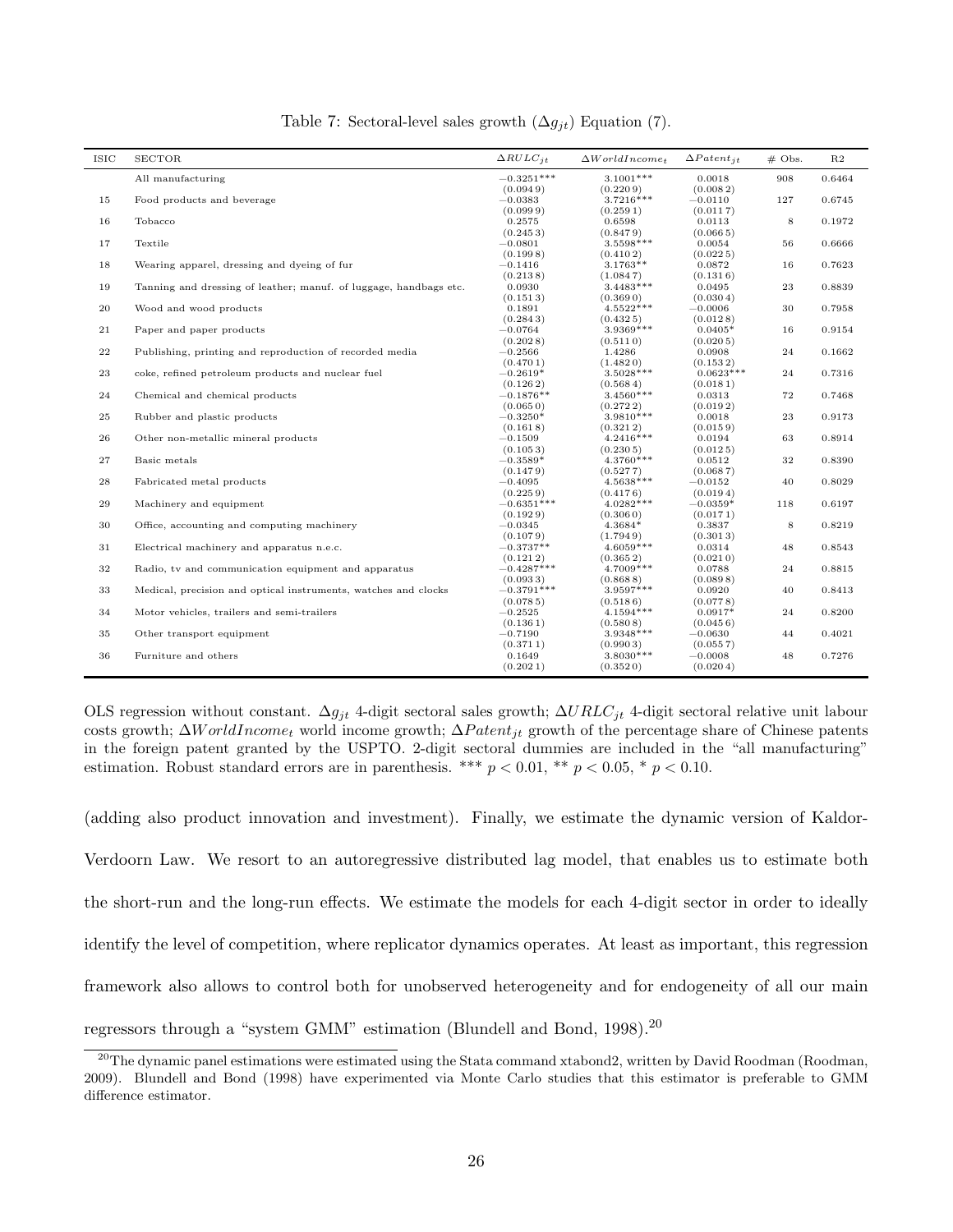| $-0.3251***$<br>$3.1001***$<br>908<br>0.6464<br>All manufacturing<br>0.0018<br>(0.0949)<br>(0.2209)<br>(0.0082)<br>3.7216***<br>15<br>Food products and beverage<br>$-0.0383$<br>$-0.0110$<br>127<br>0.6745<br>(0.0999)<br>(0.0117)<br>(0.2591)<br>8<br>16<br>Tobacco<br>0.2575<br>0.6598<br>0.0113<br>0.1972<br>(0.0665)<br>(0.2453)<br>(0.8479)<br>17<br>Textile<br>$3.5598***$<br>0.0054<br>56<br>$-0.0801$<br>0.6666<br>(0.0225)<br>(0.1998)<br>(0.4102)<br>$3.1763**$<br>18<br>Wearing apparel, dressing and dyeing of fur<br>$-0.1416$<br>0.0872<br>16<br>0.7623<br>(0.2138)<br>(0.1316)<br>(1.0847)<br>$3.4483***$<br>23<br>19<br>Tanning and dressing of leather; manuf. of luggage, handbags etc.<br>0.0930<br>0.0495<br>0.8839<br>(0.0304)<br>(0.1513)<br>(0.3690)<br>4.5522***<br>20<br>0.1891<br>$-0.0006$<br>30<br>Wood and wood products<br>0.7958<br>(0.2843)<br>(0.4325)<br>(0.0128)<br>21<br>Paper and paper products<br>$-0.0764$<br>$3.9369***$<br>$0.0405*$<br>16<br>0.9154<br>(0.2028)<br>(0.5110)<br>(0.0205)<br>22<br>$-0.2566$<br>1.4286<br>0.0908<br>24<br>0.1662<br>Publishing, printing and reproduction of recorded media<br>(0.4701)<br>(1.4820)<br>(0.1532)<br>23<br>3.5028***<br>$0.0623***$<br>24<br>0.7316<br>coke, refined petroleum products and nuclear fuel<br>$-0.2619*$<br>(0.1262)<br>(0.5684)<br>(0.0181)<br>24<br>$-0.1876**$<br>$3.4560***$<br>72<br>Chemical and chemical products<br>0.0313<br>0.7468<br>(0.2722)<br>(0.0192)<br>(0.0650)<br>3.9810 ***<br>23<br>$\bf 25$<br>Rubber and plastic products<br>$-0.3250*$<br>0.0018<br>0.9173<br>(0.1618)<br>(0.3212)<br>(0.0159)<br>26<br>$4.2416***$<br>63<br>0.8914<br>Other non-metallic mineral products<br>$-0.1509$<br>0.0194<br>(0.1053)<br>(0.2305)<br>(0.0125)<br>$27\,$<br>4.3760***<br>$32\,$<br>Basic metals<br>$-0.3589*$<br>0.8390<br>0.0512<br>(0.0687)<br>(0.1479)<br>(0.5277)<br>$\bf 28$<br>Fabricated metal products<br>4.5638***<br>40<br>0.8029<br>$-0.4095$<br>$-0.0152$<br>(0.0194)<br>(0.2259)<br>(0.4176)<br>29<br>$-0.6351***$<br>$4.0282***$<br>0.6197<br>Machinery and equipment<br>$-0.0359*$<br>118<br>(0.1929)<br>(0.3060)<br>(0.0171)<br>30<br>8<br>Office, accounting and computing machinery<br>$-0.0345$<br>$4.3684*$<br>0.3837<br>0.8219<br>(0.1079)<br>(1.7949)<br>(0.3013)<br>$4.6059***$<br>48<br>31<br>$-0.3737**$<br>0.0314<br>0.8543<br>Electrical machinery and apparatus n.e.c.<br>(0.1212)<br>(0.0210)<br>(0.3652)<br>$32\,$<br>$-0.4287***$<br>4.7009***<br>0.0788<br>24<br>0.8815<br>Radio, tv and communication equipment and apparatus<br>(0.0933)<br>(0.8688)<br>(0.0898)<br>33<br>$-0.3791***$<br>40<br>0.8413<br>Medical, precision and optical instruments, watches and clocks<br>3.9597***<br>0.0920<br>(0.0785)<br>(0.0778)<br>(0.5186)<br>34<br>$0.0917*$<br>24<br>Motor vehicles, trailers and semi-trailers<br>$-0.2525$<br>4.1594***<br>0.8200<br>(0.1361)<br>(0.5808)<br>(0.0456)<br>35<br>44<br>0.4021<br>Other transport equipment<br>$-0.7190$<br>3.9348***<br>$-0.0630$<br>(0.3711)<br>(0.9903)<br>(0.0557)<br>36<br>3.8030***<br>48<br>0.7276<br>Furniture and others<br>$-0.0008$<br>0.1649<br>(0.2021)<br>(0.3520)<br>(0.0204) | <b>ISIC</b> | <b>SECTOR</b> | $\triangle RULC_{it}$ | $\Delta World Income_{+}$ | $\Delta$ Patent <sub>it</sub> | $# \; \text{Obs}.$ | R <sub>2</sub> |
|----------------------------------------------------------------------------------------------------------------------------------------------------------------------------------------------------------------------------------------------------------------------------------------------------------------------------------------------------------------------------------------------------------------------------------------------------------------------------------------------------------------------------------------------------------------------------------------------------------------------------------------------------------------------------------------------------------------------------------------------------------------------------------------------------------------------------------------------------------------------------------------------------------------------------------------------------------------------------------------------------------------------------------------------------------------------------------------------------------------------------------------------------------------------------------------------------------------------------------------------------------------------------------------------------------------------------------------------------------------------------------------------------------------------------------------------------------------------------------------------------------------------------------------------------------------------------------------------------------------------------------------------------------------------------------------------------------------------------------------------------------------------------------------------------------------------------------------------------------------------------------------------------------------------------------------------------------------------------------------------------------------------------------------------------------------------------------------------------------------------------------------------------------------------------------------------------------------------------------------------------------------------------------------------------------------------------------------------------------------------------------------------------------------------------------------------------------------------------------------------------------------------------------------------------------------------------------------------------------------------------------------------------------------------------------------------------------------------------------------------------------------------------------------------------------------------------------------------------------------------------------------------------------------------------------------------------------------------------------------------------------------------------------------------------------------------------------------------------------------------------------------------------------------------------------------------|-------------|---------------|-----------------------|---------------------------|-------------------------------|--------------------|----------------|
|                                                                                                                                                                                                                                                                                                                                                                                                                                                                                                                                                                                                                                                                                                                                                                                                                                                                                                                                                                                                                                                                                                                                                                                                                                                                                                                                                                                                                                                                                                                                                                                                                                                                                                                                                                                                                                                                                                                                                                                                                                                                                                                                                                                                                                                                                                                                                                                                                                                                                                                                                                                                                                                                                                                                                                                                                                                                                                                                                                                                                                                                                                                                                                                              |             |               |                       |                           |                               |                    |                |
|                                                                                                                                                                                                                                                                                                                                                                                                                                                                                                                                                                                                                                                                                                                                                                                                                                                                                                                                                                                                                                                                                                                                                                                                                                                                                                                                                                                                                                                                                                                                                                                                                                                                                                                                                                                                                                                                                                                                                                                                                                                                                                                                                                                                                                                                                                                                                                                                                                                                                                                                                                                                                                                                                                                                                                                                                                                                                                                                                                                                                                                                                                                                                                                              |             |               |                       |                           |                               |                    |                |
|                                                                                                                                                                                                                                                                                                                                                                                                                                                                                                                                                                                                                                                                                                                                                                                                                                                                                                                                                                                                                                                                                                                                                                                                                                                                                                                                                                                                                                                                                                                                                                                                                                                                                                                                                                                                                                                                                                                                                                                                                                                                                                                                                                                                                                                                                                                                                                                                                                                                                                                                                                                                                                                                                                                                                                                                                                                                                                                                                                                                                                                                                                                                                                                              |             |               |                       |                           |                               |                    |                |
|                                                                                                                                                                                                                                                                                                                                                                                                                                                                                                                                                                                                                                                                                                                                                                                                                                                                                                                                                                                                                                                                                                                                                                                                                                                                                                                                                                                                                                                                                                                                                                                                                                                                                                                                                                                                                                                                                                                                                                                                                                                                                                                                                                                                                                                                                                                                                                                                                                                                                                                                                                                                                                                                                                                                                                                                                                                                                                                                                                                                                                                                                                                                                                                              |             |               |                       |                           |                               |                    |                |
|                                                                                                                                                                                                                                                                                                                                                                                                                                                                                                                                                                                                                                                                                                                                                                                                                                                                                                                                                                                                                                                                                                                                                                                                                                                                                                                                                                                                                                                                                                                                                                                                                                                                                                                                                                                                                                                                                                                                                                                                                                                                                                                                                                                                                                                                                                                                                                                                                                                                                                                                                                                                                                                                                                                                                                                                                                                                                                                                                                                                                                                                                                                                                                                              |             |               |                       |                           |                               |                    |                |
|                                                                                                                                                                                                                                                                                                                                                                                                                                                                                                                                                                                                                                                                                                                                                                                                                                                                                                                                                                                                                                                                                                                                                                                                                                                                                                                                                                                                                                                                                                                                                                                                                                                                                                                                                                                                                                                                                                                                                                                                                                                                                                                                                                                                                                                                                                                                                                                                                                                                                                                                                                                                                                                                                                                                                                                                                                                                                                                                                                                                                                                                                                                                                                                              |             |               |                       |                           |                               |                    |                |
|                                                                                                                                                                                                                                                                                                                                                                                                                                                                                                                                                                                                                                                                                                                                                                                                                                                                                                                                                                                                                                                                                                                                                                                                                                                                                                                                                                                                                                                                                                                                                                                                                                                                                                                                                                                                                                                                                                                                                                                                                                                                                                                                                                                                                                                                                                                                                                                                                                                                                                                                                                                                                                                                                                                                                                                                                                                                                                                                                                                                                                                                                                                                                                                              |             |               |                       |                           |                               |                    |                |
|                                                                                                                                                                                                                                                                                                                                                                                                                                                                                                                                                                                                                                                                                                                                                                                                                                                                                                                                                                                                                                                                                                                                                                                                                                                                                                                                                                                                                                                                                                                                                                                                                                                                                                                                                                                                                                                                                                                                                                                                                                                                                                                                                                                                                                                                                                                                                                                                                                                                                                                                                                                                                                                                                                                                                                                                                                                                                                                                                                                                                                                                                                                                                                                              |             |               |                       |                           |                               |                    |                |
|                                                                                                                                                                                                                                                                                                                                                                                                                                                                                                                                                                                                                                                                                                                                                                                                                                                                                                                                                                                                                                                                                                                                                                                                                                                                                                                                                                                                                                                                                                                                                                                                                                                                                                                                                                                                                                                                                                                                                                                                                                                                                                                                                                                                                                                                                                                                                                                                                                                                                                                                                                                                                                                                                                                                                                                                                                                                                                                                                                                                                                                                                                                                                                                              |             |               |                       |                           |                               |                    |                |
|                                                                                                                                                                                                                                                                                                                                                                                                                                                                                                                                                                                                                                                                                                                                                                                                                                                                                                                                                                                                                                                                                                                                                                                                                                                                                                                                                                                                                                                                                                                                                                                                                                                                                                                                                                                                                                                                                                                                                                                                                                                                                                                                                                                                                                                                                                                                                                                                                                                                                                                                                                                                                                                                                                                                                                                                                                                                                                                                                                                                                                                                                                                                                                                              |             |               |                       |                           |                               |                    |                |
|                                                                                                                                                                                                                                                                                                                                                                                                                                                                                                                                                                                                                                                                                                                                                                                                                                                                                                                                                                                                                                                                                                                                                                                                                                                                                                                                                                                                                                                                                                                                                                                                                                                                                                                                                                                                                                                                                                                                                                                                                                                                                                                                                                                                                                                                                                                                                                                                                                                                                                                                                                                                                                                                                                                                                                                                                                                                                                                                                                                                                                                                                                                                                                                              |             |               |                       |                           |                               |                    |                |
|                                                                                                                                                                                                                                                                                                                                                                                                                                                                                                                                                                                                                                                                                                                                                                                                                                                                                                                                                                                                                                                                                                                                                                                                                                                                                                                                                                                                                                                                                                                                                                                                                                                                                                                                                                                                                                                                                                                                                                                                                                                                                                                                                                                                                                                                                                                                                                                                                                                                                                                                                                                                                                                                                                                                                                                                                                                                                                                                                                                                                                                                                                                                                                                              |             |               |                       |                           |                               |                    |                |
|                                                                                                                                                                                                                                                                                                                                                                                                                                                                                                                                                                                                                                                                                                                                                                                                                                                                                                                                                                                                                                                                                                                                                                                                                                                                                                                                                                                                                                                                                                                                                                                                                                                                                                                                                                                                                                                                                                                                                                                                                                                                                                                                                                                                                                                                                                                                                                                                                                                                                                                                                                                                                                                                                                                                                                                                                                                                                                                                                                                                                                                                                                                                                                                              |             |               |                       |                           |                               |                    |                |
|                                                                                                                                                                                                                                                                                                                                                                                                                                                                                                                                                                                                                                                                                                                                                                                                                                                                                                                                                                                                                                                                                                                                                                                                                                                                                                                                                                                                                                                                                                                                                                                                                                                                                                                                                                                                                                                                                                                                                                                                                                                                                                                                                                                                                                                                                                                                                                                                                                                                                                                                                                                                                                                                                                                                                                                                                                                                                                                                                                                                                                                                                                                                                                                              |             |               |                       |                           |                               |                    |                |
|                                                                                                                                                                                                                                                                                                                                                                                                                                                                                                                                                                                                                                                                                                                                                                                                                                                                                                                                                                                                                                                                                                                                                                                                                                                                                                                                                                                                                                                                                                                                                                                                                                                                                                                                                                                                                                                                                                                                                                                                                                                                                                                                                                                                                                                                                                                                                                                                                                                                                                                                                                                                                                                                                                                                                                                                                                                                                                                                                                                                                                                                                                                                                                                              |             |               |                       |                           |                               |                    |                |
|                                                                                                                                                                                                                                                                                                                                                                                                                                                                                                                                                                                                                                                                                                                                                                                                                                                                                                                                                                                                                                                                                                                                                                                                                                                                                                                                                                                                                                                                                                                                                                                                                                                                                                                                                                                                                                                                                                                                                                                                                                                                                                                                                                                                                                                                                                                                                                                                                                                                                                                                                                                                                                                                                                                                                                                                                                                                                                                                                                                                                                                                                                                                                                                              |             |               |                       |                           |                               |                    |                |
|                                                                                                                                                                                                                                                                                                                                                                                                                                                                                                                                                                                                                                                                                                                                                                                                                                                                                                                                                                                                                                                                                                                                                                                                                                                                                                                                                                                                                                                                                                                                                                                                                                                                                                                                                                                                                                                                                                                                                                                                                                                                                                                                                                                                                                                                                                                                                                                                                                                                                                                                                                                                                                                                                                                                                                                                                                                                                                                                                                                                                                                                                                                                                                                              |             |               |                       |                           |                               |                    |                |
|                                                                                                                                                                                                                                                                                                                                                                                                                                                                                                                                                                                                                                                                                                                                                                                                                                                                                                                                                                                                                                                                                                                                                                                                                                                                                                                                                                                                                                                                                                                                                                                                                                                                                                                                                                                                                                                                                                                                                                                                                                                                                                                                                                                                                                                                                                                                                                                                                                                                                                                                                                                                                                                                                                                                                                                                                                                                                                                                                                                                                                                                                                                                                                                              |             |               |                       |                           |                               |                    |                |
|                                                                                                                                                                                                                                                                                                                                                                                                                                                                                                                                                                                                                                                                                                                                                                                                                                                                                                                                                                                                                                                                                                                                                                                                                                                                                                                                                                                                                                                                                                                                                                                                                                                                                                                                                                                                                                                                                                                                                                                                                                                                                                                                                                                                                                                                                                                                                                                                                                                                                                                                                                                                                                                                                                                                                                                                                                                                                                                                                                                                                                                                                                                                                                                              |             |               |                       |                           |                               |                    |                |
|                                                                                                                                                                                                                                                                                                                                                                                                                                                                                                                                                                                                                                                                                                                                                                                                                                                                                                                                                                                                                                                                                                                                                                                                                                                                                                                                                                                                                                                                                                                                                                                                                                                                                                                                                                                                                                                                                                                                                                                                                                                                                                                                                                                                                                                                                                                                                                                                                                                                                                                                                                                                                                                                                                                                                                                                                                                                                                                                                                                                                                                                                                                                                                                              |             |               |                       |                           |                               |                    |                |
|                                                                                                                                                                                                                                                                                                                                                                                                                                                                                                                                                                                                                                                                                                                                                                                                                                                                                                                                                                                                                                                                                                                                                                                                                                                                                                                                                                                                                                                                                                                                                                                                                                                                                                                                                                                                                                                                                                                                                                                                                                                                                                                                                                                                                                                                                                                                                                                                                                                                                                                                                                                                                                                                                                                                                                                                                                                                                                                                                                                                                                                                                                                                                                                              |             |               |                       |                           |                               |                    |                |
|                                                                                                                                                                                                                                                                                                                                                                                                                                                                                                                                                                                                                                                                                                                                                                                                                                                                                                                                                                                                                                                                                                                                                                                                                                                                                                                                                                                                                                                                                                                                                                                                                                                                                                                                                                                                                                                                                                                                                                                                                                                                                                                                                                                                                                                                                                                                                                                                                                                                                                                                                                                                                                                                                                                                                                                                                                                                                                                                                                                                                                                                                                                                                                                              |             |               |                       |                           |                               |                    |                |
|                                                                                                                                                                                                                                                                                                                                                                                                                                                                                                                                                                                                                                                                                                                                                                                                                                                                                                                                                                                                                                                                                                                                                                                                                                                                                                                                                                                                                                                                                                                                                                                                                                                                                                                                                                                                                                                                                                                                                                                                                                                                                                                                                                                                                                                                                                                                                                                                                                                                                                                                                                                                                                                                                                                                                                                                                                                                                                                                                                                                                                                                                                                                                                                              |             |               |                       |                           |                               |                    |                |
|                                                                                                                                                                                                                                                                                                                                                                                                                                                                                                                                                                                                                                                                                                                                                                                                                                                                                                                                                                                                                                                                                                                                                                                                                                                                                                                                                                                                                                                                                                                                                                                                                                                                                                                                                                                                                                                                                                                                                                                                                                                                                                                                                                                                                                                                                                                                                                                                                                                                                                                                                                                                                                                                                                                                                                                                                                                                                                                                                                                                                                                                                                                                                                                              |             |               |                       |                           |                               |                    |                |
|                                                                                                                                                                                                                                                                                                                                                                                                                                                                                                                                                                                                                                                                                                                                                                                                                                                                                                                                                                                                                                                                                                                                                                                                                                                                                                                                                                                                                                                                                                                                                                                                                                                                                                                                                                                                                                                                                                                                                                                                                                                                                                                                                                                                                                                                                                                                                                                                                                                                                                                                                                                                                                                                                                                                                                                                                                                                                                                                                                                                                                                                                                                                                                                              |             |               |                       |                           |                               |                    |                |
|                                                                                                                                                                                                                                                                                                                                                                                                                                                                                                                                                                                                                                                                                                                                                                                                                                                                                                                                                                                                                                                                                                                                                                                                                                                                                                                                                                                                                                                                                                                                                                                                                                                                                                                                                                                                                                                                                                                                                                                                                                                                                                                                                                                                                                                                                                                                                                                                                                                                                                                                                                                                                                                                                                                                                                                                                                                                                                                                                                                                                                                                                                                                                                                              |             |               |                       |                           |                               |                    |                |
|                                                                                                                                                                                                                                                                                                                                                                                                                                                                                                                                                                                                                                                                                                                                                                                                                                                                                                                                                                                                                                                                                                                                                                                                                                                                                                                                                                                                                                                                                                                                                                                                                                                                                                                                                                                                                                                                                                                                                                                                                                                                                                                                                                                                                                                                                                                                                                                                                                                                                                                                                                                                                                                                                                                                                                                                                                                                                                                                                                                                                                                                                                                                                                                              |             |               |                       |                           |                               |                    |                |
|                                                                                                                                                                                                                                                                                                                                                                                                                                                                                                                                                                                                                                                                                                                                                                                                                                                                                                                                                                                                                                                                                                                                                                                                                                                                                                                                                                                                                                                                                                                                                                                                                                                                                                                                                                                                                                                                                                                                                                                                                                                                                                                                                                                                                                                                                                                                                                                                                                                                                                                                                                                                                                                                                                                                                                                                                                                                                                                                                                                                                                                                                                                                                                                              |             |               |                       |                           |                               |                    |                |
|                                                                                                                                                                                                                                                                                                                                                                                                                                                                                                                                                                                                                                                                                                                                                                                                                                                                                                                                                                                                                                                                                                                                                                                                                                                                                                                                                                                                                                                                                                                                                                                                                                                                                                                                                                                                                                                                                                                                                                                                                                                                                                                                                                                                                                                                                                                                                                                                                                                                                                                                                                                                                                                                                                                                                                                                                                                                                                                                                                                                                                                                                                                                                                                              |             |               |                       |                           |                               |                    |                |
|                                                                                                                                                                                                                                                                                                                                                                                                                                                                                                                                                                                                                                                                                                                                                                                                                                                                                                                                                                                                                                                                                                                                                                                                                                                                                                                                                                                                                                                                                                                                                                                                                                                                                                                                                                                                                                                                                                                                                                                                                                                                                                                                                                                                                                                                                                                                                                                                                                                                                                                                                                                                                                                                                                                                                                                                                                                                                                                                                                                                                                                                                                                                                                                              |             |               |                       |                           |                               |                    |                |
|                                                                                                                                                                                                                                                                                                                                                                                                                                                                                                                                                                                                                                                                                                                                                                                                                                                                                                                                                                                                                                                                                                                                                                                                                                                                                                                                                                                                                                                                                                                                                                                                                                                                                                                                                                                                                                                                                                                                                                                                                                                                                                                                                                                                                                                                                                                                                                                                                                                                                                                                                                                                                                                                                                                                                                                                                                                                                                                                                                                                                                                                                                                                                                                              |             |               |                       |                           |                               |                    |                |
|                                                                                                                                                                                                                                                                                                                                                                                                                                                                                                                                                                                                                                                                                                                                                                                                                                                                                                                                                                                                                                                                                                                                                                                                                                                                                                                                                                                                                                                                                                                                                                                                                                                                                                                                                                                                                                                                                                                                                                                                                                                                                                                                                                                                                                                                                                                                                                                                                                                                                                                                                                                                                                                                                                                                                                                                                                                                                                                                                                                                                                                                                                                                                                                              |             |               |                       |                           |                               |                    |                |
|                                                                                                                                                                                                                                                                                                                                                                                                                                                                                                                                                                                                                                                                                                                                                                                                                                                                                                                                                                                                                                                                                                                                                                                                                                                                                                                                                                                                                                                                                                                                                                                                                                                                                                                                                                                                                                                                                                                                                                                                                                                                                                                                                                                                                                                                                                                                                                                                                                                                                                                                                                                                                                                                                                                                                                                                                                                                                                                                                                                                                                                                                                                                                                                              |             |               |                       |                           |                               |                    |                |
|                                                                                                                                                                                                                                                                                                                                                                                                                                                                                                                                                                                                                                                                                                                                                                                                                                                                                                                                                                                                                                                                                                                                                                                                                                                                                                                                                                                                                                                                                                                                                                                                                                                                                                                                                                                                                                                                                                                                                                                                                                                                                                                                                                                                                                                                                                                                                                                                                                                                                                                                                                                                                                                                                                                                                                                                                                                                                                                                                                                                                                                                                                                                                                                              |             |               |                       |                           |                               |                    |                |
|                                                                                                                                                                                                                                                                                                                                                                                                                                                                                                                                                                                                                                                                                                                                                                                                                                                                                                                                                                                                                                                                                                                                                                                                                                                                                                                                                                                                                                                                                                                                                                                                                                                                                                                                                                                                                                                                                                                                                                                                                                                                                                                                                                                                                                                                                                                                                                                                                                                                                                                                                                                                                                                                                                                                                                                                                                                                                                                                                                                                                                                                                                                                                                                              |             |               |                       |                           |                               |                    |                |
|                                                                                                                                                                                                                                                                                                                                                                                                                                                                                                                                                                                                                                                                                                                                                                                                                                                                                                                                                                                                                                                                                                                                                                                                                                                                                                                                                                                                                                                                                                                                                                                                                                                                                                                                                                                                                                                                                                                                                                                                                                                                                                                                                                                                                                                                                                                                                                                                                                                                                                                                                                                                                                                                                                                                                                                                                                                                                                                                                                                                                                                                                                                                                                                              |             |               |                       |                           |                               |                    |                |
|                                                                                                                                                                                                                                                                                                                                                                                                                                                                                                                                                                                                                                                                                                                                                                                                                                                                                                                                                                                                                                                                                                                                                                                                                                                                                                                                                                                                                                                                                                                                                                                                                                                                                                                                                                                                                                                                                                                                                                                                                                                                                                                                                                                                                                                                                                                                                                                                                                                                                                                                                                                                                                                                                                                                                                                                                                                                                                                                                                                                                                                                                                                                                                                              |             |               |                       |                           |                               |                    |                |
|                                                                                                                                                                                                                                                                                                                                                                                                                                                                                                                                                                                                                                                                                                                                                                                                                                                                                                                                                                                                                                                                                                                                                                                                                                                                                                                                                                                                                                                                                                                                                                                                                                                                                                                                                                                                                                                                                                                                                                                                                                                                                                                                                                                                                                                                                                                                                                                                                                                                                                                                                                                                                                                                                                                                                                                                                                                                                                                                                                                                                                                                                                                                                                                              |             |               |                       |                           |                               |                    |                |
|                                                                                                                                                                                                                                                                                                                                                                                                                                                                                                                                                                                                                                                                                                                                                                                                                                                                                                                                                                                                                                                                                                                                                                                                                                                                                                                                                                                                                                                                                                                                                                                                                                                                                                                                                                                                                                                                                                                                                                                                                                                                                                                                                                                                                                                                                                                                                                                                                                                                                                                                                                                                                                                                                                                                                                                                                                                                                                                                                                                                                                                                                                                                                                                              |             |               |                       |                           |                               |                    |                |
|                                                                                                                                                                                                                                                                                                                                                                                                                                                                                                                                                                                                                                                                                                                                                                                                                                                                                                                                                                                                                                                                                                                                                                                                                                                                                                                                                                                                                                                                                                                                                                                                                                                                                                                                                                                                                                                                                                                                                                                                                                                                                                                                                                                                                                                                                                                                                                                                                                                                                                                                                                                                                                                                                                                                                                                                                                                                                                                                                                                                                                                                                                                                                                                              |             |               |                       |                           |                               |                    |                |
|                                                                                                                                                                                                                                                                                                                                                                                                                                                                                                                                                                                                                                                                                                                                                                                                                                                                                                                                                                                                                                                                                                                                                                                                                                                                                                                                                                                                                                                                                                                                                                                                                                                                                                                                                                                                                                                                                                                                                                                                                                                                                                                                                                                                                                                                                                                                                                                                                                                                                                                                                                                                                                                                                                                                                                                                                                                                                                                                                                                                                                                                                                                                                                                              |             |               |                       |                           |                               |                    |                |
|                                                                                                                                                                                                                                                                                                                                                                                                                                                                                                                                                                                                                                                                                                                                                                                                                                                                                                                                                                                                                                                                                                                                                                                                                                                                                                                                                                                                                                                                                                                                                                                                                                                                                                                                                                                                                                                                                                                                                                                                                                                                                                                                                                                                                                                                                                                                                                                                                                                                                                                                                                                                                                                                                                                                                                                                                                                                                                                                                                                                                                                                                                                                                                                              |             |               |                       |                           |                               |                    |                |
|                                                                                                                                                                                                                                                                                                                                                                                                                                                                                                                                                                                                                                                                                                                                                                                                                                                                                                                                                                                                                                                                                                                                                                                                                                                                                                                                                                                                                                                                                                                                                                                                                                                                                                                                                                                                                                                                                                                                                                                                                                                                                                                                                                                                                                                                                                                                                                                                                                                                                                                                                                                                                                                                                                                                                                                                                                                                                                                                                                                                                                                                                                                                                                                              |             |               |                       |                           |                               |                    |                |
|                                                                                                                                                                                                                                                                                                                                                                                                                                                                                                                                                                                                                                                                                                                                                                                                                                                                                                                                                                                                                                                                                                                                                                                                                                                                                                                                                                                                                                                                                                                                                                                                                                                                                                                                                                                                                                                                                                                                                                                                                                                                                                                                                                                                                                                                                                                                                                                                                                                                                                                                                                                                                                                                                                                                                                                                                                                                                                                                                                                                                                                                                                                                                                                              |             |               |                       |                           |                               |                    |                |
|                                                                                                                                                                                                                                                                                                                                                                                                                                                                                                                                                                                                                                                                                                                                                                                                                                                                                                                                                                                                                                                                                                                                                                                                                                                                                                                                                                                                                                                                                                                                                                                                                                                                                                                                                                                                                                                                                                                                                                                                                                                                                                                                                                                                                                                                                                                                                                                                                                                                                                                                                                                                                                                                                                                                                                                                                                                                                                                                                                                                                                                                                                                                                                                              |             |               |                       |                           |                               |                    |                |
|                                                                                                                                                                                                                                                                                                                                                                                                                                                                                                                                                                                                                                                                                                                                                                                                                                                                                                                                                                                                                                                                                                                                                                                                                                                                                                                                                                                                                                                                                                                                                                                                                                                                                                                                                                                                                                                                                                                                                                                                                                                                                                                                                                                                                                                                                                                                                                                                                                                                                                                                                                                                                                                                                                                                                                                                                                                                                                                                                                                                                                                                                                                                                                                              |             |               |                       |                           |                               |                    |                |

Table 7: Sectoral-level sales growth  $(\Delta g_{jt})$  Equation (7).

OLS regression without constant.  $\Delta g_{it}$  4-digit sectoral sales growth;  $\Delta URLC_{it}$  4-digit sectoral relative unit labour costs growth;  $\Delta World Income_t$  world income growth;  $\Delta Patent_{it}$  growth of the percentage share of Chinese patents in the foreign patent granted by the USPTO. 2-digit sectoral dummies are included in the "all manufacturing" estimation. Robust standard errors are in parenthesis. \*\*\*  $p < 0.01$ , \*\*  $p < 0.05$ , \*  $p < 0.10$ .

(adding also product innovation and investment). Finally, we estimate the dynamic version of Kaldor-Verdoorn Law. We resort to an autoregressive distributed lag model, that enables us to estimate both the short-run and the long-run effects. We estimate the models for each 4-digit sector in order to ideally identify the level of competition, where replicator dynamics operates. At least as important, this regression framework also allows to control both for unobserved heterogeneity and for endogeneity of all our main regressors through a "system GMM" estimation (Blundell and Bond, 1998).<sup>20</sup>

 $^{20}$ The dynamic panel estimations were estimated using the Stata command xtabond2, written by David Roodman (Roodman, 2009). Blundell and Bond (1998) have experimented via Monte Carlo studies that this estimator is preferable to GMM difference estimator.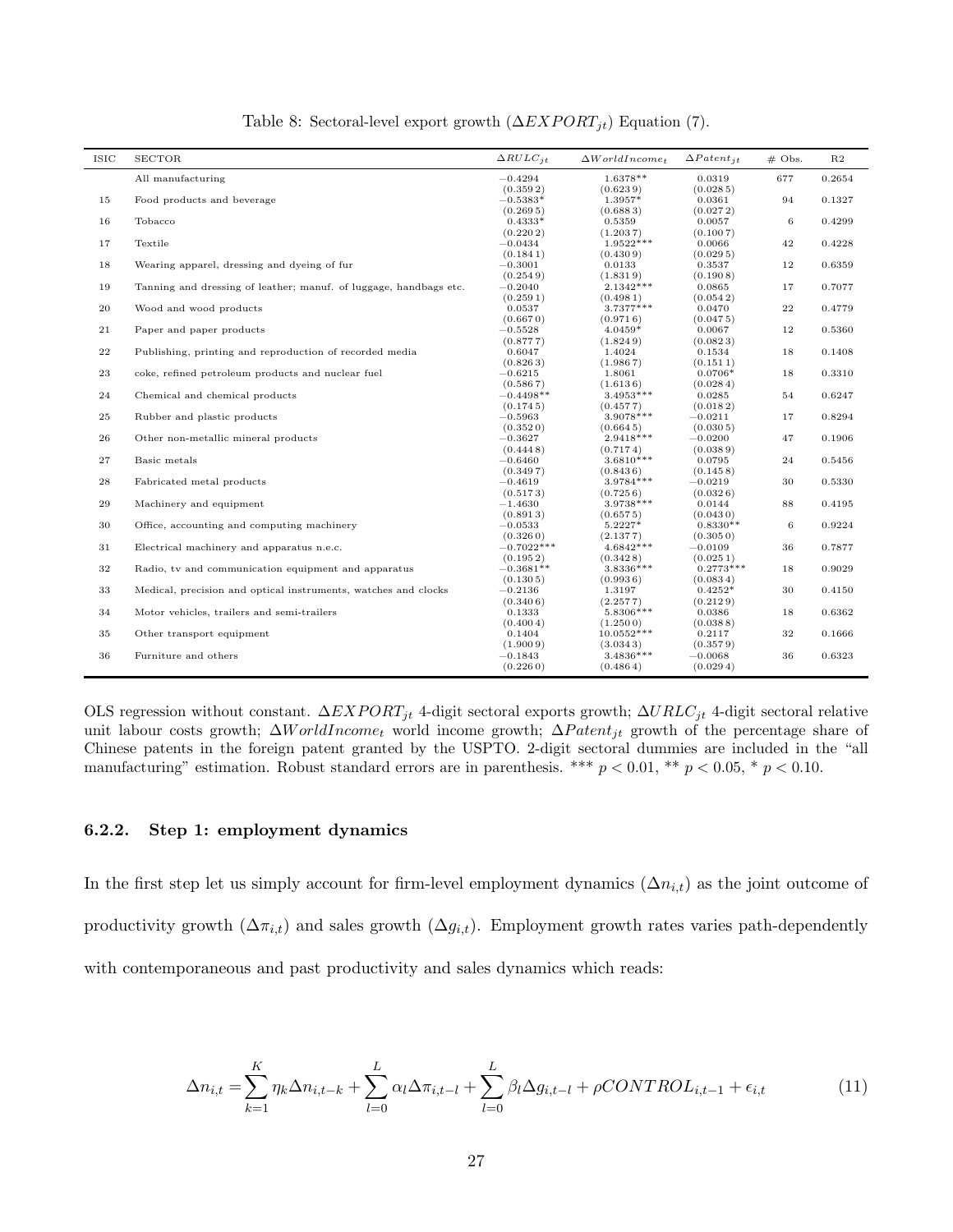| <b>ISIC</b> | <b>SECTOR</b>                                                     | $\triangle RULE_{it}$ | $\Delta World Income_t$  | $\Delta$ Patent <sub>it</sub> | $# \; \text{Obs}.$ | R2     |
|-------------|-------------------------------------------------------------------|-----------------------|--------------------------|-------------------------------|--------------------|--------|
|             | All manufacturing                                                 | $-0.4294$             | 1.6378**                 | 0.0319                        | 677                | 0.2654 |
|             |                                                                   | (0.3592)              | (0.6239)                 | (0.0285)                      |                    |        |
| 15          | Food products and beverage                                        | $-0.5383*$            | 1.3957*                  | 0.0361                        | 94                 | 0.1327 |
|             |                                                                   | (0.2695)              | (0.6883)                 | (0.0272)                      |                    |        |
| 16          | Tobacco                                                           | $0.4333*$             | 0.5359                   | 0.0057                        | 6                  | 0.4299 |
|             |                                                                   | (0.2202)              | (1.2037)                 | (0.1007)                      |                    |        |
| 17          | Textile                                                           | $-0.0434$             | 1.9522***                | 0.0066                        | 42                 | 0.4228 |
|             |                                                                   | (0.1841)              | (0.4309)                 | (0.0295)                      |                    |        |
| 18          | Wearing apparel, dressing and dyeing of fur                       | $-0.3001$             | 0.0133                   | 0.3537                        | 12                 | 0.6359 |
|             |                                                                   | (0.2549)              | (1.8319)                 | (0.1908)                      |                    |        |
| 19          | Tanning and dressing of leather; manuf. of luggage, handbags etc. | $-0.2040$             | $2.1342***$              | 0.0865                        | 17                 | 0.7077 |
| 20          | Wood and wood products                                            | (0.2591)<br>0.0537    | (0.4981)<br>3.7377***    | (0.0542)<br>0.0470            | 22                 | 0.4779 |
|             |                                                                   | (0.6670)              | (0.9716)                 | (0.0475)                      |                    |        |
| 21          | Paper and paper products                                          | $-0.5528$             | $4.0459*$                | 0.0067                        | 12                 | 0.5360 |
|             |                                                                   | (0.8777)              | (1.8249)                 | (0.0823)                      |                    |        |
| 22          | Publishing, printing and reproduction of recorded media           | 0.6047                | 1.4024                   | 0.1534                        | 18                 | 0.1408 |
|             |                                                                   | (0.8263)              | (1.9867)                 | (0.1511)                      |                    |        |
| $\bf 23$    | coke, refined petroleum products and nuclear fuel                 | $-0.6215$             | 1.8061                   | $0.0706*$                     | 18                 | 0.3310 |
|             |                                                                   | (0.5867)              | (1.6136)                 | (0.0284)                      |                    |        |
| 24          | Chemical and chemical products                                    | $-0.4498**$           | $3.4953***$              | 0.0285                        | 54                 | 0.6247 |
|             |                                                                   | (0.1745)              | (0.4577)                 | (0.0182)                      |                    |        |
| 25          | Rubber and plastic products                                       | $-0.5963$             | 3.9078***                | $-0.0211$                     | 17                 | 0.8294 |
|             |                                                                   | (0.3520)              | (0.6645)                 | (0.0305)                      |                    |        |
| 26          | Other non-metallic mineral products                               | $-0.3627$             | 2.9418***                | $-0.0200$                     | 47                 | 0.1906 |
|             |                                                                   | (0.4448)              | (0.7174)                 | (0.0389)                      |                    |        |
| 27          | Basic metals                                                      | $-0.6460$             | $3.6810***$              | 0.0795                        | 24                 | 0.5456 |
|             |                                                                   | (0.3497)              | (0.8436)                 | (0.1458)                      |                    |        |
| $\bf 28$    | Fabricated metal products                                         | $-0.4619$             | 3.9784 ***               | $-0.0219$                     | 30                 | 0.5330 |
|             |                                                                   | (0.5173)              | (0.7256)                 | (0.0326)                      |                    |        |
| 29          | Machinery and equipment                                           | $-1.4630$             | $3.9738***$              | 0.0144                        | 88                 | 0.4195 |
|             |                                                                   | (0.8913)              | (0.6575)                 | (0.0430)                      |                    |        |
| 30          | Office, accounting and computing machinery                        | $-0.0533$             | 5.2227*                  | $0.8330**$                    | 6                  | 0.9224 |
|             |                                                                   | (0.3260)              | (2.1377)                 | (0.3050)                      |                    |        |
| 31          | Electrical machinery and apparatus n.e.c.                         | $-0.7022***$          | $4.6842***$              | $-0.0109$                     | 36                 | 0.7877 |
|             |                                                                   | (0.1952)              | (0.3428)                 | (0.0251)                      |                    |        |
| $32\,$      | Radio, tv and communication equipment and apparatus               | $-0.3681**$           | 3.8336 ***               | $0.2773***$                   | 18                 | 0.9029 |
|             |                                                                   | (0.1305)              | (0.9936)                 | (0.0834)                      | 30                 |        |
| 33          | Medical, precision and optical instruments, watches and clocks    | $-0.2136$<br>(0.3406) | 1.3197                   | $0.4252*$<br>(0.2129)         |                    | 0.4150 |
| 34          | Motor vehicles, trailers and semi-trailers                        | 0.1333                | (2.2577)<br>5.8306***    | 0.0386                        | 18                 | 0.6362 |
|             |                                                                   | (0.4004)              |                          |                               |                    |        |
| 35          | Other transport equipment                                         | 0.1404                | (1.2500)<br>$10.0552***$ | (0.0388)<br>0.2117            | 32                 | 0.1666 |
|             |                                                                   | (1.9009)              | (3.0343)                 | (0.3579)                      |                    |        |
| $36\,$      | Furniture and others                                              | $-0.1843$             | $3.4836***$              | $-0.0068$                     | 36                 | 0.6323 |
|             |                                                                   | (0.2260)              | (0.4864)                 | (0.0294)                      |                    |        |
|             |                                                                   |                       |                          |                               |                    |        |

Table 8: Sectoral-level export growth  $(\Delta EXPORT_{jt})$  Equation (7).

OLS regression without constant.  $\Delta EXPORT_{it}$  4-digit sectoral exports growth;  $\Delta URLC_{it}$  4-digit sectoral relative unit labour costs growth;  $\Delta World Income_t$  world income growth;  $\Delta Patent_{it}$  growth of the percentage share of Chinese patents in the foreign patent granted by the USPTO. 2-digit sectoral dummies are included in the "all manufacturing" estimation. Robust standard errors are in parenthesis. \*\*\*  $p < 0.01$ , \*\*  $p < 0.05$ , \*  $p < 0.10$ .

#### 6.2.2. Step 1: employment dynamics

In the first step let us simply account for firm-level employment dynamics  $(\Delta n_{i,t})$  as the joint outcome of productivity growth  $(\Delta \pi_{i,t})$  and sales growth  $(\Delta g_{i,t})$ . Employment growth rates varies path-dependently with contemporaneous and past productivity and sales dynamics which reads:

$$
\Delta n_{i,t} = \sum_{k=1}^{K} \eta_k \Delta n_{i,t-k} + \sum_{l=0}^{L} \alpha_l \Delta \pi_{i,t-l} + \sum_{l=0}^{L} \beta_l \Delta g_{i,t-l} + \rho CONTROL_{i,t-1} + \epsilon_{i,t}
$$
(11)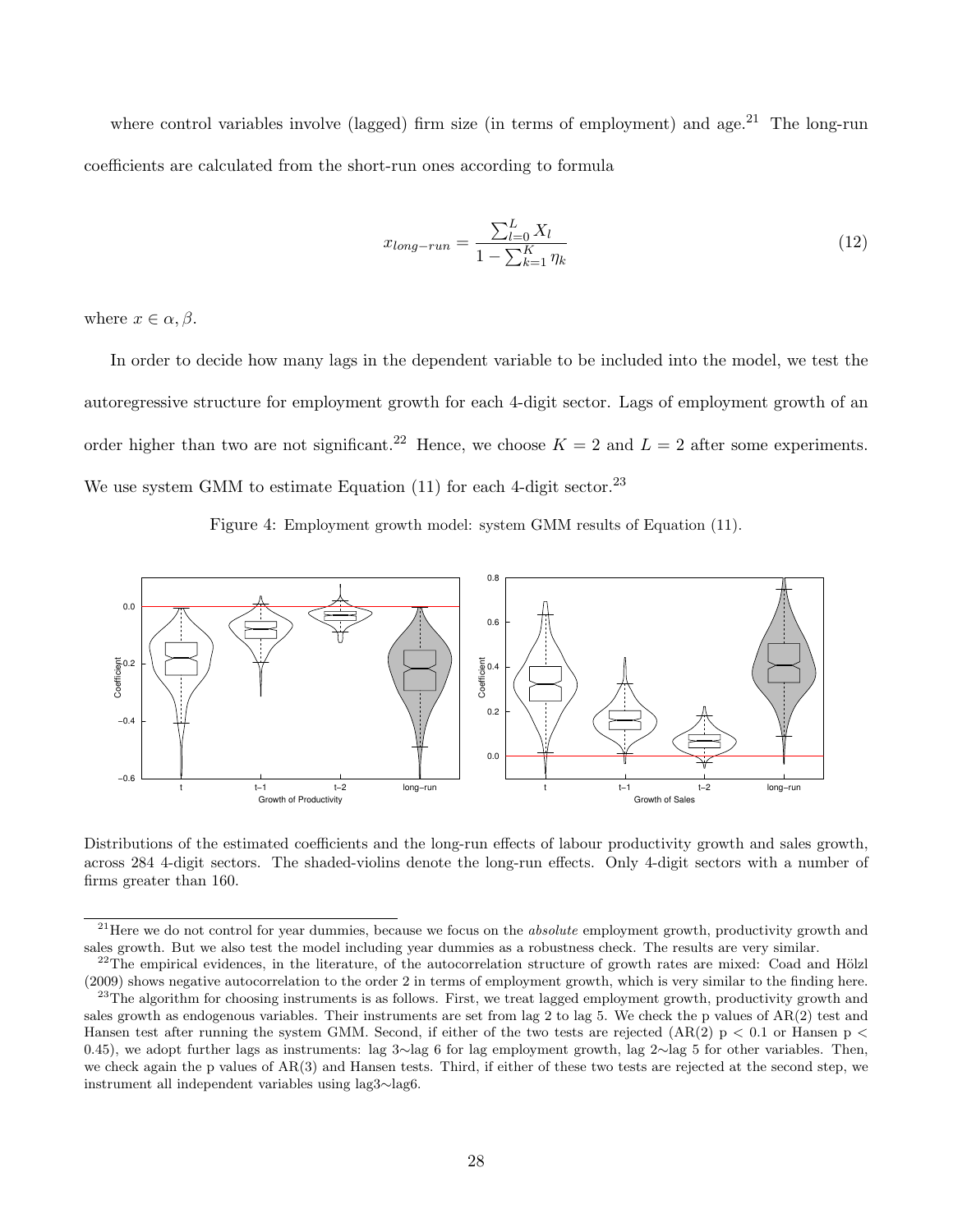where control variables involve (lagged) firm size (in terms of employment) and age.<sup>21</sup> The long-run coefficients are calculated from the short-run ones according to formula

$$
x_{long-run} = \frac{\sum_{l=0}^{L} X_l}{1 - \sum_{k=1}^{K} \eta_k}
$$
\n(12)

where  $x \in \alpha, \beta$ .

In order to decide how many lags in the dependent variable to be included into the model, we test the autoregressive structure for employment growth for each 4-digit sector. Lags of employment growth of an order higher than two are not significant.<sup>22</sup> Hence, we choose  $K = 2$  and  $L = 2$  after some experiments. We use system GMM to estimate Equation  $(11)$  for each 4-digit sector.<sup>23</sup>

Figure 4: Employment growth model: system GMM results of Equation (11).



Distributions of the estimated coefficients and the long-run effects of labour productivity growth and sales growth, across 284 4-digit sectors. The shaded-violins denote the long-run effects. Only 4-digit sectors with a number of firms greater than 160.

 $2<sup>1</sup>$  Here we do not control for year dummies, because we focus on the *absolute* employment growth, productivity growth and sales growth. But we also test the model including year dummies as a robustness check. The results are very similar.

 $^{22}$ The empirical evidences, in the literature, of the autocorrelation structure of growth rates are mixed: Coad and Hölzl (2009) shows negative autocorrelation to the order 2 in terms of employment growth, which is very similar to the finding here.

 $23$ The algorithm for choosing instruments is as follows. First, we treat lagged employment growth, productivity growth and sales growth as endogenous variables. Their instruments are set from lag 2 to lag 5. We check the p values of  $AR(2)$  test and Hansen test after running the system GMM. Second, if either of the two tests are rejected  $(AR(2) p < 0.1$  or Hansen  $p <$ 0.45), we adopt further lags as instruments: lag 3∼lag 6 for lag employment growth, lag 2∼lag 5 for other variables. Then, we check again the p values of AR(3) and Hansen tests. Third, if either of these two tests are rejected at the second step, we instrument all independent variables using lag3∼lag6.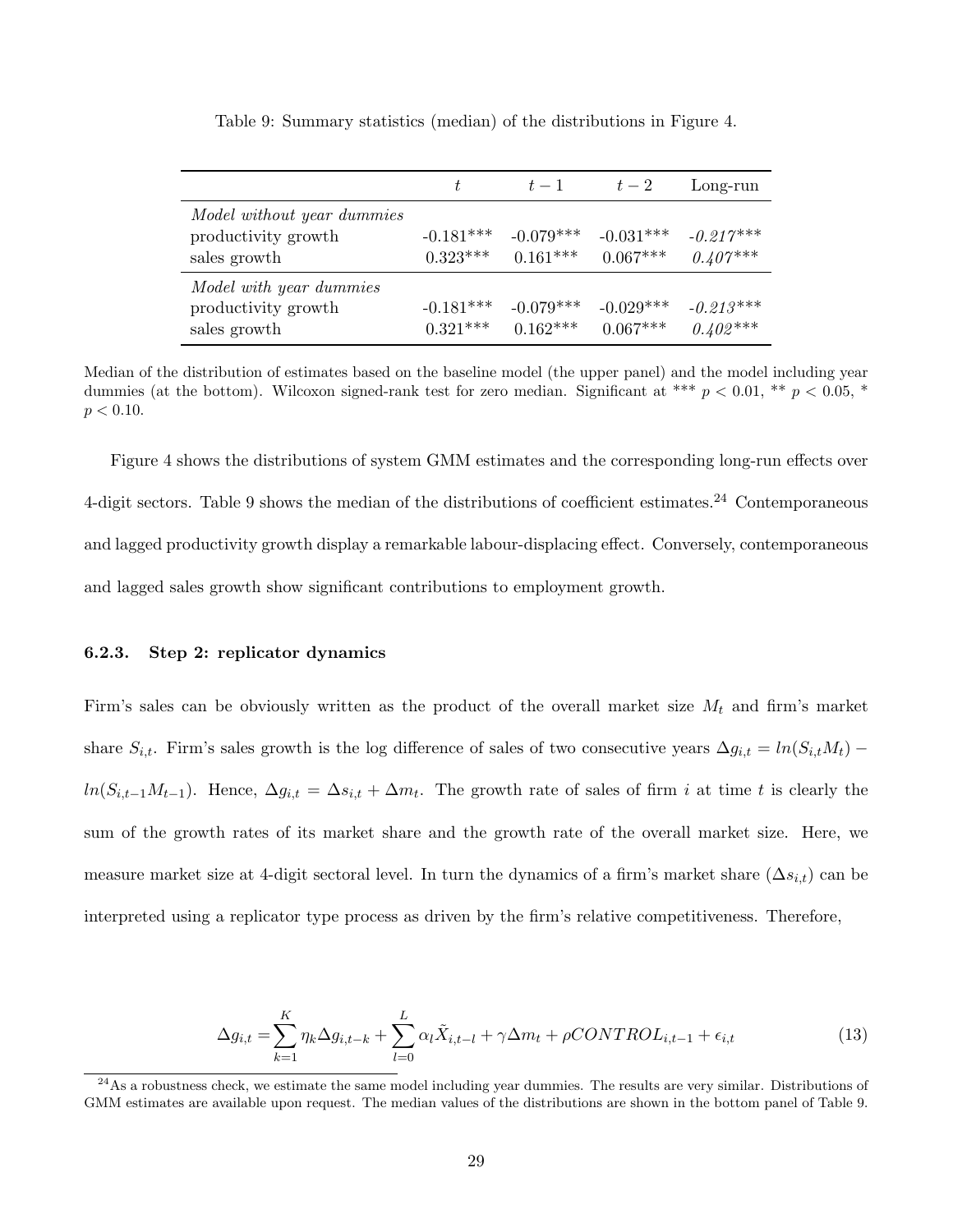|                                                                   | t                         | $t-1$                     | $t-2$                     | Long-run                  |
|-------------------------------------------------------------------|---------------------------|---------------------------|---------------------------|---------------------------|
| Model without year dummies<br>productivity growth<br>sales growth | $-0.181***$<br>$0.323***$ | $-0.079***$<br>$0.161***$ | $-0.031***$<br>$0.067***$ | $-0.217***$<br>$0.407***$ |
| Model with year dummies<br>productivity growth<br>sales growth    | $-0.181***$<br>$0.321***$ | $-0.079***$<br>$0.162***$ | $-0.029***$<br>$0.067***$ | $-0.213***$<br>$0.402***$ |

Table 9: Summary statistics (median) of the distributions in Figure 4.

Median of the distribution of estimates based on the baseline model (the upper panel) and the model including year dummies (at the bottom). Wilcoxon signed-rank test for zero median. Significant at \*\*\*  $p < 0.01$ , \*\*  $p < 0.05$ , \*  $p < 0.10$ .

Figure 4 shows the distributions of system GMM estimates and the corresponding long-run effects over 4-digit sectors. Table 9 shows the median of the distributions of coefficient estimates.<sup>24</sup> Contemporaneous and lagged productivity growth display a remarkable labour-displacing effect. Conversely, contemporaneous and lagged sales growth show significant contributions to employment growth.

#### 6.2.3. Step 2: replicator dynamics

Firm's sales can be obviously written as the product of the overall market size  $M_t$  and firm's market share  $S_{i,t}$ . Firm's sales growth is the log difference of sales of two consecutive years  $\Delta g_{i,t} = ln(S_{i,t}M_t)$  –  $ln(S_{i,t-1}M_{t-1})$ . Hence,  $\Delta g_{i,t} = \Delta s_{i,t} + \Delta m_t$ . The growth rate of sales of firm i at time t is clearly the sum of the growth rates of its market share and the growth rate of the overall market size. Here, we measure market size at 4-digit sectoral level. In turn the dynamics of a firm's market share  $(\Delta s_{i,t})$  can be interpreted using a replicator type process as driven by the firm's relative competitiveness. Therefore,

$$
\Delta g_{i,t} = \sum_{k=1}^{K} \eta_k \Delta g_{i,t-k} + \sum_{l=0}^{L} \alpha_l \tilde{X}_{i,t-l} + \gamma \Delta m_t + \rho CONTROL_{i,t-1} + \epsilon_{i,t}
$$
\n(13)

<sup>24</sup>As a robustness check, we estimate the same model including year dummies. The results are very similar. Distributions of GMM estimates are available upon request. The median values of the distributions are shown in the bottom panel of Table 9.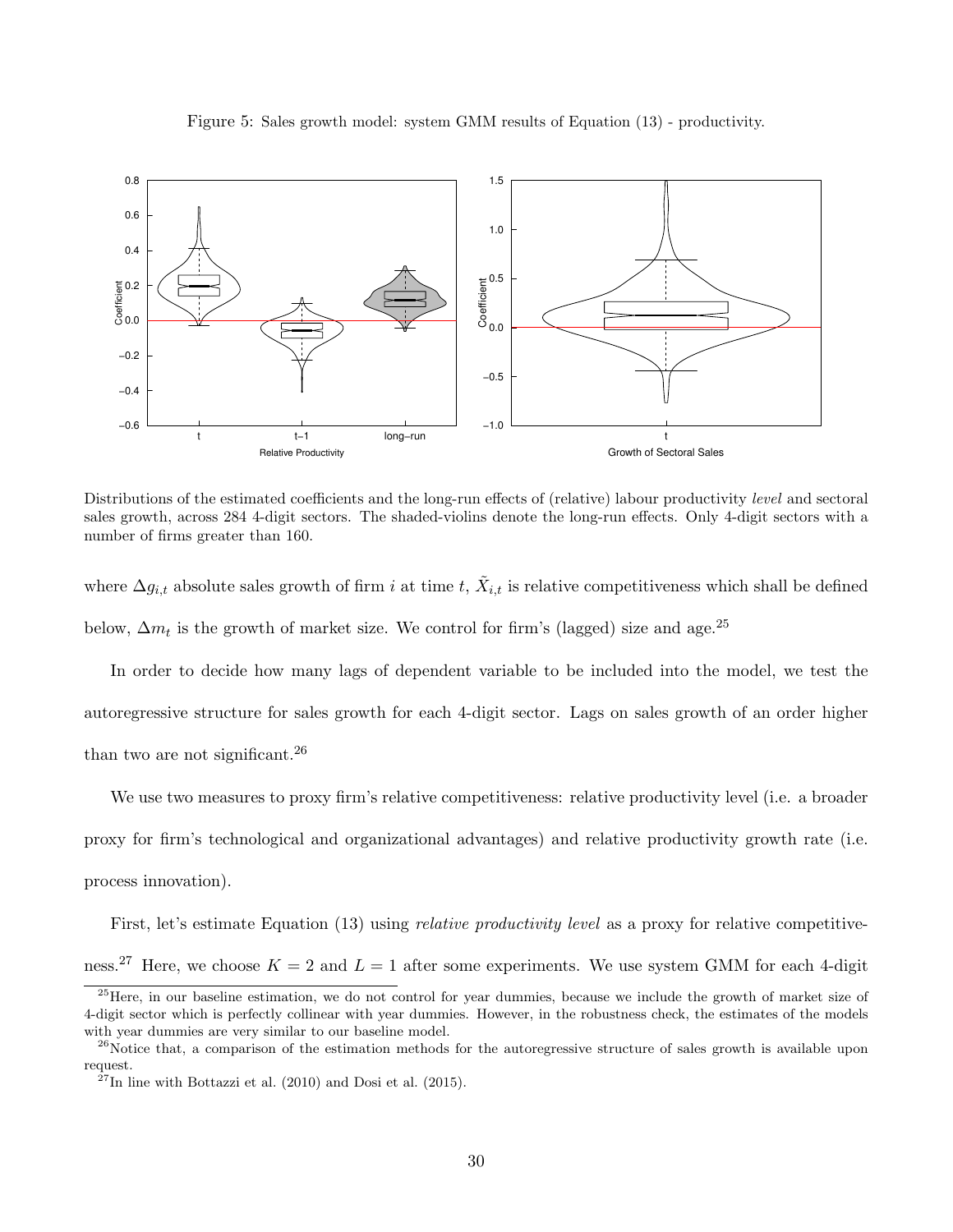



Distributions of the estimated coefficients and the long-run effects of (relative) labour productivity *level* and sectoral sales growth, across 284 4-digit sectors. The shaded-violins denote the long-run effects. Only 4-digit sectors with a number of firms greater than 160.

where  $\Delta g_{i,t}$  absolute sales growth of firm i at time t,  $\tilde{X}_{i,t}$  is relative competitiveness which shall be defined below,  $\Delta m_t$  is the growth of market size. We control for firm's (lagged) size and age.<sup>25</sup>

In order to decide how many lags of dependent variable to be included into the model, we test the autoregressive structure for sales growth for each 4-digit sector. Lags on sales growth of an order higher than two are not significant.  $2<sup>6</sup>$ 

We use two measures to proxy firm's relative competitiveness: relative productivity level (i.e. a broader proxy for firm's technological and organizational advantages) and relative productivity growth rate (i.e. process innovation).

First, let's estimate Equation (13) using *relative productivity level* as a proxy for relative competitiveness.<sup>27</sup> Here, we choose  $K = 2$  and  $L = 1$  after some experiments. We use system GMM for each 4-digit

 $25$ Here, in our baseline estimation, we do not control for year dummies, because we include the growth of market size of 4-digit sector which is perfectly collinear with year dummies. However, in the robustness check, the estimates of the models with year dummies are very similar to our baseline model.

 $^{26}$ Notice that, a comparison of the estimation methods for the autoregressive structure of sales growth is available upon request.

 $^{27}$ In line with Bottazzi et al. (2010) and Dosi et al. (2015).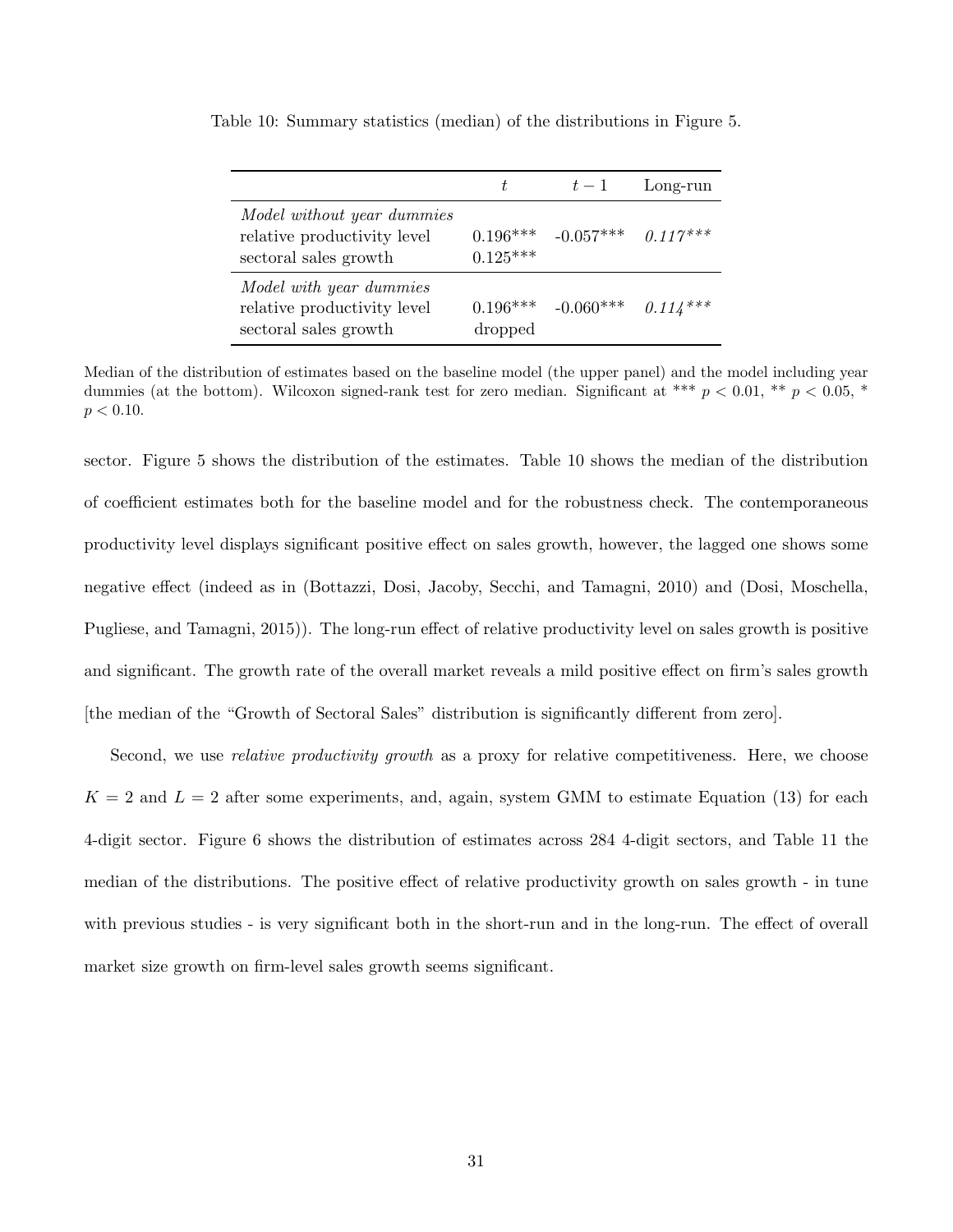|                                                                                    | t                        | $t-1$                | Long-run   |
|------------------------------------------------------------------------------------|--------------------------|----------------------|------------|
| Model without year dummies<br>relative productivity level<br>sectoral sales growth | $0.196***$<br>$0.125***$ | $-0.057***$ 0.117*** |            |
| Model with year dummies<br>relative productivity level<br>sectoral sales growth    | $0.196***$<br>dropped    | $-0.060***$          | $0.114***$ |

Table 10: Summary statistics (median) of the distributions in Figure 5.

Median of the distribution of estimates based on the baseline model (the upper panel) and the model including year dummies (at the bottom). Wilcoxon signed-rank test for zero median. Significant at \*\*\*  $p < 0.01$ , \*\*  $p < 0.05$ , \*  $p < 0.10$ .

sector. Figure 5 shows the distribution of the estimates. Table 10 shows the median of the distribution of coefficient estimates both for the baseline model and for the robustness check. The contemporaneous productivity level displays significant positive effect on sales growth, however, the lagged one shows some negative effect (indeed as in (Bottazzi, Dosi, Jacoby, Secchi, and Tamagni, 2010) and (Dosi, Moschella, Pugliese, and Tamagni, 2015)). The long-run effect of relative productivity level on sales growth is positive and significant. The growth rate of the overall market reveals a mild positive effect on firm's sales growth [the median of the "Growth of Sectoral Sales" distribution is significantly different from zero].

Second, we use *relative productivity growth* as a proxy for relative competitiveness. Here, we choose  $K = 2$  and  $L = 2$  after some experiments, and, again, system GMM to estimate Equation (13) for each 4-digit sector. Figure 6 shows the distribution of estimates across 284 4-digit sectors, and Table 11 the median of the distributions. The positive effect of relative productivity growth on sales growth - in tune with previous studies - is very significant both in the short-run and in the long-run. The effect of overall market size growth on firm-level sales growth seems significant.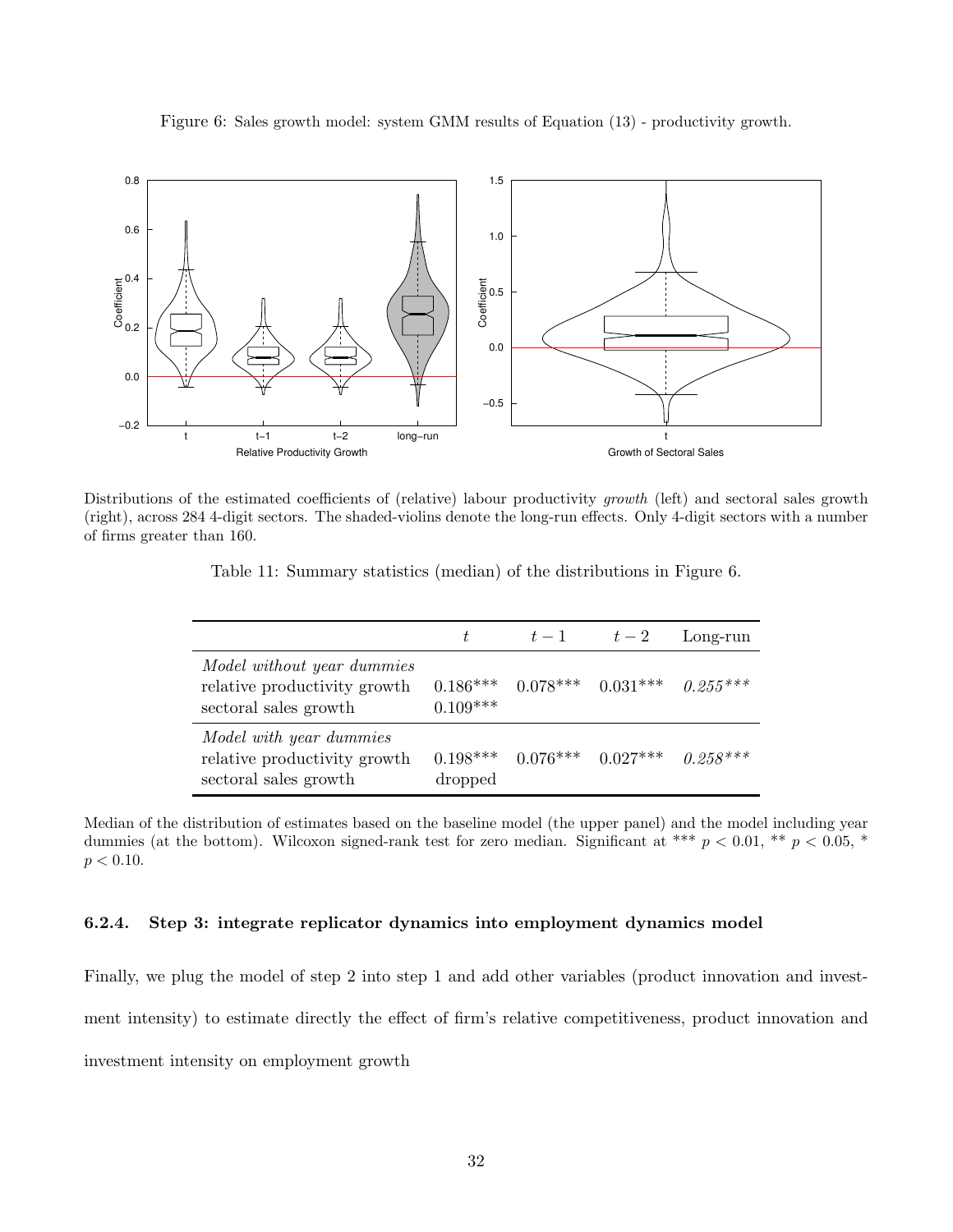Figure 6: Sales growth model: system GMM results of Equation (13) - productivity growth.



Distributions of the estimated coefficients of (relative) labour productivity *growth* (left) and sectoral sales growth (right), across 284 4-digit sectors. The shaded-violins denote the long-run effects. Only 4-digit sectors with a number of firms greater than 160.

Table 11: Summary statistics (median) of the distributions in Figure 6.

|                                                                                     | ŧ.         | $t-1$ $t-2$                      |                                             | Long-run   |
|-------------------------------------------------------------------------------------|------------|----------------------------------|---------------------------------------------|------------|
| Model without year dummies<br>relative productivity growth<br>sectoral sales growth | $0.109***$ |                                  | $0.186***$ $0.078***$ $0.031***$ $0.255***$ |            |
| Model with year dummies<br>relative productivity growth<br>sectoral sales growth    | dropped    | $0.198***$ $0.076***$ $0.027***$ |                                             | $0.258***$ |

Median of the distribution of estimates based on the baseline model (the upper panel) and the model including year dummies (at the bottom). Wilcoxon signed-rank test for zero median. Significant at \*\*\*  $p < 0.01$ , \*\*  $p < 0.05$ , \*  $p < 0.10$ .

#### 6.2.4. Step 3: integrate replicator dynamics into employment dynamics model

Finally, we plug the model of step 2 into step 1 and add other variables (product innovation and investment intensity) to estimate directly the effect of firm's relative competitiveness, product innovation and investment intensity on employment growth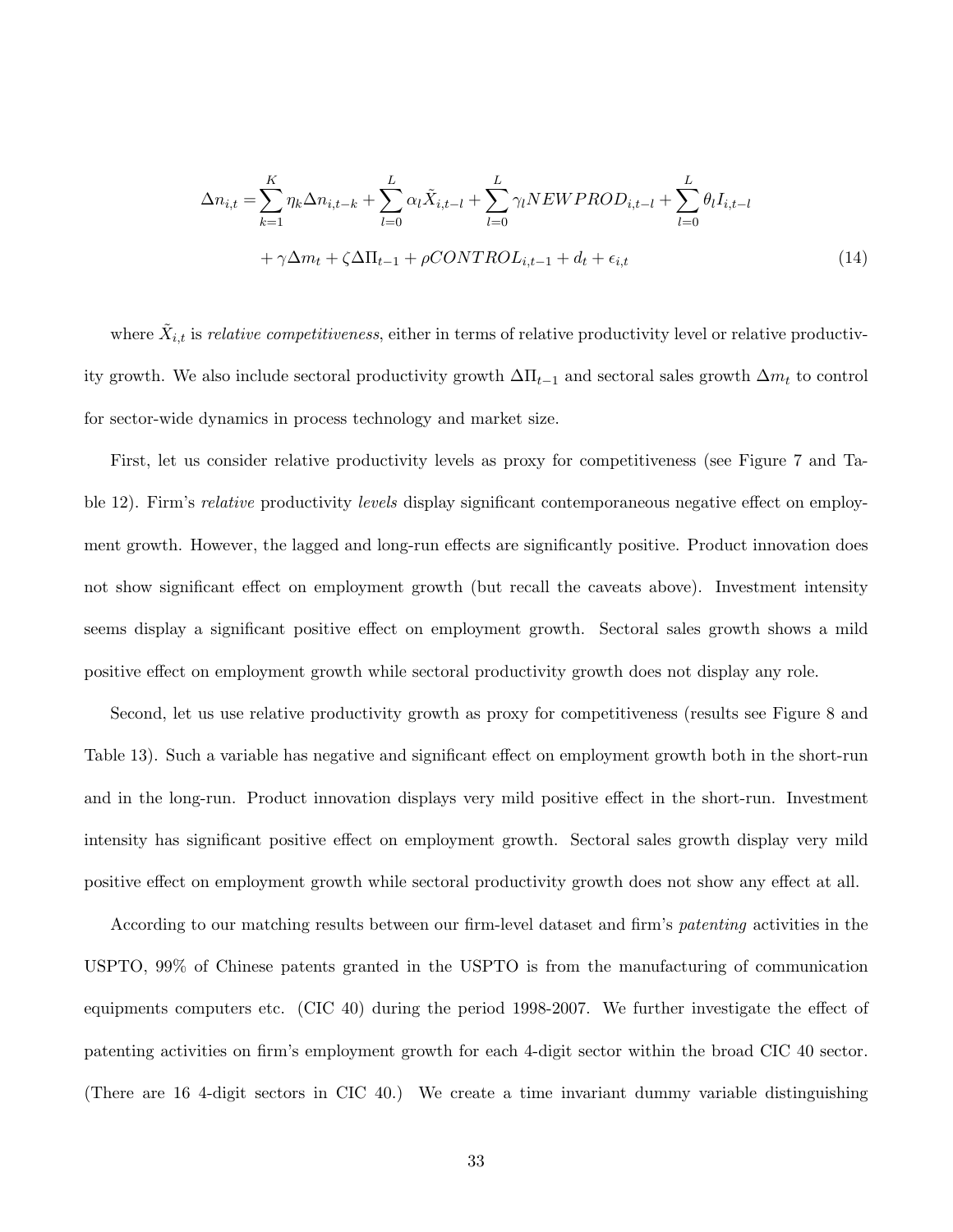$$
\Delta n_{i,t} = \sum_{k=1}^{K} \eta_k \Delta n_{i,t-k} + \sum_{l=0}^{L} \alpha_l \tilde{X}_{i,t-l} + \sum_{l=0}^{L} \gamma_l N EW PROD_{i,t-l} + \sum_{l=0}^{L} \theta_l I_{i,t-l} + \gamma \Delta m_t + \zeta \Delta \Pi_{t-1} + \rho CONTROL_{i,t-1} + d_t + \epsilon_{i,t}
$$
\n(14)

where  $\tilde{X}_{i,t}$  is *relative competitiveness*, either in terms of relative productivity level or relative productivity growth. We also include sectoral productivity growth  $\Delta \Pi_{t-1}$  and sectoral sales growth  $\Delta m_t$  to control for sector-wide dynamics in process technology and market size.

First, let us consider relative productivity levels as proxy for competitiveness (see Figure 7 and Table 12). Firm's *relative* productivity *levels* display significant contemporaneous negative effect on employment growth. However, the lagged and long-run effects are significantly positive. Product innovation does not show significant effect on employment growth (but recall the caveats above). Investment intensity seems display a significant positive effect on employment growth. Sectoral sales growth shows a mild positive effect on employment growth while sectoral productivity growth does not display any role.

Second, let us use relative productivity growth as proxy for competitiveness (results see Figure 8 and Table 13). Such a variable has negative and significant effect on employment growth both in the short-run and in the long-run. Product innovation displays very mild positive effect in the short-run. Investment intensity has significant positive effect on employment growth. Sectoral sales growth display very mild positive effect on employment growth while sectoral productivity growth does not show any effect at all.

According to our matching results between our firm-level dataset and firm's *patenting* activities in the USPTO, 99% of Chinese patents granted in the USPTO is from the manufacturing of communication equipments computers etc. (CIC 40) during the period 1998-2007. We further investigate the effect of patenting activities on firm's employment growth for each 4-digit sector within the broad CIC 40 sector. (There are 16 4-digit sectors in CIC 40.) We create a time invariant dummy variable distinguishing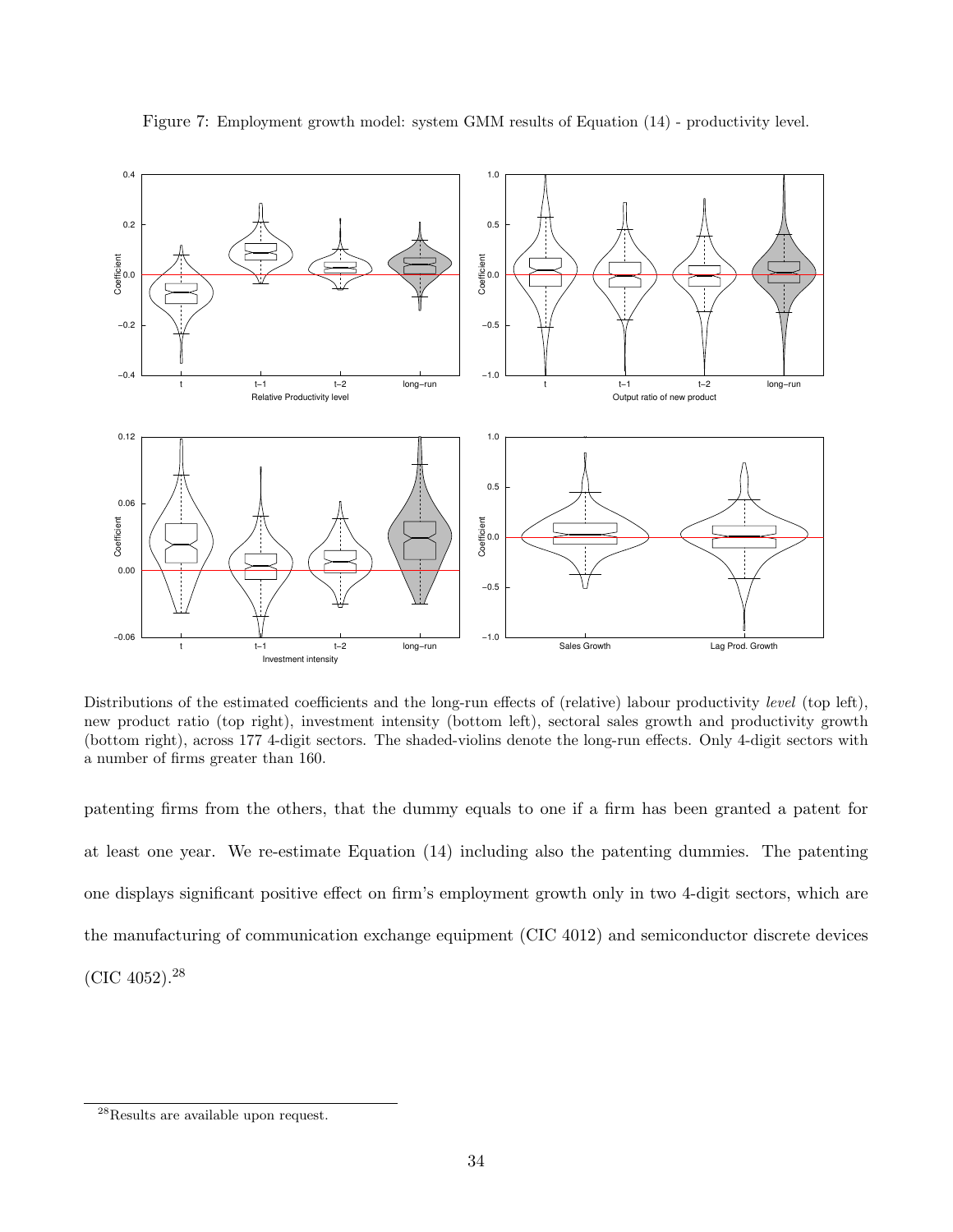

Figure 7: Employment growth model: system GMM results of Equation (14) - productivity level.

Distributions of the estimated coefficients and the long-run effects of (relative) labour productivity *level* (top left), new product ratio (top right), investment intensity (bottom left), sectoral sales growth and productivity growth (bottom right), across 177 4-digit sectors. The shaded-violins denote the long-run effects. Only 4-digit sectors with a number of firms greater than 160.

patenting firms from the others, that the dummy equals to one if a firm has been granted a patent for at least one year. We re-estimate Equation (14) including also the patenting dummies. The patenting one displays significant positive effect on firm's employment growth only in two 4-digit sectors, which are the manufacturing of communication exchange equipment (CIC 4012) and semiconductor discrete devices (CIC 4052). $^{28}$ 

 $^{28}\mathrm{Results}$  are available upon request.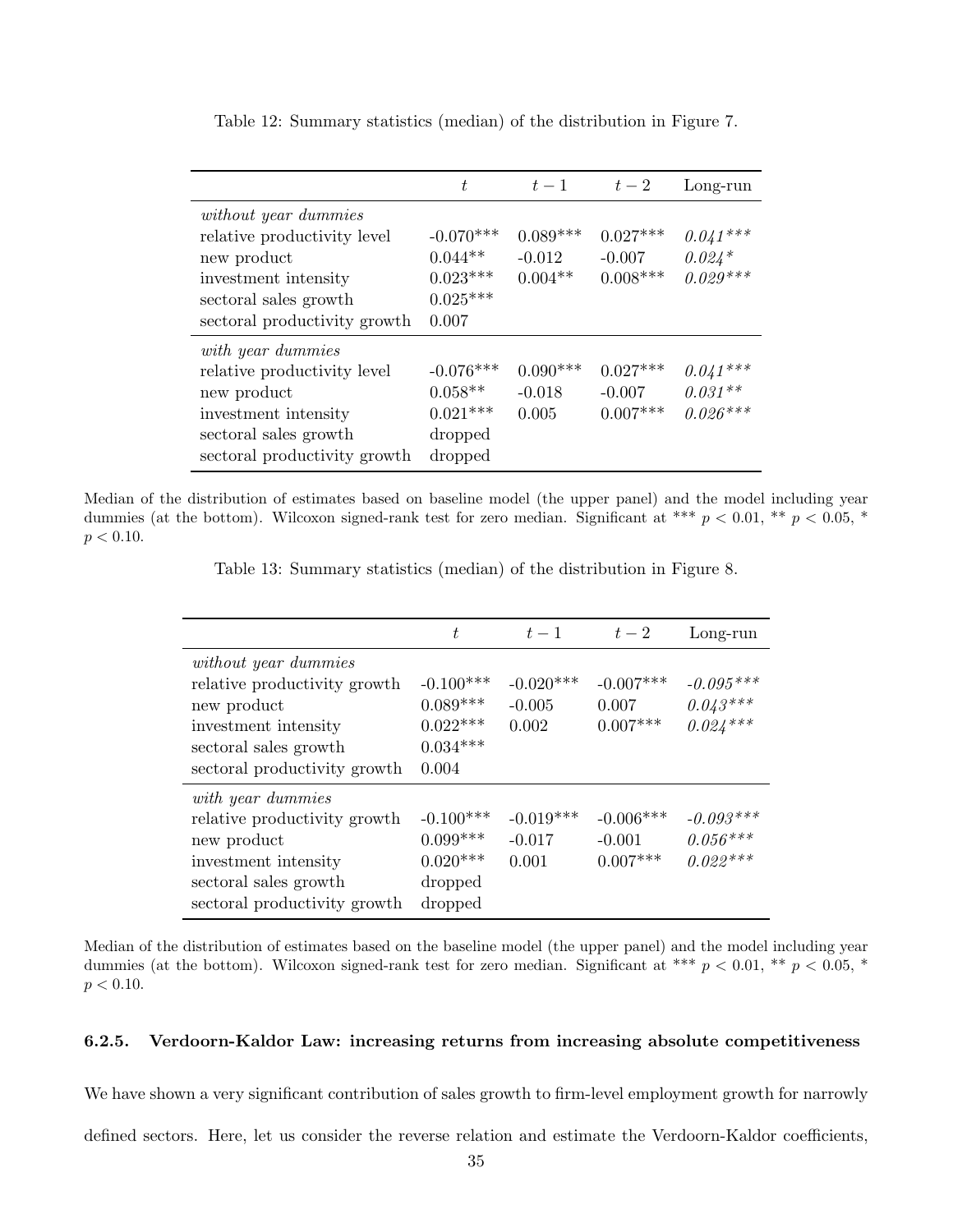|                                                                                                                                                            | t                                                             | $t-1$                               | $t-2$                                | Long-run                              |
|------------------------------------------------------------------------------------------------------------------------------------------------------------|---------------------------------------------------------------|-------------------------------------|--------------------------------------|---------------------------------------|
| <i>without year dummies</i><br>relative productivity level<br>new product<br>investment intensity<br>sectoral sales growth<br>sectoral productivity growth | $-0.070***$<br>$0.044**$<br>$0.023***$<br>$0.025***$<br>0.007 | $0.089***$<br>$-0.012$<br>$0.004**$ | $0.027***$<br>$-0.007$<br>$0.008***$ | $0.041***$<br>$0.024*$<br>$0.029***$  |
| with year dummies<br>relative productivity level<br>new product<br>investment intensity<br>sectoral sales growth<br>sectoral productivity growth           | $-0.076***$<br>$0.058**$<br>$0.021***$<br>dropped<br>dropped  | $0.090***$<br>$-0.018$<br>0.005     | $0.027***$<br>$-0.007$<br>$0.007***$ | $0.041***$<br>$0.031**$<br>$0.026***$ |

Table 12: Summary statistics (median) of the distribution in Figure 7.

Median of the distribution of estimates based on baseline model (the upper panel) and the model including year dummies (at the bottom). Wilcoxon signed-rank test for zero median. Significant at \*\*\*  $p < 0.01$ , \*\*  $p < 0.05$ , \*  $p < 0.10$ .

Table 13: Summary statistics (median) of the distribution in Figure 8.

|                                                                                                                                                             | t                                                              | $t-1$                            | $t-2$                                 | Long-run                                |
|-------------------------------------------------------------------------------------------------------------------------------------------------------------|----------------------------------------------------------------|----------------------------------|---------------------------------------|-----------------------------------------|
| <i>without year dummies</i><br>relative productivity growth<br>new product<br>investment intensity<br>sectoral sales growth<br>sectoral productivity growth | $-0.100***$<br>$0.089***$<br>$0.022***$<br>$0.034***$<br>0.004 | $-0.020***$<br>$-0.005$<br>0.002 | $-0.007***$<br>0.007<br>$0.007***$    | $-0.095***$<br>$0.043***$<br>$0.024***$ |
| with year dummies<br>relative productivity growth<br>new product<br>investment intensity<br>sectoral sales growth<br>sectoral productivity growth           | $-0.100***$<br>$0.099***$<br>$0.020***$<br>dropped<br>dropped  | $-0.019***$<br>$-0.017$<br>0.001 | $-0.006***$<br>$-0.001$<br>$0.007***$ | $-0.093***$<br>$0.056***$<br>$0.022***$ |

Median of the distribution of estimates based on the baseline model (the upper panel) and the model including year dummies (at the bottom). Wilcoxon signed-rank test for zero median. Significant at \*\*\*  $p < 0.01$ , \*\*  $p < 0.05$ , \*  $p < 0.10$ .

#### 6.2.5. Verdoorn-Kaldor Law: increasing returns from increasing absolute competitiveness

We have shown a very significant contribution of sales growth to firm-level employment growth for narrowly

defined sectors. Here, let us consider the reverse relation and estimate the Verdoorn-Kaldor coefficients,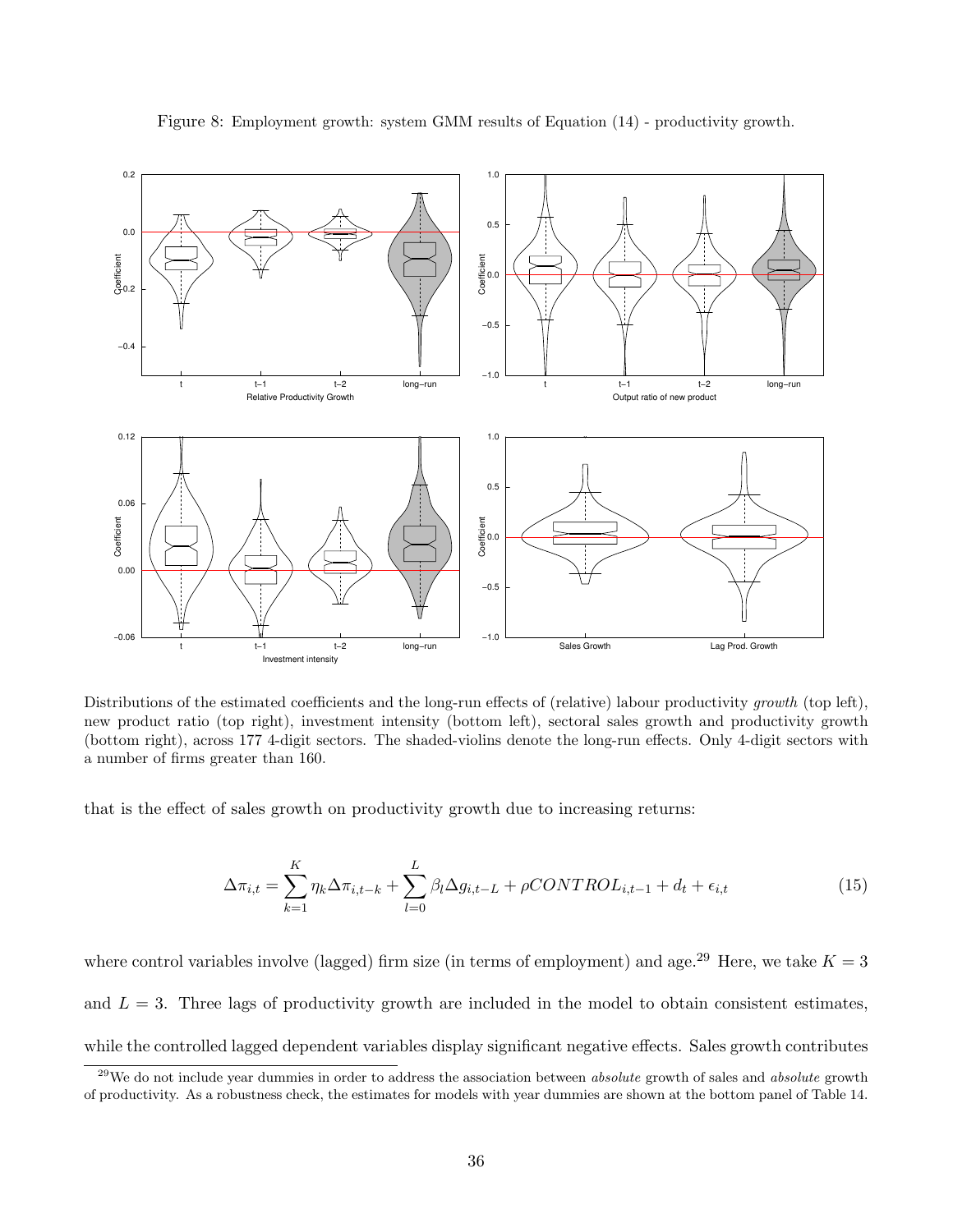

Figure 8: Employment growth: system GMM results of Equation (14) - productivity growth.

Distributions of the estimated coefficients and the long-run effects of (relative) labour productivity *growth* (top left), new product ratio (top right), investment intensity (bottom left), sectoral sales growth and productivity growth (bottom right), across 177 4-digit sectors. The shaded-violins denote the long-run effects. Only 4-digit sectors with a number of firms greater than 160.

that is the effect of sales growth on productivity growth due to increasing returns:

$$
\Delta \pi_{i,t} = \sum_{k=1}^{K} \eta_k \Delta \pi_{i,t-k} + \sum_{l=0}^{L} \beta_l \Delta g_{i,t-L} + \rho CONTROL_{i,t-1} + d_t + \epsilon_{i,t}
$$
\n(15)

where control variables involve (lagged) firm size (in terms of employment) and age.<sup>29</sup> Here, we take  $K = 3$ and  $L = 3$ . Three lags of productivity growth are included in the model to obtain consistent estimates, while the controlled lagged dependent variables display significant negative effects. Sales growth contributes

 $^{29}$ We do not include year dummies in order to address the association between *absolute* growth of sales and *absolute* growth of productivity. As a robustness check, the estimates for models with year dummies are shown at the bottom panel of Table 14.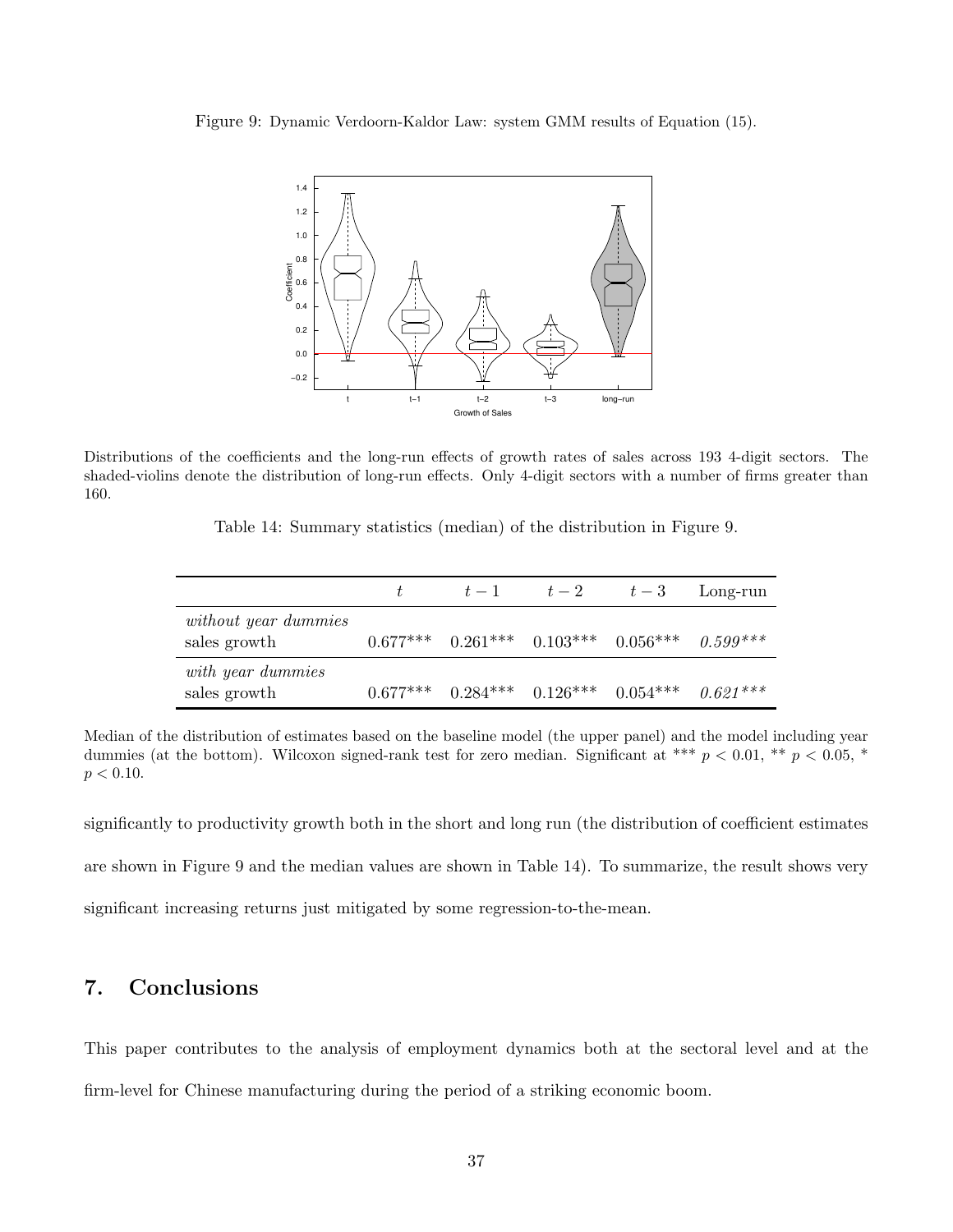Figure 9: Dynamic Verdoorn-Kaldor Law: system GMM results of Equation (15).



Distributions of the coefficients and the long-run effects of growth rates of sales across 193 4-digit sectors. The shaded-violins denote the distribution of long-run effects. Only 4-digit sectors with a number of firms greater than 160.

|                                      | $t-1$ | $t-2$                                                  | $t-3$ | Long-run |
|--------------------------------------|-------|--------------------------------------------------------|-------|----------|
| without year dummies<br>sales growth |       | $0.677***$ $0.261***$ $0.103***$ $0.056***$ $0.599***$ |       |          |
| with year dummies<br>sales growth    |       | $0.677***$ $0.284***$ $0.126***$ $0.054***$ $0.621***$ |       |          |

Median of the distribution of estimates based on the baseline model (the upper panel) and the model including year dummies (at the bottom). Wilcoxon signed-rank test for zero median. Significant at \*\*\*  $p < 0.01$ , \*\*  $p < 0.05$ , \*  $p < 0.10$ .

significantly to productivity growth both in the short and long run (the distribution of coefficient estimates are shown in Figure 9 and the median values are shown in Table 14). To summarize, the result shows very significant increasing returns just mitigated by some regression-to-the-mean.

# 7. Conclusions

This paper contributes to the analysis of employment dynamics both at the sectoral level and at the firm-level for Chinese manufacturing during the period of a striking economic boom.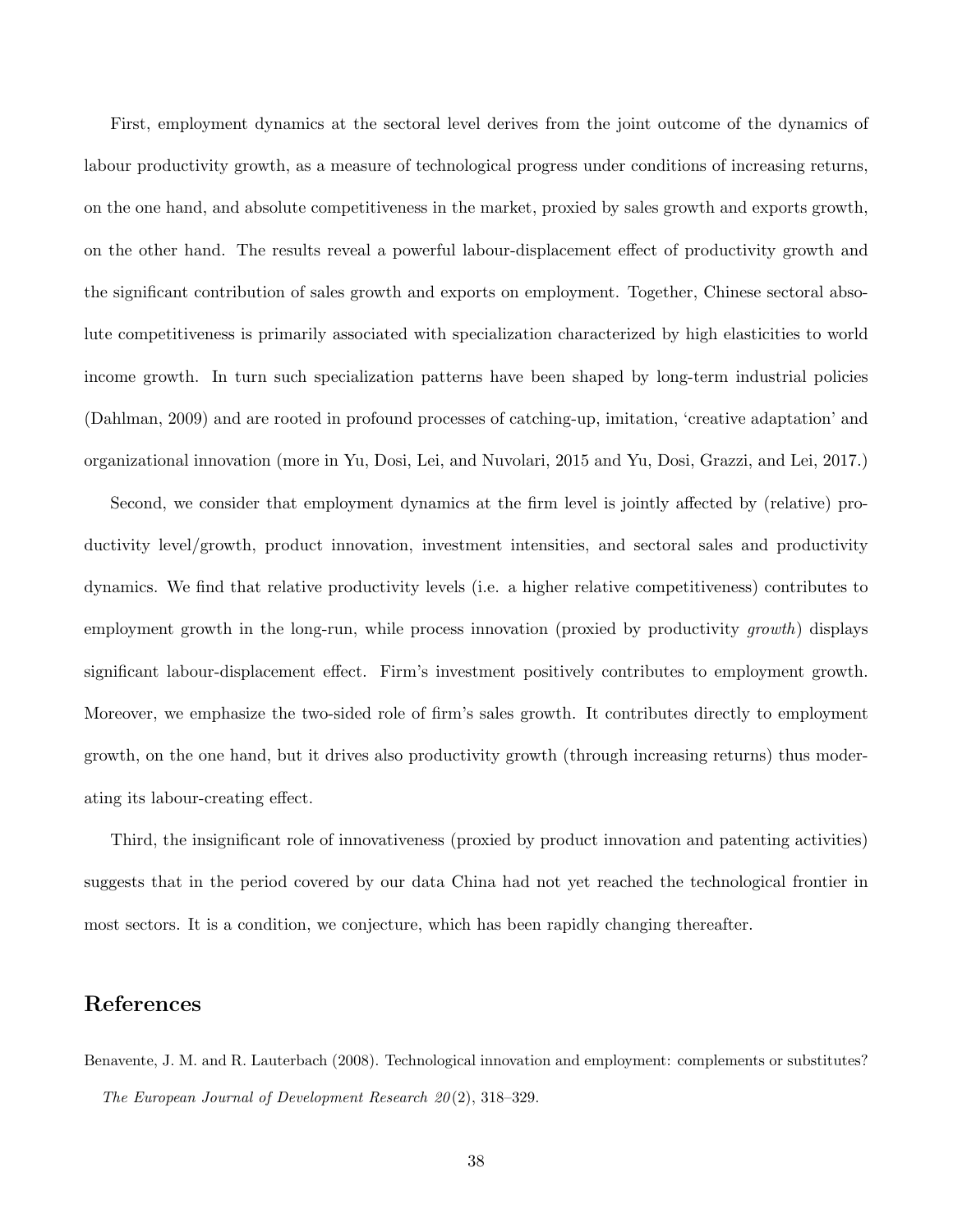First, employment dynamics at the sectoral level derives from the joint outcome of the dynamics of labour productivity growth, as a measure of technological progress under conditions of increasing returns, on the one hand, and absolute competitiveness in the market, proxied by sales growth and exports growth, on the other hand. The results reveal a powerful labour-displacement effect of productivity growth and the significant contribution of sales growth and exports on employment. Together, Chinese sectoral absolute competitiveness is primarily associated with specialization characterized by high elasticities to world income growth. In turn such specialization patterns have been shaped by long-term industrial policies (Dahlman, 2009) and are rooted in profound processes of catching-up, imitation, 'creative adaptation' and organizational innovation (more in Yu, Dosi, Lei, and Nuvolari, 2015 and Yu, Dosi, Grazzi, and Lei, 2017.)

Second, we consider that employment dynamics at the firm level is jointly affected by (relative) productivity level/growth, product innovation, investment intensities, and sectoral sales and productivity dynamics. We find that relative productivity levels (i.e. a higher relative competitiveness) contributes to employment growth in the long-run, while process innovation (proxied by productivity *growth*) displays significant labour-displacement effect. Firm's investment positively contributes to employment growth. Moreover, we emphasize the two-sided role of firm's sales growth. It contributes directly to employment growth, on the one hand, but it drives also productivity growth (through increasing returns) thus moderating its labour-creating effect.

Third, the insignificant role of innovativeness (proxied by product innovation and patenting activities) suggests that in the period covered by our data China had not yet reached the technological frontier in most sectors. It is a condition, we conjecture, which has been rapidly changing thereafter.

# References

Benavente, J. M. and R. Lauterbach (2008). Technological innovation and employment: complements or substitutes? *The European Journal of Development Research 20* (2), 318–329.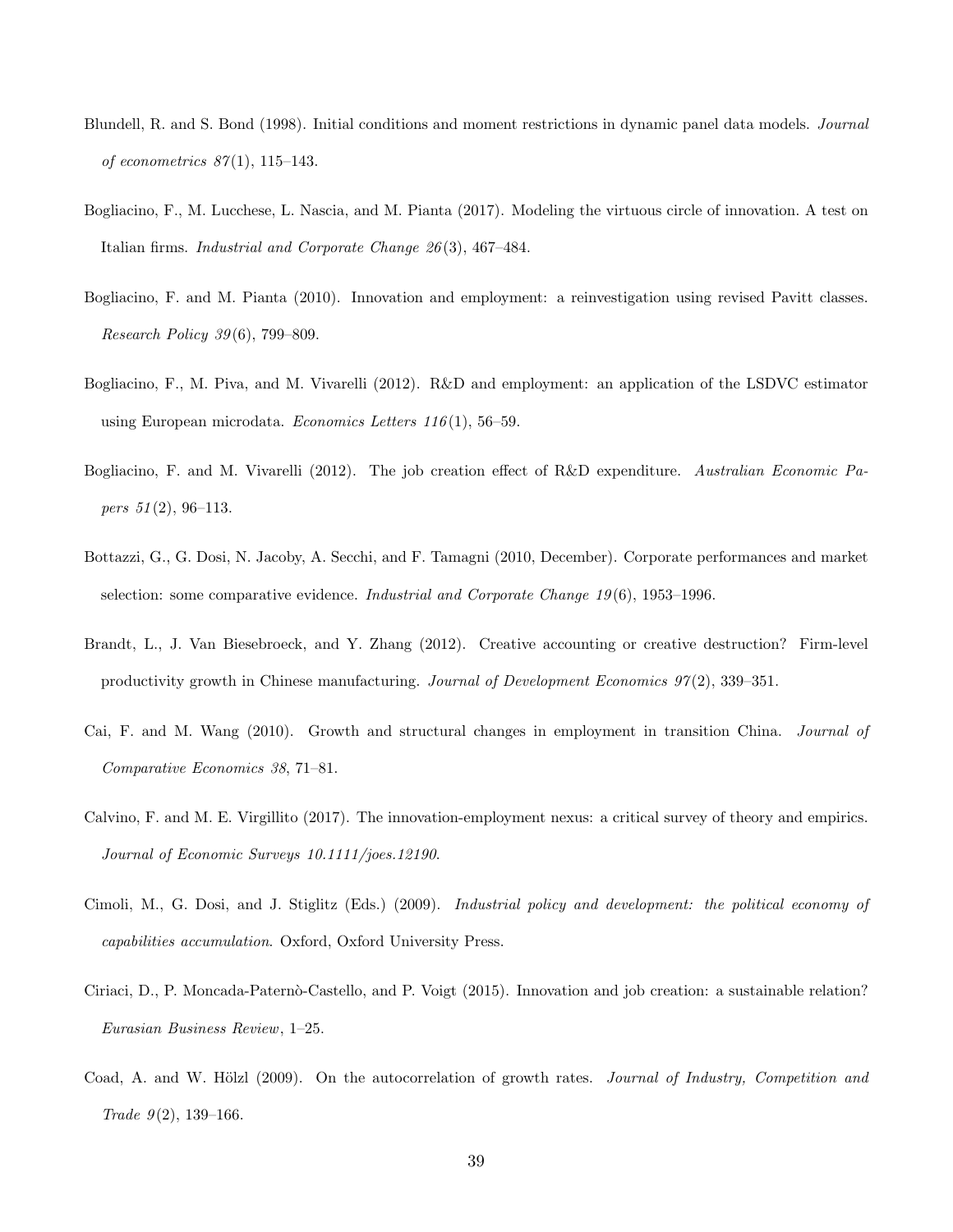- Blundell, R. and S. Bond (1998). Initial conditions and moment restrictions in dynamic panel data models. *Journal of econometrics 87* (1), 115–143.
- Bogliacino, F., M. Lucchese, L. Nascia, and M. Pianta (2017). Modeling the virtuous circle of innovation. A test on Italian firms. *Industrial and Corporate Change 26* (3), 467–484.
- Bogliacino, F. and M. Pianta (2010). Innovation and employment: a reinvestigation using revised Pavitt classes. *Research Policy 39* (6), 799–809.
- Bogliacino, F., M. Piva, and M. Vivarelli (2012). R&D and employment: an application of the LSDVC estimator using European microdata. *Economics Letters 116* (1), 56–59.
- Bogliacino, F. and M. Vivarelli (2012). The job creation effect of R&D expenditure. *Australian Economic Papers 51* (2), 96–113.
- Bottazzi, G., G. Dosi, N. Jacoby, A. Secchi, and F. Tamagni (2010, December). Corporate performances and market selection: some comparative evidence. *Industrial and Corporate Change 19* (6), 1953–1996.
- Brandt, L., J. Van Biesebroeck, and Y. Zhang (2012). Creative accounting or creative destruction? Firm-level productivity growth in Chinese manufacturing. *Journal of Development Economics 97* (2), 339–351.
- Cai, F. and M. Wang (2010). Growth and structural changes in employment in transition China. *Journal of Comparative Economics 38*, 71–81.
- Calvino, F. and M. E. Virgillito (2017). The innovation-employment nexus: a critical survey of theory and empirics. *Journal of Economic Surveys 10.1111/joes.12190*.
- Cimoli, M., G. Dosi, and J. Stiglitz (Eds.) (2009). *Industrial policy and development: the political economy of capabilities accumulation*. Oxford, Oxford University Press.
- Ciriaci, D., P. Moncada-Paternò-Castello, and P. Voigt (2015). Innovation and job creation: a sustainable relation? *Eurasian Business Review*, 1–25.
- Coad, A. and W. Hölzl (2009). On the autocorrelation of growth rates. *Journal of Industry, Competition and Trade 9* (2), 139–166.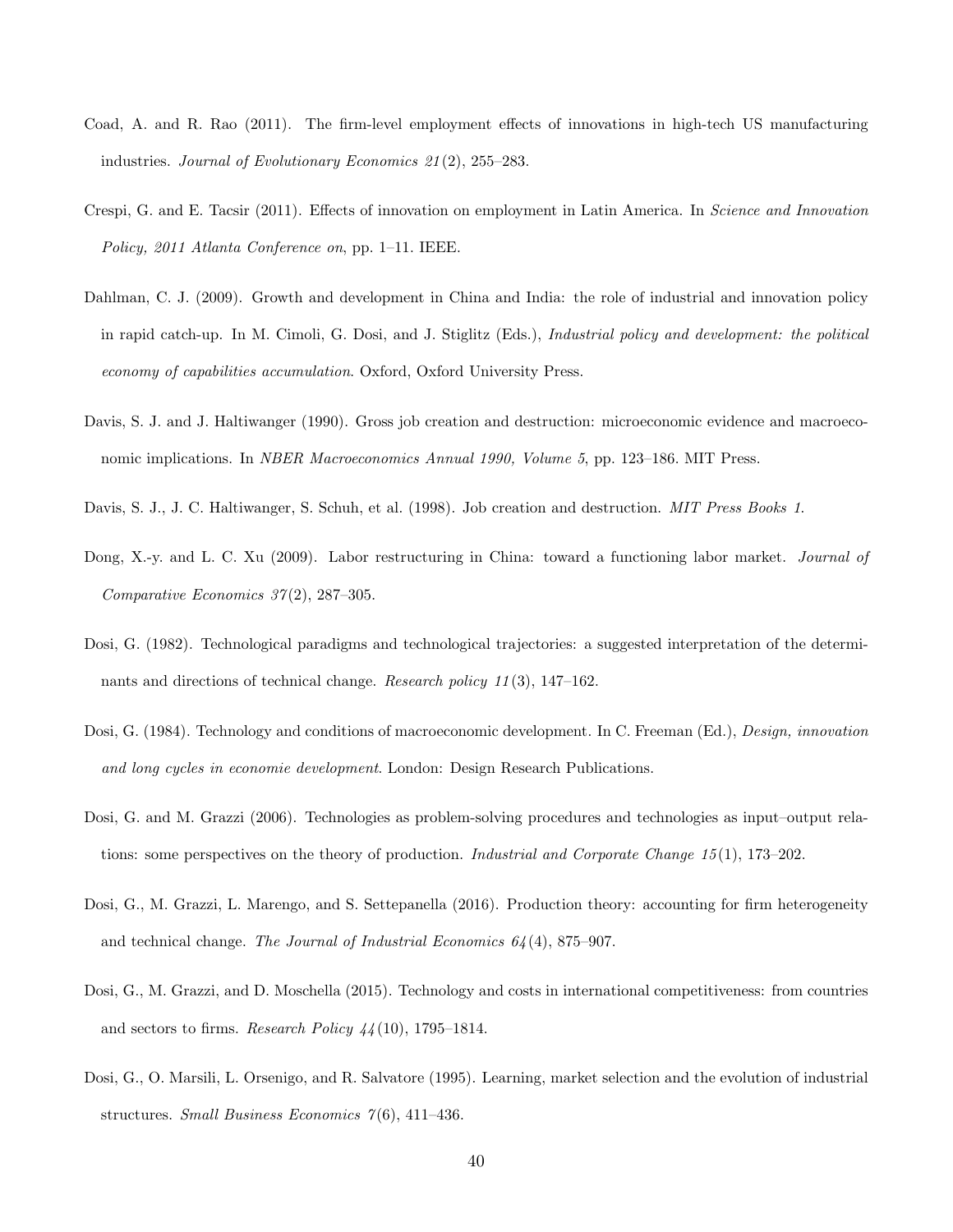- Coad, A. and R. Rao (2011). The firm-level employment effects of innovations in high-tech US manufacturing industries. *Journal of Evolutionary Economics 21* (2), 255–283.
- Crespi, G. and E. Tacsir (2011). Effects of innovation on employment in Latin America. In *Science and Innovation Policy, 2011 Atlanta Conference on*, pp. 1–11. IEEE.
- Dahlman, C. J. (2009). Growth and development in China and India: the role of industrial and innovation policy in rapid catch-up. In M. Cimoli, G. Dosi, and J. Stiglitz (Eds.), *Industrial policy and development: the political economy of capabilities accumulation*. Oxford, Oxford University Press.
- Davis, S. J. and J. Haltiwanger (1990). Gross job creation and destruction: microeconomic evidence and macroeconomic implications. In *NBER Macroeconomics Annual 1990, Volume 5*, pp. 123–186. MIT Press.
- Davis, S. J., J. C. Haltiwanger, S. Schuh, et al. (1998). Job creation and destruction. *MIT Press Books 1*.
- Dong, X.-y. and L. C. Xu (2009). Labor restructuring in China: toward a functioning labor market. *Journal of Comparative Economics 37* (2), 287–305.
- Dosi, G. (1982). Technological paradigms and technological trajectories: a suggested interpretation of the determinants and directions of technical change. *Research policy 11* (3), 147–162.
- Dosi, G. (1984). Technology and conditions of macroeconomic development. In C. Freeman (Ed.), *Design, innovation and long cycles in economie development*. London: Design Research Publications.
- Dosi, G. and M. Grazzi (2006). Technologies as problem-solving procedures and technologies as input–output relations: some perspectives on the theory of production. *Industrial and Corporate Change 15* (1), 173–202.
- Dosi, G., M. Grazzi, L. Marengo, and S. Settepanella (2016). Production theory: accounting for firm heterogeneity and technical change. *The Journal of Industrial Economics 64* (4), 875–907.
- Dosi, G., M. Grazzi, and D. Moschella (2015). Technology and costs in international competitiveness: from countries and sectors to firms. *Research Policy 44* (10), 1795–1814.
- Dosi, G., O. Marsili, L. Orsenigo, and R. Salvatore (1995). Learning, market selection and the evolution of industrial structures. *Small Business Economics 7* (6), 411–436.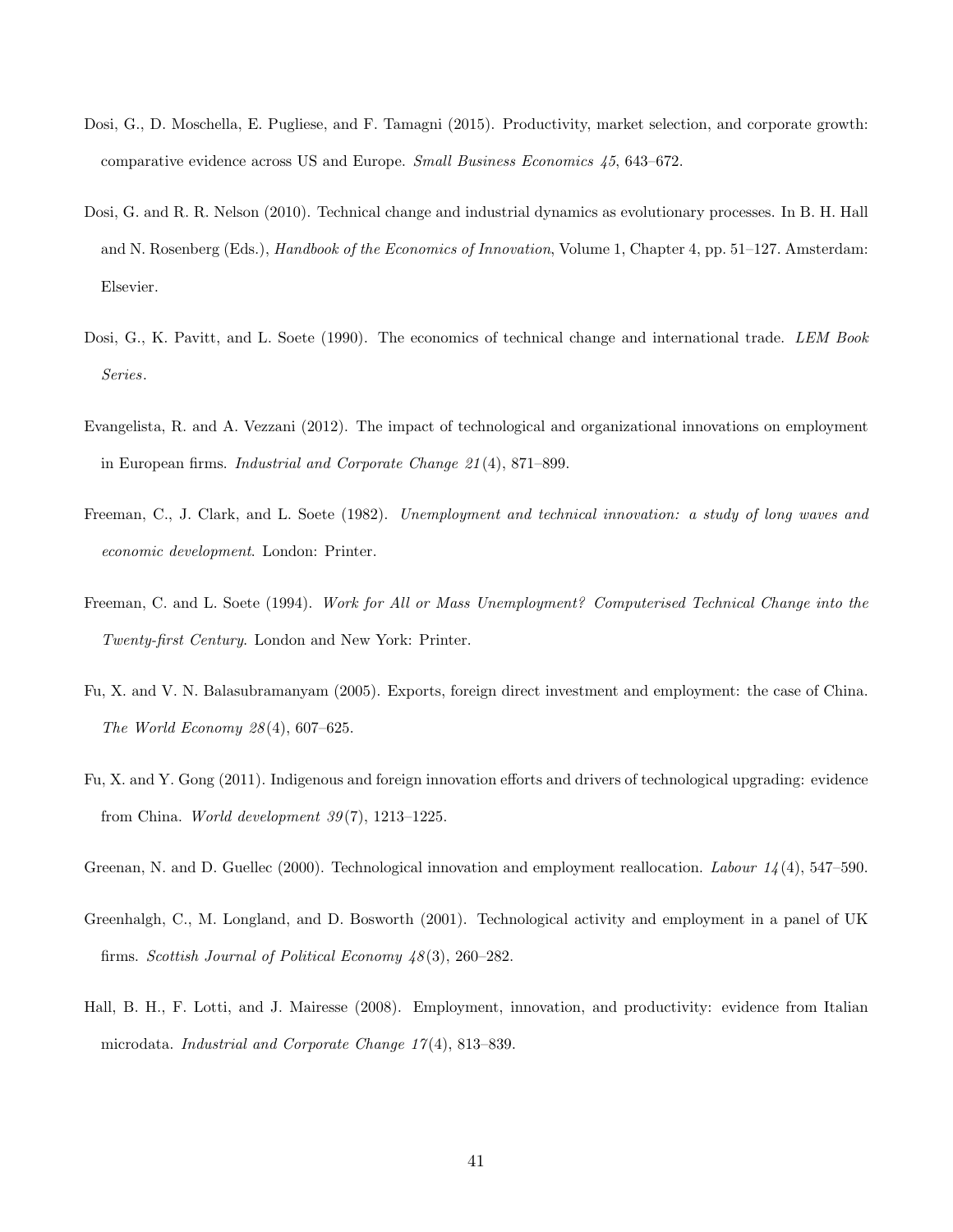- Dosi, G., D. Moschella, E. Pugliese, and F. Tamagni (2015). Productivity, market selection, and corporate growth: comparative evidence across US and Europe. *Small Business Economics 45*, 643–672.
- Dosi, G. and R. R. Nelson (2010). Technical change and industrial dynamics as evolutionary processes. In B. H. Hall and N. Rosenberg (Eds.), *Handbook of the Economics of Innovation*, Volume 1, Chapter 4, pp. 51–127. Amsterdam: Elsevier.
- Dosi, G., K. Pavitt, and L. Soete (1990). The economics of technical change and international trade. *LEM Book Series*.
- Evangelista, R. and A. Vezzani (2012). The impact of technological and organizational innovations on employment in European firms. *Industrial and Corporate Change 21* (4), 871–899.
- Freeman, C., J. Clark, and L. Soete (1982). *Unemployment and technical innovation: a study of long waves and economic development*. London: Printer.
- Freeman, C. and L. Soete (1994). *Work for All or Mass Unemployment? Computerised Technical Change into the Twenty-first Century*. London and New York: Printer.
- Fu, X. and V. N. Balasubramanyam (2005). Exports, foreign direct investment and employment: the case of China. *The World Economy 28* (4), 607–625.
- Fu, X. and Y. Gong (2011). Indigenous and foreign innovation efforts and drivers of technological upgrading: evidence from China. *World development 39* (7), 1213–1225.
- Greenan, N. and D. Guellec (2000). Technological innovation and employment reallocation. *Labour 14* (4), 547–590.
- Greenhalgh, C., M. Longland, and D. Bosworth (2001). Technological activity and employment in a panel of UK firms. *Scottish Journal of Political Economy 48* (3), 260–282.
- Hall, B. H., F. Lotti, and J. Mairesse (2008). Employment, innovation, and productivity: evidence from Italian microdata. *Industrial and Corporate Change 17* (4), 813–839.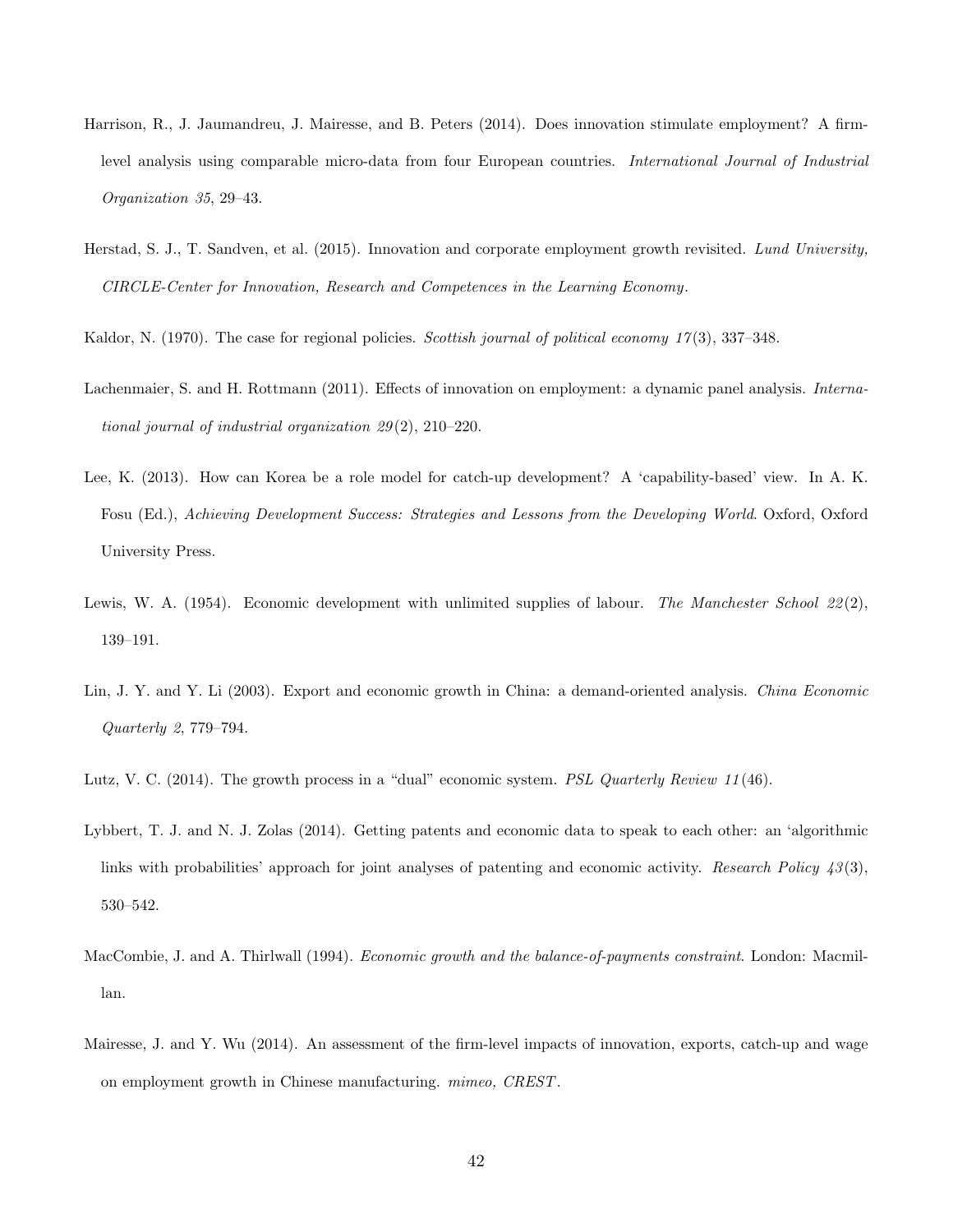- Harrison, R., J. Jaumandreu, J. Mairesse, and B. Peters (2014). Does innovation stimulate employment? A firmlevel analysis using comparable micro-data from four European countries. *International Journal of Industrial Organization 35*, 29–43.
- Herstad, S. J., T. Sandven, et al. (2015). Innovation and corporate employment growth revisited. *Lund University, CIRCLE-Center for Innovation, Research and Competences in the Learning Economy*.
- Kaldor, N. (1970). The case for regional policies. *Scottish journal of political economy 17* (3), 337–348.
- Lachenmaier, S. and H. Rottmann (2011). Effects of innovation on employment: a dynamic panel analysis. *International journal of industrial organization 29* (2), 210–220.
- Lee, K. (2013). How can Korea be a role model for catch-up development? A 'capability-based' view. In A. K. Fosu (Ed.), *Achieving Development Success: Strategies and Lessons from the Developing World*. Oxford, Oxford University Press.
- Lewis, W. A. (1954). Economic development with unlimited supplies of labour. *The Manchester School 22* (2), 139–191.
- Lin, J. Y. and Y. Li (2003). Export and economic growth in China: a demand-oriented analysis. *China Economic Quarterly 2*, 779–794.
- Lutz, V. C. (2014). The growth process in a "dual" economic system. *PSL Quarterly Review 11* (46).
- Lybbert, T. J. and N. J. Zolas (2014). Getting patents and economic data to speak to each other: an 'algorithmic links with probabilities' approach for joint analyses of patenting and economic activity. *Research Policy 43* (3), 530–542.
- MacCombie, J. and A. Thirlwall (1994). *Economic growth and the balance-of-payments constraint*. London: Macmillan.
- Mairesse, J. and Y. Wu (2014). An assessment of the firm-level impacts of innovation, exports, catch-up and wage on employment growth in Chinese manufacturing. *mimeo, CREST*.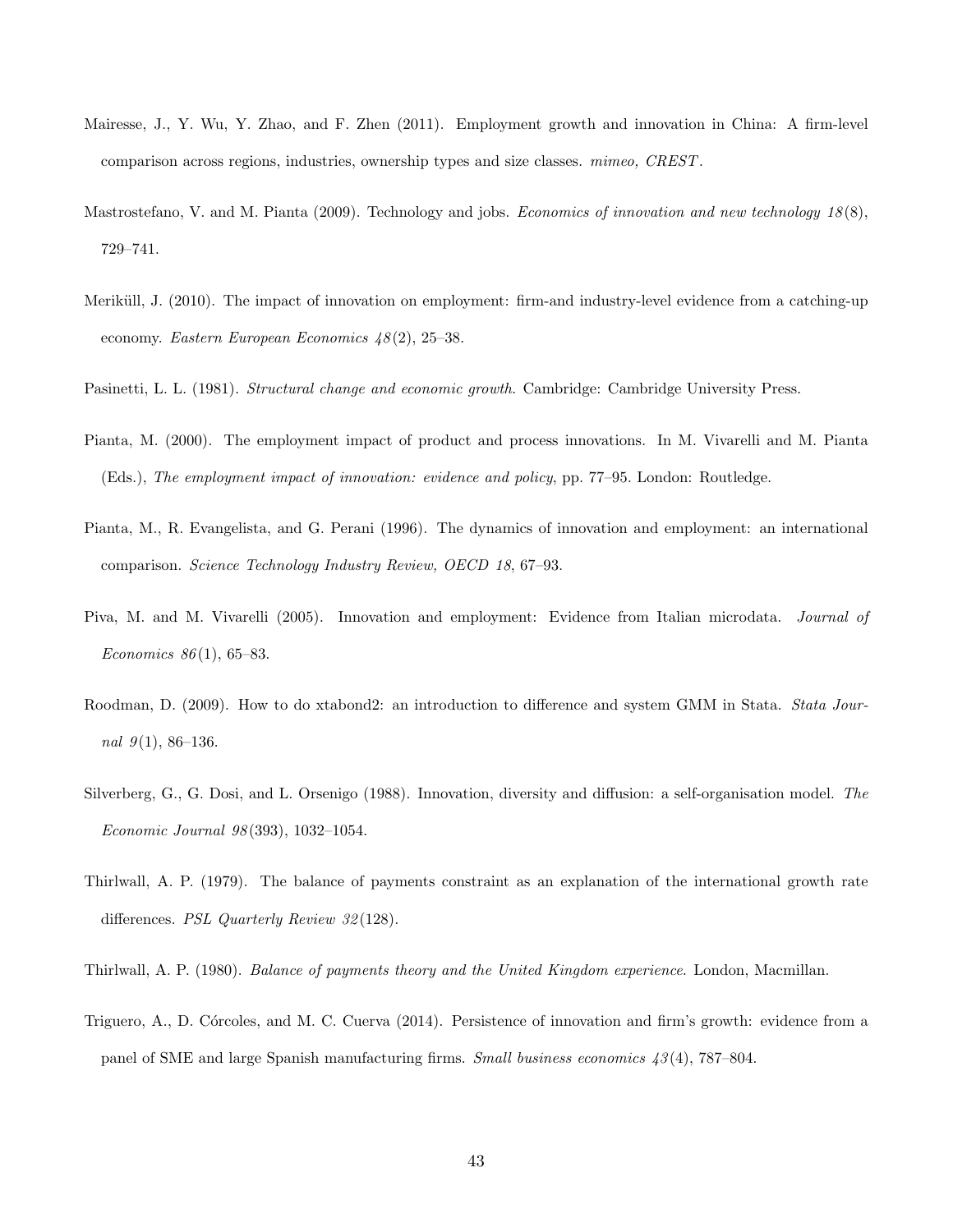- Mairesse, J., Y. Wu, Y. Zhao, and F. Zhen (2011). Employment growth and innovation in China: A firm-level comparison across regions, industries, ownership types and size classes. *mimeo, CREST*.
- Mastrostefano, V. and M. Pianta (2009). Technology and jobs. *Economics of innovation and new technology 18* (8), 729–741.
- Meriküll, J. (2010). The impact of innovation on employment: firm-and industry-level evidence from a catching-up economy. *Eastern European Economics 48* (2), 25–38.
- Pasinetti, L. L. (1981). *Structural change and economic growth*. Cambridge: Cambridge University Press.
- Pianta, M. (2000). The employment impact of product and process innovations. In M. Vivarelli and M. Pianta (Eds.), *The employment impact of innovation: evidence and policy*, pp. 77–95. London: Routledge.
- Pianta, M., R. Evangelista, and G. Perani (1996). The dynamics of innovation and employment: an international comparison. *Science Technology Industry Review, OECD 18*, 67–93.
- Piva, M. and M. Vivarelli (2005). Innovation and employment: Evidence from Italian microdata. *Journal of Economics 86* (1), 65–83.
- Roodman, D. (2009). How to do xtabond2: an introduction to difference and system GMM in Stata. *Stata Journal 9* (1), 86–136.
- Silverberg, G., G. Dosi, and L. Orsenigo (1988). Innovation, diversity and diffusion: a self-organisation model. *The Economic Journal 98* (393), 1032–1054.
- Thirlwall, A. P. (1979). The balance of payments constraint as an explanation of the international growth rate differences. *PSL Quarterly Review 32* (128).
- Thirlwall, A. P. (1980). *Balance of payments theory and the United Kingdom experience*. London, Macmillan.
- Triguero, A., D. Córcoles, and M. C. Cuerva (2014). Persistence of innovation and firm's growth: evidence from a panel of SME and large Spanish manufacturing firms. *Small business economics 43* (4), 787–804.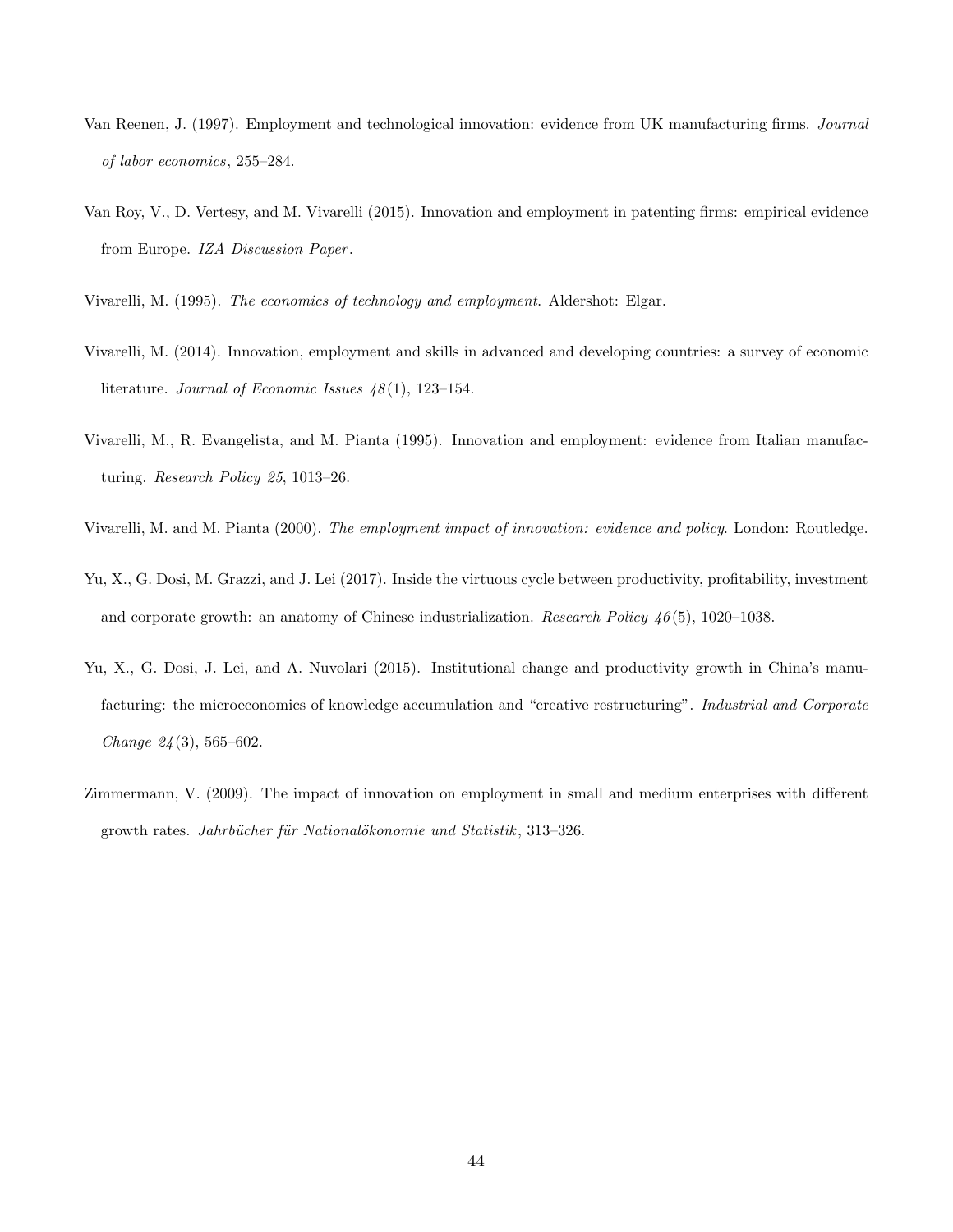- Van Reenen, J. (1997). Employment and technological innovation: evidence from UK manufacturing firms. *Journal of labor economics*, 255–284.
- Van Roy, V., D. Vertesy, and M. Vivarelli (2015). Innovation and employment in patenting firms: empirical evidence from Europe. *IZA Discussion Paper* .
- Vivarelli, M. (1995). *The economics of technology and employment*. Aldershot: Elgar.
- Vivarelli, M. (2014). Innovation, employment and skills in advanced and developing countries: a survey of economic literature. *Journal of Economic Issues 48* (1), 123–154.
- Vivarelli, M., R. Evangelista, and M. Pianta (1995). Innovation and employment: evidence from Italian manufacturing. *Research Policy 25*, 1013–26.
- Vivarelli, M. and M. Pianta (2000). *The employment impact of innovation: evidence and policy*. London: Routledge.
- Yu, X., G. Dosi, M. Grazzi, and J. Lei (2017). Inside the virtuous cycle between productivity, profitability, investment and corporate growth: an anatomy of Chinese industrialization. *Research Policy 46* (5), 1020–1038.
- Yu, X., G. Dosi, J. Lei, and A. Nuvolari (2015). Institutional change and productivity growth in China's manufacturing: the microeconomics of knowledge accumulation and "creative restructuring". *Industrial and Corporate Change 24* (3), 565–602.
- Zimmermann, V. (2009). The impact of innovation on employment in small and medium enterprises with different growth rates. *Jahrbücher für Nationalökonomie und Statistik*, 313–326.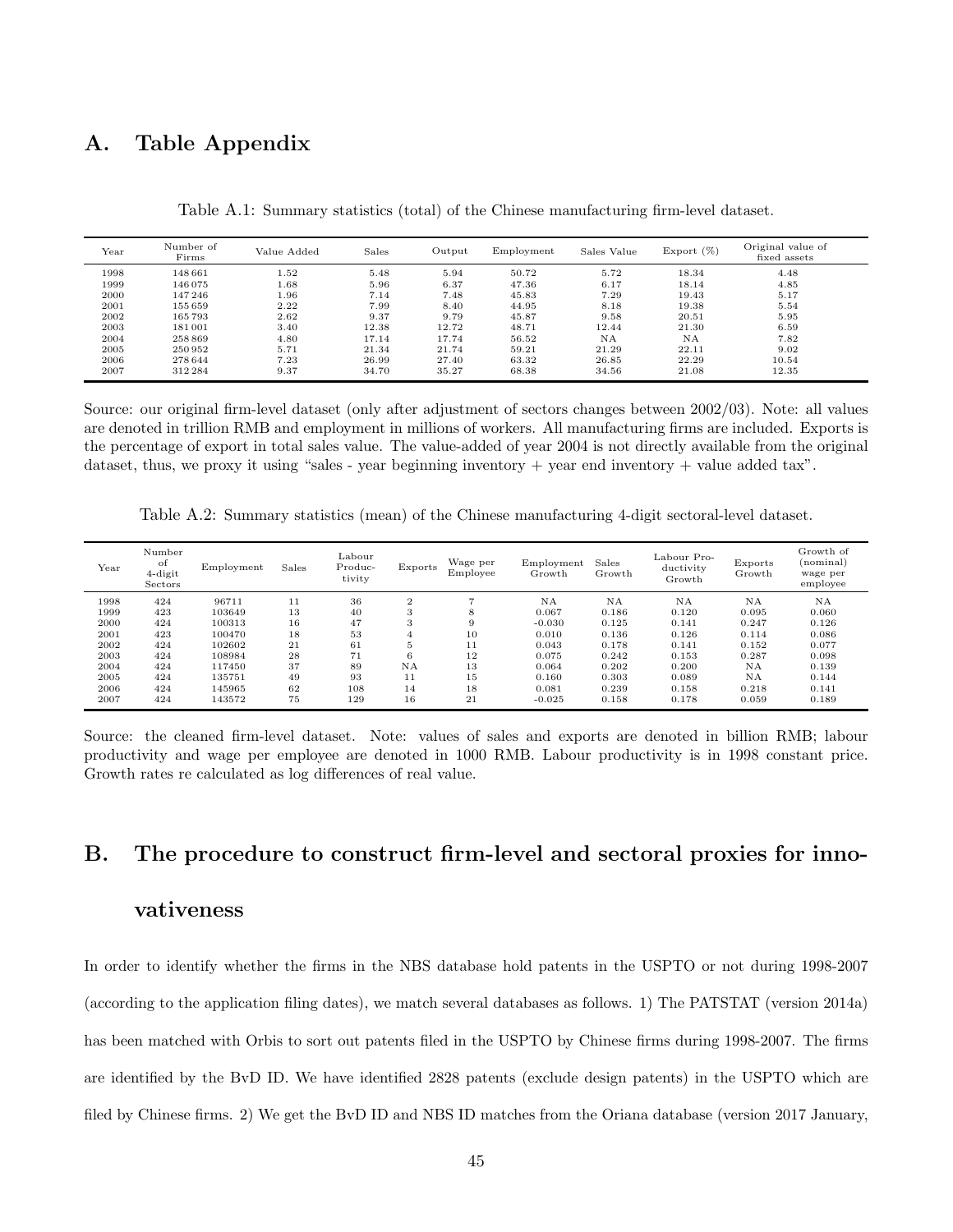# A. Table Appendix

Table A.1: Summary statistics (total) of the Chinese manufacturing firm-level dataset.

| Year | Number of<br>Firms | Value Added | Sales | Output | Employment | Sales Value | Export $(\%)$ | Original value of<br>fixed assets |
|------|--------------------|-------------|-------|--------|------------|-------------|---------------|-----------------------------------|
| 1998 | 148661             | 1.52        | 5.48  | 5.94   | 50.72      | 5.72        | 18.34         | 4.48                              |
| 1999 | 146075             | 1.68        | 5.96  | 6.37   | 47.36      | 6.17        | 18.14         | 4.85                              |
| 2000 | 147246             | 1.96        | 7.14  | 7.48   | 45.83      | 7.29        | 19.43         | 5.17                              |
| 2001 | 155 659            | 2.22        | 7.99  | 8.40   | 44.95      | 8.18        | 19.38         | 5.54                              |
| 2002 | 165793             | 2.62        | 9.37  | 9.79   | 45.87      | 9.58        | 20.51         | 5.95                              |
| 2003 | 181001             | 3.40        | 12.38 | 12.72  | 48.71      | 12.44       | 21.30         | 6.59                              |
| 2004 | 258 869            | 4.80        | 17.14 | 17.74  | 56.52      | NA          | NA            | 7.82                              |
| 2005 | 250952             | 5.71        | 21.34 | 21.74  | 59.21      | 21.29       | 22.11         | 9.02                              |
| 2006 | 278644             | 7.23        | 26.99 | 27.40  | 63.32      | 26.85       | 22.29         | 10.54                             |
| 2007 | 312284             | 9.37        | 34.70 | 35.27  | 68.38      | 34.56       | 21.08         | 12.35                             |

Source: our original firm-level dataset (only after adjustment of sectors changes between 2002/03). Note: all values are denoted in trillion RMB and employment in millions of workers. All manufacturing firms are included. Exports is the percentage of export in total sales value. The value-added of year 2004 is not directly available from the original dataset, thus, we proxy it using "sales - year beginning inventory + year end inventory + value added tax".

Table A.2: Summary statistics (mean) of the Chinese manufacturing 4-digit sectoral-level dataset.

| Year | Number<br>of<br>4-digit<br>Sectors | Employment | Sales | $_{\rm Labour}$<br>Produc-<br>tivity | Exports  | Wage per<br>Employee | Employment<br>Growth | Sales<br>Growth | Labour Pro-<br>ductivity<br>Growth | Exports<br>Growth | Growth of<br>(nominal)<br>wage per<br>employee |
|------|------------------------------------|------------|-------|--------------------------------------|----------|----------------------|----------------------|-----------------|------------------------------------|-------------------|------------------------------------------------|
| 1998 | 424                                | 96711      | 11    | 36                                   | $\Omega$ |                      | <b>NA</b>            | NA              | NA.                                | <b>NA</b>         | ΝA                                             |
| 1999 | 423                                | 103649     | 13    | 40                                   | 3        | 8                    | 0.067                | 0.186           | 0.120                              | 0.095             | 0.060                                          |
| 2000 | 424                                | 100313     | 16    | 47                                   | 3        | 9                    | $-0.030$             | 0.125           | 0.141                              | 0.247             | 0.126                                          |
| 2001 | 423                                | 100470     | 18    | 53                                   |          | 10                   | 0.010                | 0.136           | 0.126                              | 0.114             | 0.086                                          |
| 2002 | 424                                | 102602     | 21    | 61                                   | 5        | 11                   | 0.043                | 0.178           | 0.141                              | 0.152             | 0.077                                          |
| 2003 | 424                                | 108984     | 28    | 71                                   | 6        | 12                   | 0.075                | 0.242           | 0.153                              | 0.287             | 0.098                                          |
| 2004 | 424                                | 117450     | 37    | 89                                   | NA       | 13                   | 0.064                | 0.202           | 0.200                              | <b>NA</b>         | 0.139                                          |
| 2005 | 424                                | 135751     | 49    | 93                                   | 11       | 15                   | 0.160                | 0.303           | 0.089                              | <b>NA</b>         | 0.144                                          |
| 2006 | 424                                | 145965     | 62    | 108                                  | 14       | 18                   | 0.081                | 0.239           | 0.158                              | 0.218             | 0.141                                          |
| 2007 | 424                                | 143572     | 75    | 129                                  | 16       | 21                   | $-0.025$             | 0.158           | 0.178                              | 0.059             | 0.189                                          |

Source: the cleaned firm-level dataset. Note: values of sales and exports are denoted in billion RMB; labour productivity and wage per employee are denoted in 1000 RMB. Labour productivity is in 1998 constant price. Growth rates re calculated as log differences of real value.

# B. The procedure to construct firm-level and sectoral proxies for inno-

## vativeness

In order to identify whether the firms in the NBS database hold patents in the USPTO or not during 1998-2007 (according to the application filing dates), we match several databases as follows. 1) The PATSTAT (version 2014a) has been matched with Orbis to sort out patents filed in the USPTO by Chinese firms during 1998-2007. The firms are identified by the BvD ID. We have identified 2828 patents (exclude design patents) in the USPTO which are filed by Chinese firms. 2) We get the BvD ID and NBS ID matches from the Oriana database (version 2017 January,